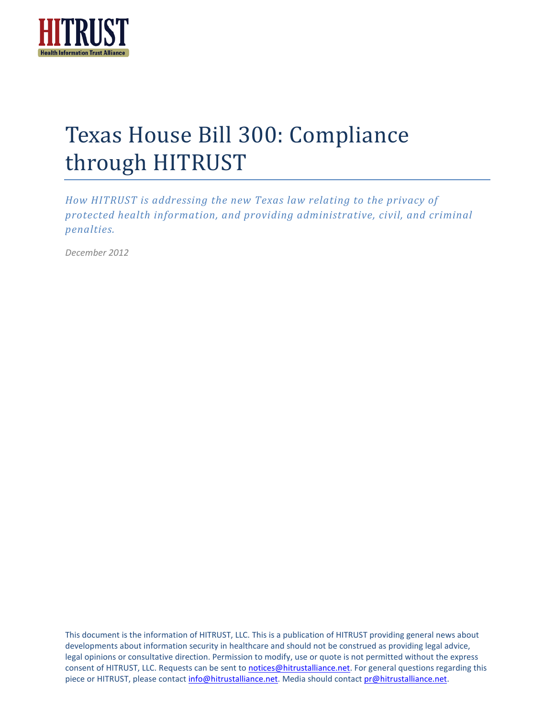

# Texas House Bill 300: Compliance through HITRUST

*How HITRUST is addressing the new Texas law relating to the privacy of protected health information, and providing administrative, civil, and criminal penalties.*

*December 2012*

This document is the information of HITRUST, LLC. This is a publication of HITRUST providing general news about developments about information security in healthcare and should not be construed as providing legal advice, legal opinions or consultative direction. Permission to modify, use or quote is not permitted without the express consent of HITRUST, LLC. Requests can be sent to [notices@hitrustalliance.net.](mailto:notices@hitrustalliance.net) For general questions regarding this piece or HITRUST, please contact [info@hitrustalliance.net.](mailto:info@hitrustalliance.net) Media should contact pr@hitrustalliance.net.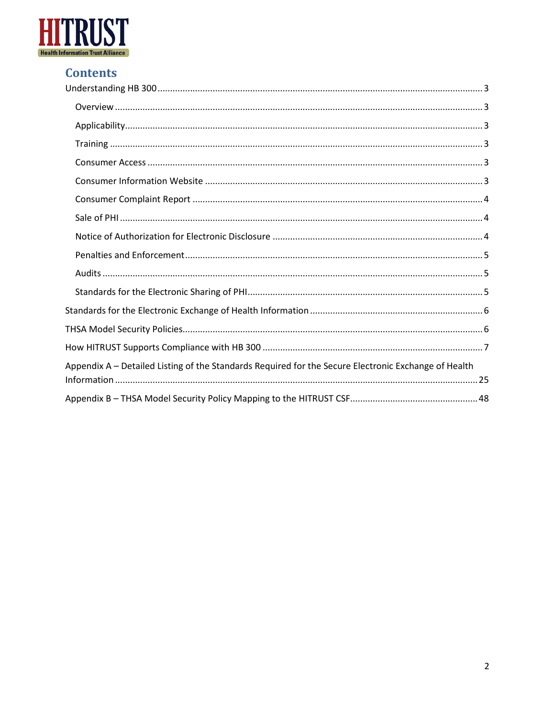

## **Contents**

| Appendix A - Detailed Listing of the Standards Required for the Secure Electronic Exchange of Health |
|------------------------------------------------------------------------------------------------------|
|                                                                                                      |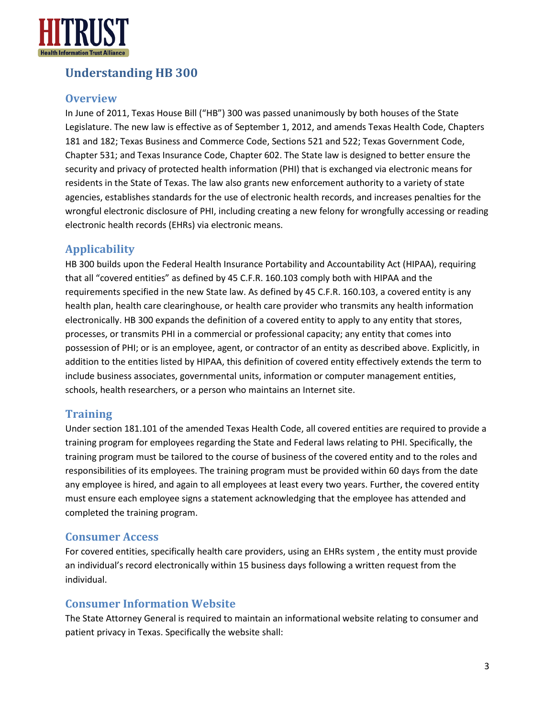

## <span id="page-2-0"></span>**Understanding HB 300**

#### <span id="page-2-1"></span>**Overview**

In June of 2011, Texas House Bill ("HB") 300 was passed unanimously by both houses of the State Legislature. The new law is effective as of September 1, 2012, and amends Texas Health Code, Chapters 181 and 182; Texas Business and Commerce Code, Sections 521 and 522; Texas Government Code, Chapter 531; and Texas Insurance Code, Chapter 602. The State law is designed to better ensure the security and privacy of protected health information (PHI) that is exchanged via electronic means for residents in the State of Texas. The law also grants new enforcement authority to a variety of state agencies, establishes standards for the use of electronic health records, and increases penalties for the wrongful electronic disclosure of PHI, including creating a new felony for wrongfully accessing or reading electronic health records (EHRs) via electronic means.

#### <span id="page-2-2"></span>**Applicability**

HB 300 builds upon the Federal Health Insurance Portability and Accountability Act (HIPAA), requiring that all "covered entities" as defined by 45 C.F.R. 160.103 comply both with HIPAA and the requirements specified in the new State law. As defined by 45 C.F.R. 160.103, a covered entity is any health plan, health care clearinghouse, or health care provider who transmits any health information electronically. HB 300 expands the definition of a covered entity to apply to any entity that stores, processes, or transmits PHI in a commercial or professional capacity; any entity that comes into possession of PHI; or is an employee, agent, or contractor of an entity as described above. Explicitly, in addition to the entities listed by HIPAA, this definition of covered entity effectively extends the term to include business associates, governmental units, information or computer management entities, schools, health researchers, or a person who maintains an Internet site.

#### <span id="page-2-3"></span>**Training**

Under section 181.101 of the amended Texas Health Code, all covered entities are required to provide a training program for employees regarding the State and Federal laws relating to PHI. Specifically, the training program must be tailored to the course of business of the covered entity and to the roles and responsibilities of its employees. The training program must be provided within 60 days from the date any employee is hired, and again to all employees at least every two years. Further, the covered entity must ensure each employee signs a statement acknowledging that the employee has attended and completed the training program.

#### <span id="page-2-4"></span>**Consumer Access**

For covered entities, specifically health care providers, using an EHRs system , the entity must provide an individual's record electronically within 15 business days following a written request from the individual.

#### <span id="page-2-5"></span>**Consumer Information Website**

The State Attorney General is required to maintain an informational website relating to consumer and patient privacy in Texas. Specifically the website shall: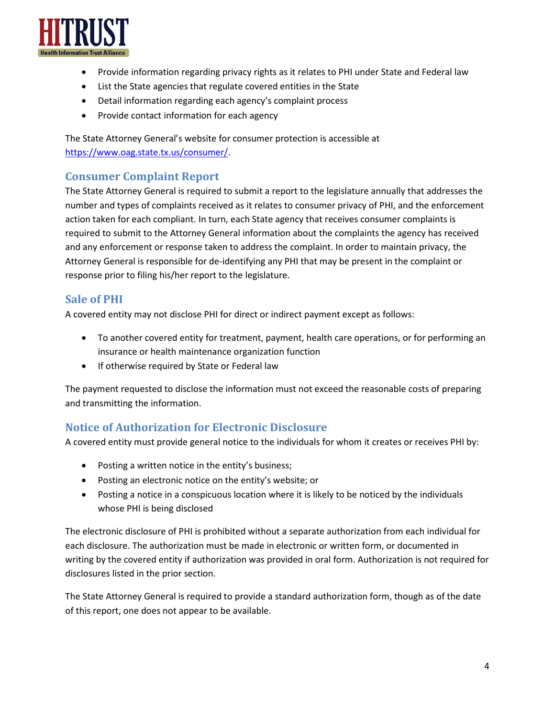

- Provide information regarding privacy rights as it relates to PHI under State and Federal law
- List the State agencies that regulate covered entities in the State
- Detail information regarding each agency's complaint process
- Provide contact information for each agency

The State Attorney General's website for consumer protection is accessible at [https://www.oag.state.tx.us/consumer/.](https://www.oag.state.tx.us/consumer/)

#### <span id="page-3-0"></span>**Consumer Complaint Report**

The State Attorney General is required to submit a report to the legislature annually that addresses the number and types of complaints received as it relates to consumer privacy of PHI, and the enforcement action taken for each compliant. In turn, each State agency that receives consumer complaints is required to submit to the Attorney General information about the complaints the agency has received and any enforcement or response taken to address the complaint. In order to maintain privacy, the Attorney General is responsible for de-identifying any PHI that may be present in the complaint or response prior to filing his/her report to the legislature.

#### <span id="page-3-1"></span>**Sale of PHI**

A covered entity may not disclose PHI for direct or indirect payment except as follows:

- To another covered entity for treatment, payment, health care operations, or for performing an insurance or health maintenance organization function
- If otherwise required by State or Federal law

The payment requested to disclose the information must not exceed the reasonable costs of preparing and transmitting the information.

#### <span id="page-3-2"></span>**Notice of Authorization for Electronic Disclosure**

A covered entity must provide general notice to the individuals for whom it creates or receives PHI by:

- Posting a written notice in the entity's business;
- Posting an electronic notice on the entity's website; or
- Posting a notice in a conspicuous location where it is likely to be noticed by the individuals whose PHI is being disclosed

The electronic disclosure of PHI is prohibited without a separate authorization from each individual for each disclosure. The authorization must be made in electronic or written form, or documented in writing by the covered entity if authorization was provided in oral form. Authorization is not required for disclosures listed in the prior section.

The State Attorney General is required to provide a standard authorization form, though as of the date of this report, one does not appear to be available.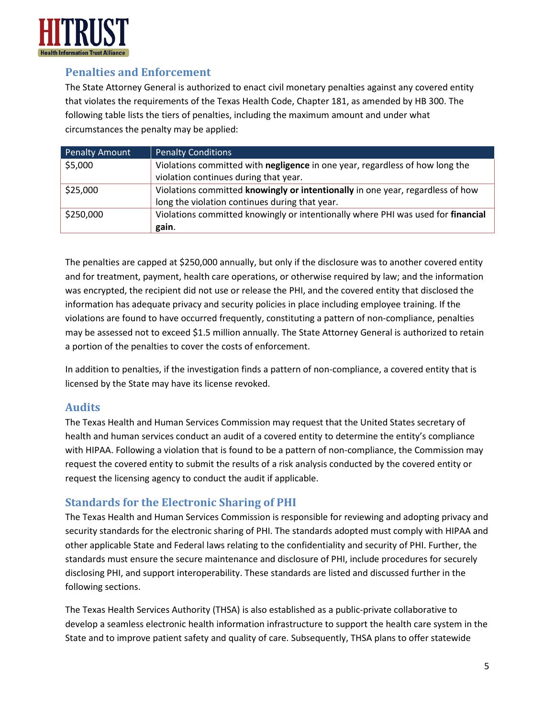

#### <span id="page-4-0"></span>**Penalties and Enforcement**

The State Attorney General is authorized to enact civil monetary penalties against any covered entity that violates the requirements of the Texas Health Code, Chapter 181, as amended by HB 300. The following table lists the tiers of penalties, including the maximum amount and under what circumstances the penalty may be applied:

| <b>Penalty Amount</b> | Penalty Conditions                                                                  |
|-----------------------|-------------------------------------------------------------------------------------|
| \$5,000               | Violations committed with <b>negligence</b> in one year, regardless of how long the |
|                       | violation continues during that year.                                               |
| \$25,000              | Violations committed knowingly or intentionally in one year, regardless of how      |
|                       | long the violation continues during that year.                                      |
| \$250,000             | Violations committed knowingly or intentionally where PHI was used for financial    |
|                       | gain.                                                                               |

The penalties are capped at \$250,000 annually, but only if the disclosure was to another covered entity and for treatment, payment, health care operations, or otherwise required by law; and the information was encrypted, the recipient did not use or release the PHI, and the covered entity that disclosed the information has adequate privacy and security policies in place including employee training. If the violations are found to have occurred frequently, constituting a pattern of non-compliance, penalties may be assessed not to exceed \$1.5 million annually. The State Attorney General is authorized to retain a portion of the penalties to cover the costs of enforcement.

In addition to penalties, if the investigation finds a pattern of non-compliance, a covered entity that is licensed by the State may have its license revoked.

#### <span id="page-4-1"></span>**Audits**

The Texas Health and Human Services Commission may request that the United States secretary of health and human services conduct an audit of a covered entity to determine the entity's compliance with HIPAA. Following a violation that is found to be a pattern of non-compliance, the Commission may request the covered entity to submit the results of a risk analysis conducted by the covered entity or request the licensing agency to conduct the audit if applicable.

#### <span id="page-4-2"></span>**Standards for the Electronic Sharing of PHI**

The Texas Health and Human Services Commission is responsible for reviewing and adopting privacy and security standards for the electronic sharing of PHI. The standards adopted must comply with HIPAA and other applicable State and Federal laws relating to the confidentiality and security of PHI. Further, the standards must ensure the secure maintenance and disclosure of PHI, include procedures for securely disclosing PHI, and support interoperability. These standards are listed and discussed further in the following sections.

The Texas Health Services Authority (THSA) is also established as a public-private collaborative to develop a seamless electronic health information infrastructure to support the health care system in the State and to improve patient safety and quality of care. Subsequently, THSA plans to offer statewide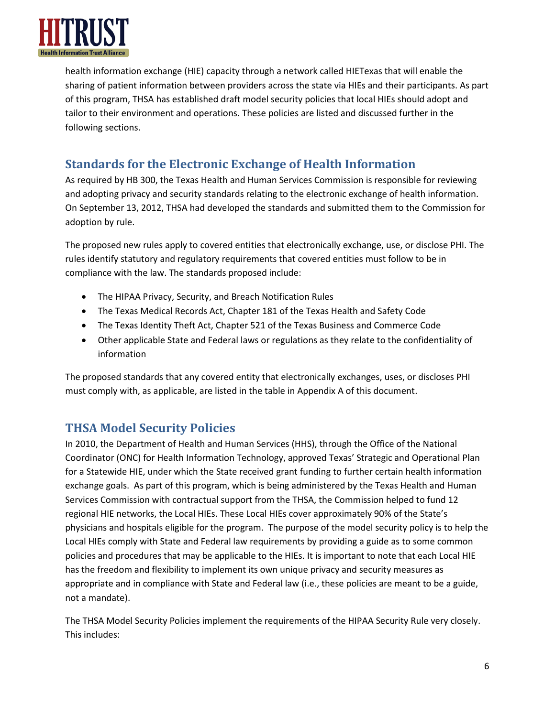

health information exchange (HIE) capacity through a network called HIETexas that will enable the sharing of patient information between providers across the state via HIEs and their participants. As part of this program, THSA has established draft model security policies that local HIEs should adopt and tailor to their environment and operations. These policies are listed and discussed further in the following sections.

## <span id="page-5-0"></span>**Standards for the Electronic Exchange of Health Information**

As required by HB 300, the Texas Health and Human Services Commission is responsible for reviewing and adopting privacy and security standards relating to the electronic exchange of health information. On September 13, 2012, THSA had developed the standards and submitted them to the Commission for adoption by rule.

The proposed new rules apply to covered entities that electronically exchange, use, or disclose PHI. The rules identify statutory and regulatory requirements that covered entities must follow to be in compliance with the law. The standards proposed include:

- The HIPAA Privacy, Security, and Breach Notification Rules
- The Texas Medical Records Act, Chapter 181 of the Texas Health and Safety Code
- The Texas Identity Theft Act, Chapter 521 of the Texas Business and Commerce Code
- Other applicable State and Federal laws or regulations as they relate to the confidentiality of information

The proposed standards that any covered entity that electronically exchanges, uses, or discloses PHI must comply with, as applicable, are listed in the table in Appendix A of this document.

### <span id="page-5-1"></span>**THSA Model Security Policies**

In 2010, the Department of Health and Human Services (HHS), through the Office of the National Coordinator (ONC) for Health Information Technology, approved Texas' Strategic and Operational Plan for a Statewide HIE, under which the State received grant funding to further certain health information exchange goals. As part of this program, which is being administered by the Texas Health and Human Services Commission with contractual support from the THSA, the Commission helped to fund 12 regional HIE networks, the Local HIEs. These Local HIEs cover approximately 90% of the State's physicians and hospitals eligible for the program. The purpose of the model security policy is to help the Local HIEs comply with State and Federal law requirements by providing a guide as to some common policies and procedures that may be applicable to the HIEs. It is important to note that each Local HIE has the freedom and flexibility to implement its own unique privacy and security measures as appropriate and in compliance with State and Federal law (i.e., these policies are meant to be a guide, not a mandate).

The THSA Model Security Policies implement the requirements of the HIPAA Security Rule very closely. This includes: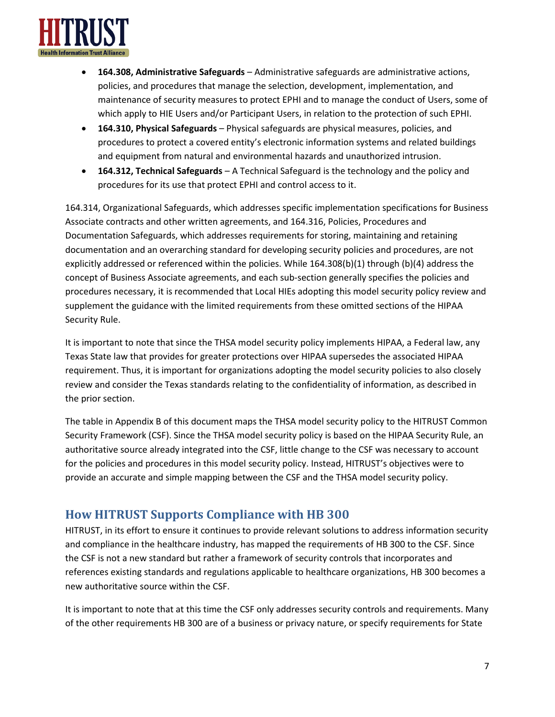

- **164.308, Administrative Safeguards** Administrative safeguards are administrative actions, policies, and procedures that manage the selection, development, implementation, and maintenance of security measures to protect EPHI and to manage the conduct of Users, some of which apply to HIE Users and/or Participant Users, in relation to the protection of such EPHI.
- **164.310, Physical Safeguards** Physical safeguards are physical measures, policies, and procedures to protect a covered entity's electronic information systems and related buildings and equipment from natural and environmental hazards and unauthorized intrusion.
- **164.312, Technical Safeguards** A Technical Safeguard is the technology and the policy and procedures for its use that protect EPHI and control access to it.

164.314, Organizational Safeguards, which addresses specific implementation specifications for Business Associate contracts and other written agreements, and 164.316, Policies, Procedures and Documentation Safeguards, which addresses requirements for storing, maintaining and retaining documentation and an overarching standard for developing security policies and procedures, are not explicitly addressed or referenced within the policies. While 164.308(b)(1) through (b)(4) address the concept of Business Associate agreements, and each sub-section generally specifies the policies and procedures necessary, it is recommended that Local HIEs adopting this model security policy review and supplement the guidance with the limited requirements from these omitted sections of the HIPAA Security Rule.

It is important to note that since the THSA model security policy implements HIPAA, a Federal law, any Texas State law that provides for greater protections over HIPAA supersedes the associated HIPAA requirement. Thus, it is important for organizations adopting the model security policies to also closely review and consider the Texas standards relating to the confidentiality of information, as described in the prior section.

The table in Appendix B of this document maps the THSA model security policy to the HITRUST Common Security Framework (CSF). Since the THSA model security policy is based on the HIPAA Security Rule, an authoritative source already integrated into the CSF, little change to the CSF was necessary to account for the policies and procedures in this model security policy. Instead, HITRUST's objectives were to provide an accurate and simple mapping between the CSF and the THSA model security policy.

## <span id="page-6-0"></span>**How HITRUST Supports Compliance with HB 300**

HITRUST, in its effort to ensure it continues to provide relevant solutions to address information security and compliance in the healthcare industry, has mapped the requirements of HB 300 to the CSF. Since the CSF is not a new standard but rather a framework of security controls that incorporates and references existing standards and regulations applicable to healthcare organizations, HB 300 becomes a new authoritative source within the CSF.

It is important to note that at this time the CSF only addresses security controls and requirements. Many of the other requirements HB 300 are of a business or privacy nature, or specify requirements for State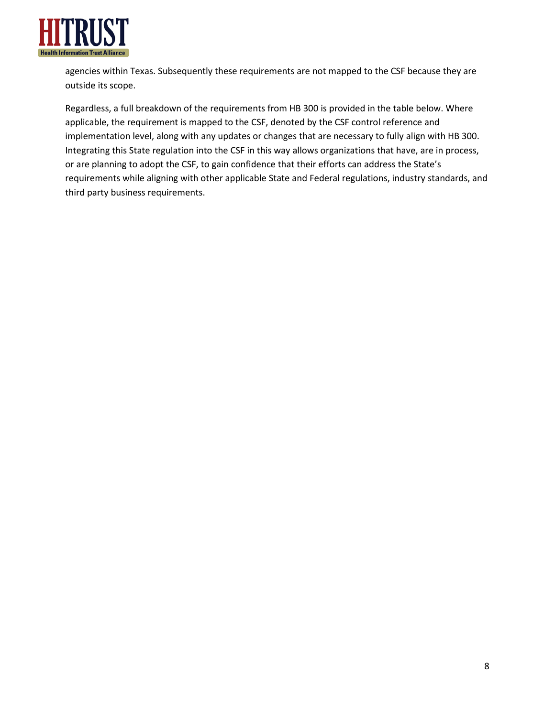

agencies within Texas. Subsequently these requirements are not mapped to the CSF because they are outside its scope.

Regardless, a full breakdown of the requirements from HB 300 is provided in the table below. Where applicable, the requirement is mapped to the CSF, denoted by the CSF control reference and implementation level, along with any updates or changes that are necessary to fully align with HB 300. Integrating this State regulation into the CSF in this way allows organizations that have, are in process, or are planning to adopt the CSF, to gain confidence that their efforts can address the State's requirements while aligning with other applicable State and Federal regulations, industry standards, and third party business requirements.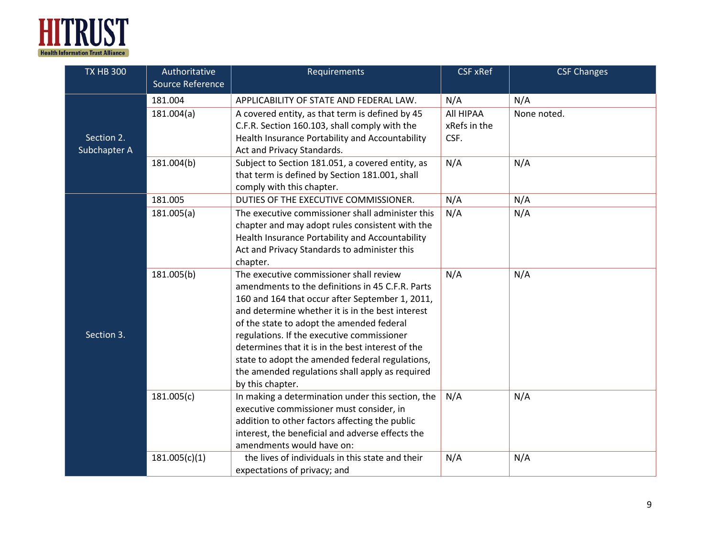

| <b>TX HB 300</b> | Authoritative    | Requirements                                      | <b>CSF xRef</b> | <b>CSF Changes</b> |
|------------------|------------------|---------------------------------------------------|-----------------|--------------------|
|                  | Source Reference |                                                   |                 |                    |
|                  | 181.004          | APPLICABILITY OF STATE AND FEDERAL LAW.           | N/A             | N/A                |
|                  | 181.004(a)       | A covered entity, as that term is defined by 45   | All HIPAA       | None noted.        |
|                  |                  | C.F.R. Section 160.103, shall comply with the     | xRefs in the    |                    |
| Section 2.       |                  | Health Insurance Portability and Accountability   | CSF.            |                    |
| Subchapter A     |                  | Act and Privacy Standards.                        |                 |                    |
|                  | 181.004(b)       | Subject to Section 181.051, a covered entity, as  | N/A             | N/A                |
|                  |                  | that term is defined by Section 181.001, shall    |                 |                    |
|                  |                  | comply with this chapter.                         |                 |                    |
|                  | 181.005          | DUTIES OF THE EXECUTIVE COMMISSIONER.             | N/A             | N/A                |
|                  | 181.005(a)       | The executive commissioner shall administer this  | N/A             | N/A                |
|                  |                  | chapter and may adopt rules consistent with the   |                 |                    |
|                  |                  | Health Insurance Portability and Accountability   |                 |                    |
|                  |                  | Act and Privacy Standards to administer this      |                 |                    |
|                  |                  | chapter.                                          |                 |                    |
|                  | 181.005(b)       | The executive commissioner shall review           | N/A             | N/A                |
|                  |                  | amendments to the definitions in 45 C.F.R. Parts  |                 |                    |
|                  |                  | 160 and 164 that occur after September 1, 2011,   |                 |                    |
|                  |                  | and determine whether it is in the best interest  |                 |                    |
|                  |                  | of the state to adopt the amended federal         |                 |                    |
| Section 3.       |                  | regulations. If the executive commissioner        |                 |                    |
|                  |                  | determines that it is in the best interest of the |                 |                    |
|                  |                  | state to adopt the amended federal regulations,   |                 |                    |
|                  |                  | the amended regulations shall apply as required   |                 |                    |
|                  |                  | by this chapter.                                  |                 |                    |
|                  | 181.005(c)       | In making a determination under this section, the | N/A             | N/A                |
|                  |                  | executive commissioner must consider, in          |                 |                    |
|                  |                  | addition to other factors affecting the public    |                 |                    |
|                  |                  | interest, the beneficial and adverse effects the  |                 |                    |
|                  |                  | amendments would have on:                         |                 |                    |
|                  | 181.005(c)(1)    | the lives of individuals in this state and their  | N/A             | N/A                |
|                  |                  | expectations of privacy; and                      |                 |                    |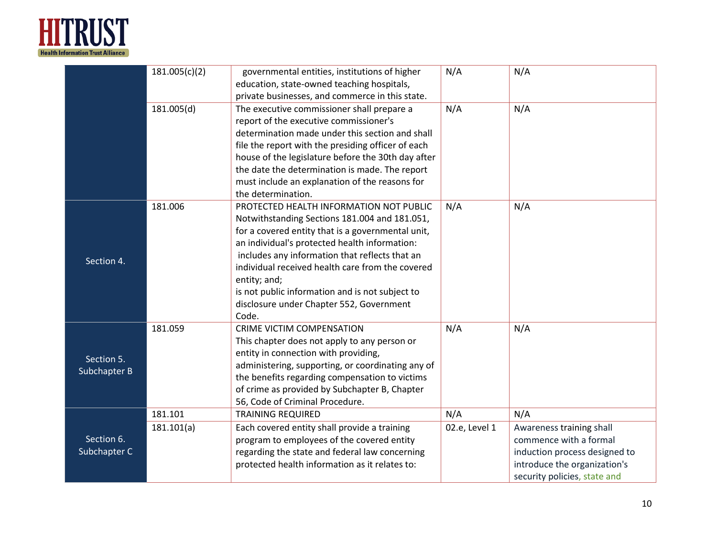

|                            | 181.005(c)(2)         | governmental entities, institutions of higher<br>education, state-owned teaching hospitals,<br>private businesses, and commerce in this state.                                                                                                                                                                                                                                                                               | N/A                  | N/A                                                                                                                                                        |
|----------------------------|-----------------------|------------------------------------------------------------------------------------------------------------------------------------------------------------------------------------------------------------------------------------------------------------------------------------------------------------------------------------------------------------------------------------------------------------------------------|----------------------|------------------------------------------------------------------------------------------------------------------------------------------------------------|
|                            | 181.005(d)            | The executive commissioner shall prepare a<br>report of the executive commissioner's<br>determination made under this section and shall<br>file the report with the presiding officer of each<br>house of the legislature before the 30th day after<br>the date the determination is made. The report<br>must include an explanation of the reasons for<br>the determination.                                                | N/A                  | N/A                                                                                                                                                        |
| Section 4.                 | 181.006               | PROTECTED HEALTH INFORMATION NOT PUBLIC<br>Notwithstanding Sections 181.004 and 181.051,<br>for a covered entity that is a governmental unit,<br>an individual's protected health information:<br>includes any information that reflects that an<br>individual received health care from the covered<br>entity; and;<br>is not public information and is not subject to<br>disclosure under Chapter 552, Government<br>Code. | N/A                  | N/A                                                                                                                                                        |
| Section 5.<br>Subchapter B | 181.059               | <b>CRIME VICTIM COMPENSATION</b><br>This chapter does not apply to any person or<br>entity in connection with providing,<br>administering, supporting, or coordinating any of<br>the benefits regarding compensation to victims<br>of crime as provided by Subchapter B, Chapter<br>56, Code of Criminal Procedure.                                                                                                          | N/A                  | N/A                                                                                                                                                        |
| Section 6.<br>Subchapter C | 181.101<br>181.101(a) | <b>TRAINING REQUIRED</b><br>Each covered entity shall provide a training<br>program to employees of the covered entity<br>regarding the state and federal law concerning<br>protected health information as it relates to:                                                                                                                                                                                                   | N/A<br>02.e, Level 1 | N/A<br>Awareness training shall<br>commence with a formal<br>induction process designed to<br>introduce the organization's<br>security policies, state and |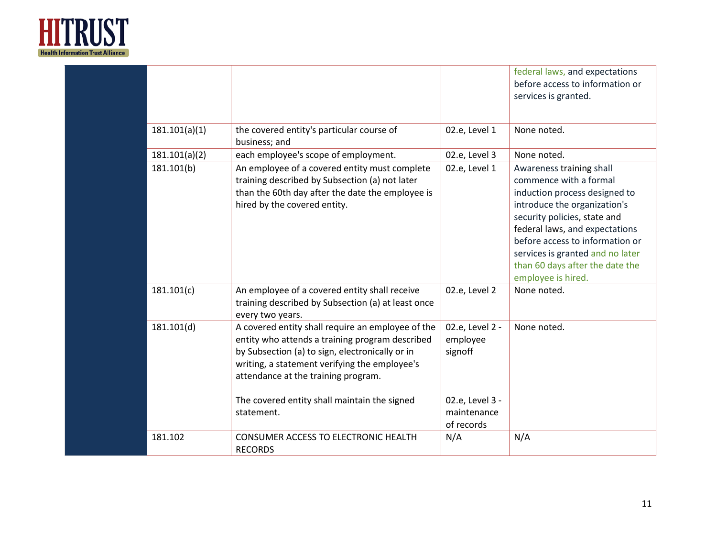

|               |                                                                                                                                                                                                                                                 |                                              | federal laws, and expectations<br>before access to information or<br>services is granted.                                                                                                                                                                                                                             |
|---------------|-------------------------------------------------------------------------------------------------------------------------------------------------------------------------------------------------------------------------------------------------|----------------------------------------------|-----------------------------------------------------------------------------------------------------------------------------------------------------------------------------------------------------------------------------------------------------------------------------------------------------------------------|
| 181.101(a)(1) | the covered entity's particular course of<br>business; and                                                                                                                                                                                      | 02.e, Level 1                                | None noted.                                                                                                                                                                                                                                                                                                           |
| 181.101(a)(2) | each employee's scope of employment.                                                                                                                                                                                                            | 02.e, Level 3                                | None noted.                                                                                                                                                                                                                                                                                                           |
| 181.101(b)    | An employee of a covered entity must complete<br>training described by Subsection (a) not later<br>than the 60th day after the date the employee is<br>hired by the covered entity.                                                             | 02.e, Level 1                                | Awareness training shall<br>commence with a formal<br>induction process designed to<br>introduce the organization's<br>security policies, state and<br>federal laws, and expectations<br>before access to information or<br>services is granted and no later<br>than 60 days after the date the<br>employee is hired. |
| 181.101(c)    | An employee of a covered entity shall receive<br>training described by Subsection (a) at least once<br>every two years.                                                                                                                         | 02.e, Level 2                                | None noted.                                                                                                                                                                                                                                                                                                           |
| 181.101(d)    | A covered entity shall require an employee of the<br>entity who attends a training program described<br>by Subsection (a) to sign, electronically or in<br>writing, a statement verifying the employee's<br>attendance at the training program. | 02.e, Level 2 -<br>employee<br>signoff       | None noted.                                                                                                                                                                                                                                                                                                           |
|               | The covered entity shall maintain the signed<br>statement.                                                                                                                                                                                      | 02.e, Level 3 -<br>maintenance<br>of records |                                                                                                                                                                                                                                                                                                                       |
| 181.102       | CONSUMER ACCESS TO ELECTRONIC HEALTH<br><b>RECORDS</b>                                                                                                                                                                                          | N/A                                          | N/A                                                                                                                                                                                                                                                                                                                   |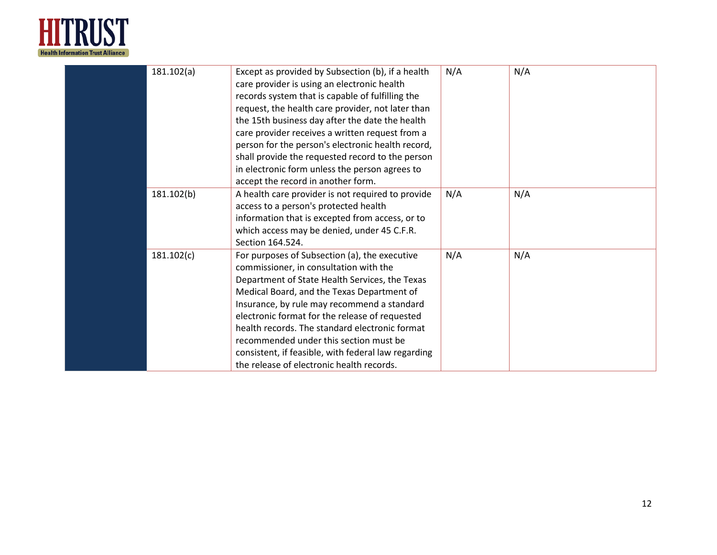

| 181.102(a) | Except as provided by Subsection (b), if a health   | N/A | N/A |
|------------|-----------------------------------------------------|-----|-----|
|            | care provider is using an electronic health         |     |     |
|            | records system that is capable of fulfilling the    |     |     |
|            | request, the health care provider, not later than   |     |     |
|            | the 15th business day after the date the health     |     |     |
|            | care provider receives a written request from a     |     |     |
|            | person for the person's electronic health record,   |     |     |
|            | shall provide the requested record to the person    |     |     |
|            | in electronic form unless the person agrees to      |     |     |
|            | accept the record in another form.                  |     |     |
| 181.102(b) | A health care provider is not required to provide   | N/A | N/A |
|            | access to a person's protected health               |     |     |
|            | information that is excepted from access, or to     |     |     |
|            | which access may be denied, under 45 C.F.R.         |     |     |
|            | Section 164.524.                                    |     |     |
| 181.102(c) | For purposes of Subsection (a), the executive       | N/A | N/A |
|            | commissioner, in consultation with the              |     |     |
|            | Department of State Health Services, the Texas      |     |     |
|            | Medical Board, and the Texas Department of          |     |     |
|            | Insurance, by rule may recommend a standard         |     |     |
|            | electronic format for the release of requested      |     |     |
|            | health records. The standard electronic format      |     |     |
|            | recommended under this section must be              |     |     |
|            | consistent, if feasible, with federal law regarding |     |     |
|            | the release of electronic health records.           |     |     |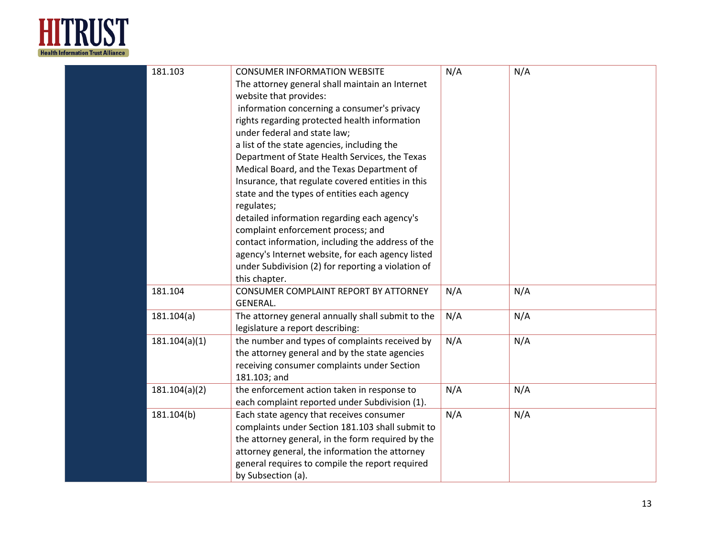

| 181.103       | <b>CONSUMER INFORMATION WEBSITE</b><br>The attorney general shall maintain an Internet<br>website that provides:<br>information concerning a consumer's privacy<br>rights regarding protected health information<br>under federal and state law;<br>a list of the state agencies, including the<br>Department of State Health Services, the Texas<br>Medical Board, and the Texas Department of<br>Insurance, that regulate covered entities in this<br>state and the types of entities each agency<br>regulates;<br>detailed information regarding each agency's<br>complaint enforcement process; and<br>contact information, including the address of the<br>agency's Internet website, for each agency listed<br>under Subdivision (2) for reporting a violation of<br>this chapter. | N/A | N/A |
|---------------|------------------------------------------------------------------------------------------------------------------------------------------------------------------------------------------------------------------------------------------------------------------------------------------------------------------------------------------------------------------------------------------------------------------------------------------------------------------------------------------------------------------------------------------------------------------------------------------------------------------------------------------------------------------------------------------------------------------------------------------------------------------------------------------|-----|-----|
| 181.104       | CONSUMER COMPLAINT REPORT BY ATTORNEY<br><b>GENERAL.</b>                                                                                                                                                                                                                                                                                                                                                                                                                                                                                                                                                                                                                                                                                                                                 | N/A | N/A |
| 181.104(a)    | The attorney general annually shall submit to the<br>legislature a report describing:                                                                                                                                                                                                                                                                                                                                                                                                                                                                                                                                                                                                                                                                                                    | N/A | N/A |
| 181.104(a)(1) | the number and types of complaints received by<br>the attorney general and by the state agencies<br>receiving consumer complaints under Section<br>181.103; and                                                                                                                                                                                                                                                                                                                                                                                                                                                                                                                                                                                                                          | N/A | N/A |
| 181.104(a)(2) | the enforcement action taken in response to<br>each complaint reported under Subdivision (1).                                                                                                                                                                                                                                                                                                                                                                                                                                                                                                                                                                                                                                                                                            | N/A | N/A |
| 181.104(b)    | Each state agency that receives consumer<br>complaints under Section 181.103 shall submit to<br>the attorney general, in the form required by the<br>attorney general, the information the attorney<br>general requires to compile the report required<br>by Subsection (a).                                                                                                                                                                                                                                                                                                                                                                                                                                                                                                             | N/A | N/A |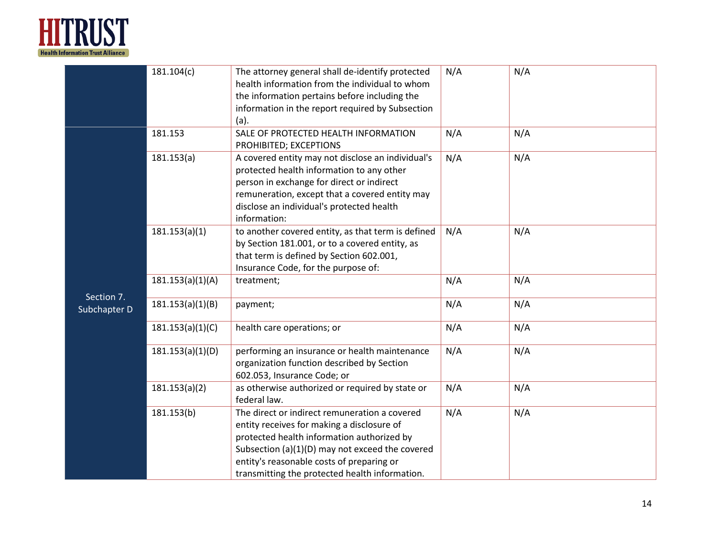

|                            | 181.104(c)       | The attorney general shall de-identify protected<br>health information from the individual to whom<br>the information pertains before including the<br>information in the report required by Subsection<br>(a).                                                                             | N/A | N/A |
|----------------------------|------------------|---------------------------------------------------------------------------------------------------------------------------------------------------------------------------------------------------------------------------------------------------------------------------------------------|-----|-----|
|                            | 181.153          | SALE OF PROTECTED HEALTH INFORMATION<br>PROHIBITED; EXCEPTIONS                                                                                                                                                                                                                              | N/A | N/A |
|                            | 181.153(a)       | A covered entity may not disclose an individual's<br>protected health information to any other<br>person in exchange for direct or indirect<br>remuneration, except that a covered entity may<br>disclose an individual's protected health<br>information:                                  | N/A | N/A |
|                            | 181.153(a)(1)    | to another covered entity, as that term is defined<br>by Section 181.001, or to a covered entity, as<br>that term is defined by Section 602.001,<br>Insurance Code, for the purpose of:                                                                                                     | N/A | N/A |
|                            | 181.153(a)(1)(A) | treatment;                                                                                                                                                                                                                                                                                  | N/A | N/A |
| Section 7.<br>Subchapter D | 181.153(a)(1)(B) | payment;                                                                                                                                                                                                                                                                                    | N/A | N/A |
|                            | 181.153(a)(1)(C) | health care operations; or                                                                                                                                                                                                                                                                  | N/A | N/A |
|                            | 181.153(a)(1)(D) | performing an insurance or health maintenance<br>organization function described by Section<br>602.053, Insurance Code; or                                                                                                                                                                  | N/A | N/A |
|                            | 181.153(a)(2)    | as otherwise authorized or required by state or<br>federal law.                                                                                                                                                                                                                             | N/A | N/A |
|                            | 181.153(b)       | The direct or indirect remuneration a covered<br>entity receives for making a disclosure of<br>protected health information authorized by<br>Subsection (a)(1)(D) may not exceed the covered<br>entity's reasonable costs of preparing or<br>transmitting the protected health information. | N/A | N/A |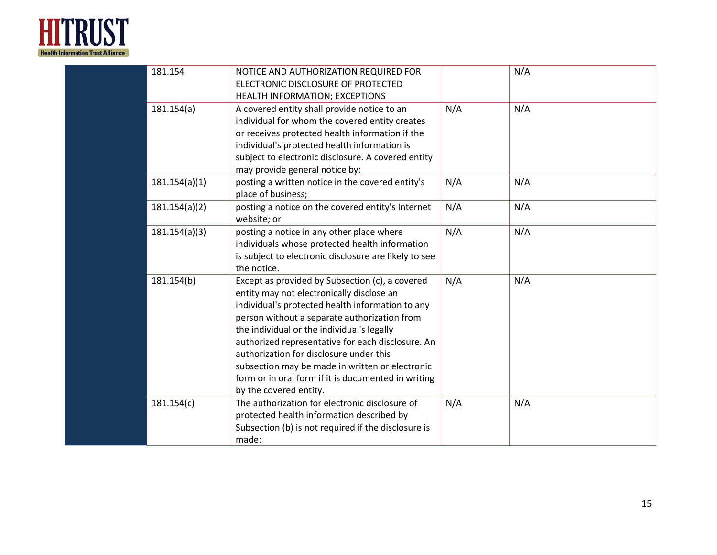

| 181.154       | NOTICE AND AUTHORIZATION REQUIRED FOR<br>ELECTRONIC DISCLOSURE OF PROTECTED<br>HEALTH INFORMATION; EXCEPTIONS                                                                                                                                                                                                                                                                                                                                                                      |     | N/A |
|---------------|------------------------------------------------------------------------------------------------------------------------------------------------------------------------------------------------------------------------------------------------------------------------------------------------------------------------------------------------------------------------------------------------------------------------------------------------------------------------------------|-----|-----|
| 181.154(a)    | A covered entity shall provide notice to an<br>individual for whom the covered entity creates<br>or receives protected health information if the<br>individual's protected health information is<br>subject to electronic disclosure. A covered entity<br>may provide general notice by:                                                                                                                                                                                           | N/A | N/A |
| 181.154(a)(1) | posting a written notice in the covered entity's<br>place of business;                                                                                                                                                                                                                                                                                                                                                                                                             | N/A | N/A |
| 181.154(a)(2) | posting a notice on the covered entity's Internet<br>website; or                                                                                                                                                                                                                                                                                                                                                                                                                   | N/A | N/A |
| 181.154(a)(3) | posting a notice in any other place where<br>individuals whose protected health information<br>is subject to electronic disclosure are likely to see<br>the notice.                                                                                                                                                                                                                                                                                                                | N/A | N/A |
| 181.154(b)    | Except as provided by Subsection (c), a covered<br>entity may not electronically disclose an<br>individual's protected health information to any<br>person without a separate authorization from<br>the individual or the individual's legally<br>authorized representative for each disclosure. An<br>authorization for disclosure under this<br>subsection may be made in written or electronic<br>form or in oral form if it is documented in writing<br>by the covered entity. | N/A | N/A |
| 181.154(c)    | The authorization for electronic disclosure of<br>protected health information described by<br>Subsection (b) is not required if the disclosure is<br>made:                                                                                                                                                                                                                                                                                                                        | N/A | N/A |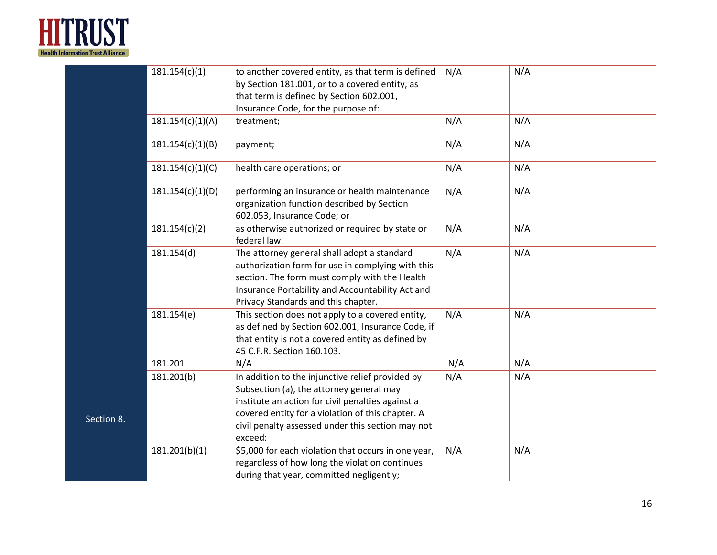

|            | 181.154(c)(1)    | to another covered entity, as that term is defined<br>by Section 181.001, or to a covered entity, as<br>that term is defined by Section 602.001,<br>Insurance Code, for the purpose of:                                                                                | N/A | N/A |
|------------|------------------|------------------------------------------------------------------------------------------------------------------------------------------------------------------------------------------------------------------------------------------------------------------------|-----|-----|
|            | 181.154(c)(1)(A) | treatment;                                                                                                                                                                                                                                                             | N/A | N/A |
|            | 181.154(c)(1)(B) | payment;                                                                                                                                                                                                                                                               | N/A | N/A |
|            | 181.154(c)(1)(C) | health care operations; or                                                                                                                                                                                                                                             | N/A | N/A |
|            | 181.154(c)(1)(D) | performing an insurance or health maintenance<br>organization function described by Section<br>602.053, Insurance Code; or                                                                                                                                             | N/A | N/A |
|            | 181.154(c)(2)    | as otherwise authorized or required by state or<br>federal law.                                                                                                                                                                                                        | N/A | N/A |
|            | 181.154(d)       | The attorney general shall adopt a standard<br>authorization form for use in complying with this<br>section. The form must comply with the Health<br>Insurance Portability and Accountability Act and<br>Privacy Standards and this chapter.                           | N/A | N/A |
|            | 181.154(e)       | This section does not apply to a covered entity,<br>as defined by Section 602.001, Insurance Code, if<br>that entity is not a covered entity as defined by<br>45 C.F.R. Section 160.103.                                                                               | N/A | N/A |
|            | 181.201          | N/A                                                                                                                                                                                                                                                                    | N/A | N/A |
| Section 8. | 181.201(b)       | In addition to the injunctive relief provided by<br>Subsection (a), the attorney general may<br>institute an action for civil penalties against a<br>covered entity for a violation of this chapter. A<br>civil penalty assessed under this section may not<br>exceed: | N/A | N/A |
|            | 181.201(b)(1)    | \$5,000 for each violation that occurs in one year,<br>regardless of how long the violation continues<br>during that year, committed negligently;                                                                                                                      | N/A | N/A |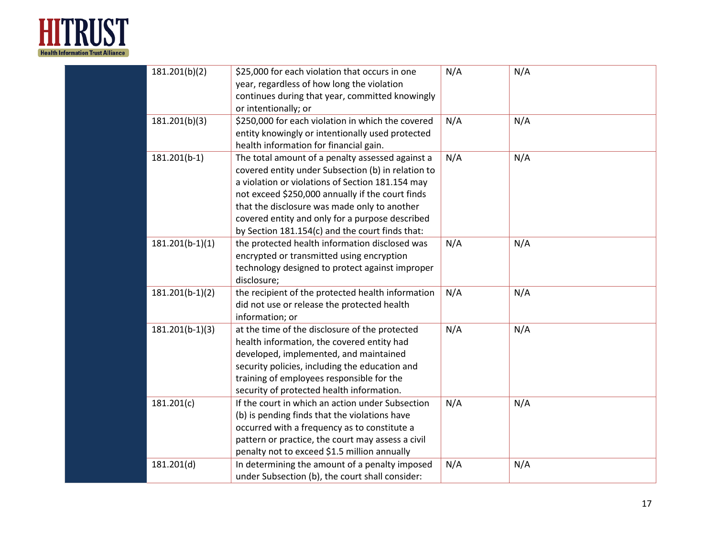

| 181.201(b)(2)     | \$25,000 for each violation that occurs in one<br>year, regardless of how long the violation<br>continues during that year, committed knowingly<br>or intentionally; or                                                                                                                                                                                              | N/A | N/A |
|-------------------|----------------------------------------------------------------------------------------------------------------------------------------------------------------------------------------------------------------------------------------------------------------------------------------------------------------------------------------------------------------------|-----|-----|
| 181.201(b)(3)     | \$250,000 for each violation in which the covered<br>entity knowingly or intentionally used protected<br>health information for financial gain.                                                                                                                                                                                                                      | N/A | N/A |
| $181.201(b-1)$    | The total amount of a penalty assessed against a<br>covered entity under Subsection (b) in relation to<br>a violation or violations of Section 181.154 may<br>not exceed \$250,000 annually if the court finds<br>that the disclosure was made only to another<br>covered entity and only for a purpose described<br>by Section 181.154(c) and the court finds that: | N/A | N/A |
| $181.201(b-1)(1)$ | the protected health information disclosed was<br>encrypted or transmitted using encryption<br>technology designed to protect against improper<br>disclosure;                                                                                                                                                                                                        | N/A | N/A |
| $181.201(b-1)(2)$ | the recipient of the protected health information<br>did not use or release the protected health<br>information; or                                                                                                                                                                                                                                                  | N/A | N/A |
| $181.201(b-1)(3)$ | at the time of the disclosure of the protected<br>health information, the covered entity had<br>developed, implemented, and maintained<br>security policies, including the education and<br>training of employees responsible for the<br>security of protected health information.                                                                                   | N/A | N/A |
| 181.201(c)        | If the court in which an action under Subsection<br>(b) is pending finds that the violations have<br>occurred with a frequency as to constitute a<br>pattern or practice, the court may assess a civil<br>penalty not to exceed \$1.5 million annually                                                                                                               | N/A | N/A |
| 181.201(d)        | In determining the amount of a penalty imposed<br>under Subsection (b), the court shall consider:                                                                                                                                                                                                                                                                    | N/A | N/A |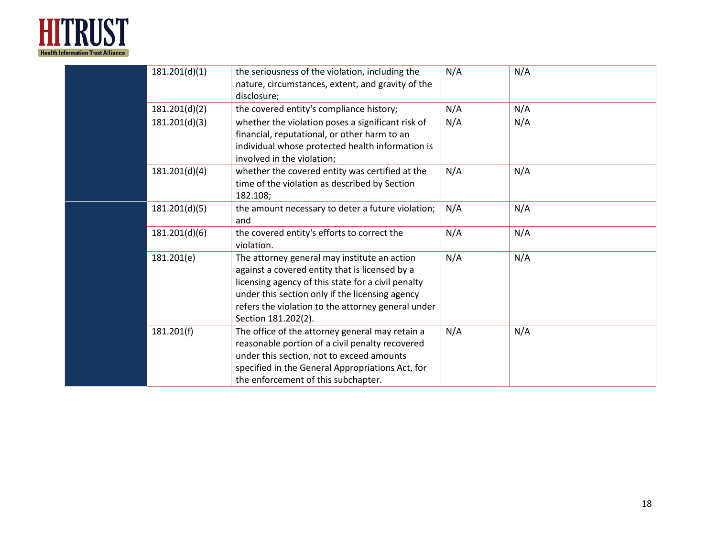

| 181.201(d)(1) | the seriousness of the violation, including the<br>nature, circumstances, extent, and gravity of the<br>disclosure;                                                                                                                                                                  | N/A | N/A |
|---------------|--------------------------------------------------------------------------------------------------------------------------------------------------------------------------------------------------------------------------------------------------------------------------------------|-----|-----|
| 181.201(d)(2) | the covered entity's compliance history;                                                                                                                                                                                                                                             | N/A | N/A |
| 181.201(d)(3) | whether the violation poses a significant risk of<br>financial, reputational, or other harm to an<br>individual whose protected health information is<br>involved in the violation;                                                                                                  | N/A | N/A |
| 181.201(d)(4) | whether the covered entity was certified at the<br>time of the violation as described by Section<br>182.108;                                                                                                                                                                         | N/A | N/A |
| 181.201(d)(5) | the amount necessary to deter a future violation;<br>and                                                                                                                                                                                                                             | N/A | N/A |
| 181.201(d)(6) | the covered entity's efforts to correct the<br>violation.                                                                                                                                                                                                                            | N/A | N/A |
| 181.201(e)    | The attorney general may institute an action<br>against a covered entity that is licensed by a<br>licensing agency of this state for a civil penalty<br>under this section only if the licensing agency<br>refers the violation to the attorney general under<br>Section 181.202(2). | N/A | N/A |
| 181.201(f)    | The office of the attorney general may retain a<br>reasonable portion of a civil penalty recovered<br>under this section, not to exceed amounts<br>specified in the General Appropriations Act, for<br>the enforcement of this subchapter.                                           | N/A | N/A |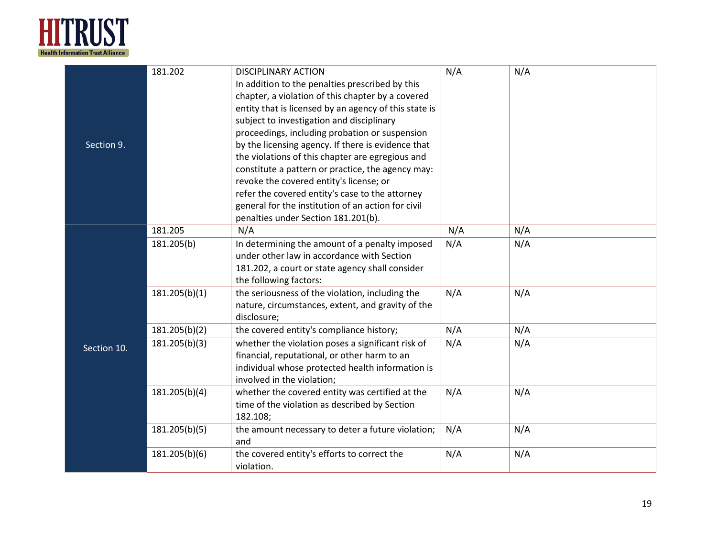

|             | 181.202       | <b>DISCIPLINARY ACTION</b>                            | N/A | N/A |
|-------------|---------------|-------------------------------------------------------|-----|-----|
|             |               | In addition to the penalties prescribed by this       |     |     |
|             |               | chapter, a violation of this chapter by a covered     |     |     |
|             |               | entity that is licensed by an agency of this state is |     |     |
|             |               | subject to investigation and disciplinary             |     |     |
|             |               | proceedings, including probation or suspension        |     |     |
| Section 9.  |               | by the licensing agency. If there is evidence that    |     |     |
|             |               | the violations of this chapter are egregious and      |     |     |
|             |               | constitute a pattern or practice, the agency may:     |     |     |
|             |               | revoke the covered entity's license; or               |     |     |
|             |               | refer the covered entity's case to the attorney       |     |     |
|             |               | general for the institution of an action for civil    |     |     |
|             |               | penalties under Section 181.201(b).                   |     |     |
|             | 181.205       | N/A                                                   | N/A | N/A |
|             | 181.205(b)    | In determining the amount of a penalty imposed        | N/A | N/A |
|             |               | under other law in accordance with Section            |     |     |
|             |               | 181.202, a court or state agency shall consider       |     |     |
|             |               | the following factors:                                |     |     |
|             | 181.205(b)(1) | the seriousness of the violation, including the       | N/A | N/A |
|             |               | nature, circumstances, extent, and gravity of the     |     |     |
|             |               | disclosure;                                           |     |     |
|             | 181.205(b)(2) | the covered entity's compliance history;              | N/A | N/A |
| Section 10. | 181.205(b)(3) | whether the violation poses a significant risk of     | N/A | N/A |
|             |               | financial, reputational, or other harm to an          |     |     |
|             |               | individual whose protected health information is      |     |     |
|             |               | involved in the violation;                            |     |     |
|             | 181.205(b)(4) | whether the covered entity was certified at the       | N/A | N/A |
|             |               | time of the violation as described by Section         |     |     |
|             |               | 182.108;                                              |     |     |
|             | 181.205(b)(5) | the amount necessary to deter a future violation;     | N/A | N/A |
|             |               | and                                                   |     |     |
|             | 181.205(b)(6) | the covered entity's efforts to correct the           | N/A | N/A |
|             |               | violation.                                            |     |     |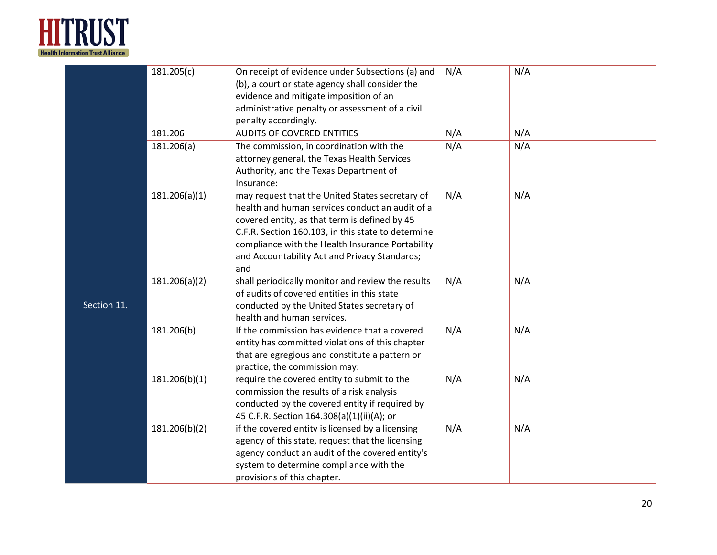

|             | 181.205(c)    | On receipt of evidence under Subsections (a) and<br>(b), a court or state agency shall consider the<br>evidence and mitigate imposition of an<br>administrative penalty or assessment of a civil<br>penalty accordingly.                                                                                              | N/A | N/A |
|-------------|---------------|-----------------------------------------------------------------------------------------------------------------------------------------------------------------------------------------------------------------------------------------------------------------------------------------------------------------------|-----|-----|
|             | 181.206       | <b>AUDITS OF COVERED ENTITIES</b>                                                                                                                                                                                                                                                                                     | N/A | N/A |
|             | 181.206(a)    | The commission, in coordination with the<br>attorney general, the Texas Health Services<br>Authority, and the Texas Department of<br>Insurance:                                                                                                                                                                       | N/A | N/A |
|             | 181.206(a)(1) | may request that the United States secretary of<br>health and human services conduct an audit of a<br>covered entity, as that term is defined by 45<br>C.F.R. Section 160.103, in this state to determine<br>compliance with the Health Insurance Portability<br>and Accountability Act and Privacy Standards;<br>and | N/A | N/A |
| Section 11. | 181.206(a)(2) | shall periodically monitor and review the results<br>of audits of covered entities in this state<br>conducted by the United States secretary of<br>health and human services.                                                                                                                                         | N/A | N/A |
|             | 181.206(b)    | If the commission has evidence that a covered<br>entity has committed violations of this chapter<br>that are egregious and constitute a pattern or<br>practice, the commission may:                                                                                                                                   | N/A | N/A |
|             | 181.206(b)(1) | require the covered entity to submit to the<br>commission the results of a risk analysis<br>conducted by the covered entity if required by<br>45 C.F.R. Section 164.308(a)(1)(ii)(A); or                                                                                                                              | N/A | N/A |
|             | 181.206(b)(2) | if the covered entity is licensed by a licensing<br>agency of this state, request that the licensing<br>agency conduct an audit of the covered entity's<br>system to determine compliance with the<br>provisions of this chapter.                                                                                     | N/A | N/A |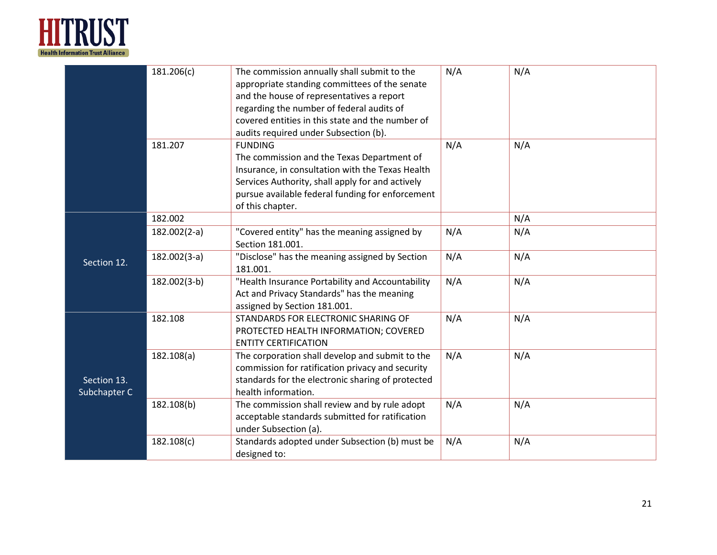

|                             | 181.206(c)     | The commission annually shall submit to the<br>appropriate standing committees of the senate<br>and the house of representatives a report<br>regarding the number of federal audits of<br>covered entities in this state and the number of<br>audits required under Subsection (b). | N/A | N/A |
|-----------------------------|----------------|-------------------------------------------------------------------------------------------------------------------------------------------------------------------------------------------------------------------------------------------------------------------------------------|-----|-----|
|                             | 181.207        | <b>FUNDING</b><br>The commission and the Texas Department of<br>Insurance, in consultation with the Texas Health<br>Services Authority, shall apply for and actively<br>pursue available federal funding for enforcement<br>of this chapter.                                        | N/A | N/A |
|                             | 182.002        |                                                                                                                                                                                                                                                                                     |     | N/A |
|                             | $182.002(2-a)$ | "Covered entity" has the meaning assigned by<br>Section 181.001.                                                                                                                                                                                                                    | N/A | N/A |
| Section 12.                 | $182.002(3-a)$ | "Disclose" has the meaning assigned by Section<br>181.001.                                                                                                                                                                                                                          | N/A | N/A |
|                             | 182.002(3-b)   | "Health Insurance Portability and Accountability<br>Act and Privacy Standards" has the meaning<br>assigned by Section 181.001.                                                                                                                                                      | N/A | N/A |
|                             | 182.108        | STANDARDS FOR ELECTRONIC SHARING OF<br>PROTECTED HEALTH INFORMATION; COVERED<br><b>ENTITY CERTIFICATION</b>                                                                                                                                                                         | N/A | N/A |
| Section 13.<br>Subchapter C | 182.108(a)     | The corporation shall develop and submit to the<br>commission for ratification privacy and security<br>standards for the electronic sharing of protected<br>health information.                                                                                                     | N/A | N/A |
|                             | 182.108(b)     | The commission shall review and by rule adopt<br>acceptable standards submitted for ratification<br>under Subsection (a).                                                                                                                                                           | N/A | N/A |
|                             | 182.108(c)     | Standards adopted under Subsection (b) must be<br>designed to:                                                                                                                                                                                                                      | N/A | N/A |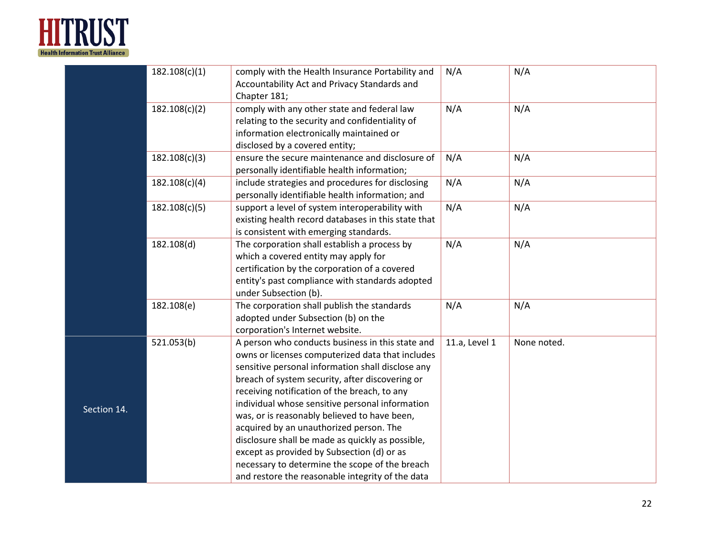

|             | 182.108(c)(1) | comply with the Health Insurance Portability and<br>Accountability Act and Privacy Standards and<br>Chapter 181;                                                                                                                                                                                                                                                                                                                                                                                                                                                                                                   | N/A           | N/A         |
|-------------|---------------|--------------------------------------------------------------------------------------------------------------------------------------------------------------------------------------------------------------------------------------------------------------------------------------------------------------------------------------------------------------------------------------------------------------------------------------------------------------------------------------------------------------------------------------------------------------------------------------------------------------------|---------------|-------------|
|             | 182.108(c)(2) | comply with any other state and federal law<br>relating to the security and confidentiality of<br>information electronically maintained or<br>disclosed by a covered entity;                                                                                                                                                                                                                                                                                                                                                                                                                                       | N/A           | N/A         |
|             | 182.108(c)(3) | ensure the secure maintenance and disclosure of<br>personally identifiable health information;                                                                                                                                                                                                                                                                                                                                                                                                                                                                                                                     | N/A           | N/A         |
|             | 182.108(c)(4) | include strategies and procedures for disclosing<br>personally identifiable health information; and                                                                                                                                                                                                                                                                                                                                                                                                                                                                                                                | N/A           | N/A         |
|             | 182.108(c)(5) | support a level of system interoperability with<br>existing health record databases in this state that<br>is consistent with emerging standards.                                                                                                                                                                                                                                                                                                                                                                                                                                                                   | N/A           | N/A         |
|             | 182.108(d)    | The corporation shall establish a process by<br>which a covered entity may apply for<br>certification by the corporation of a covered<br>entity's past compliance with standards adopted<br>under Subsection (b).                                                                                                                                                                                                                                                                                                                                                                                                  | N/A           | N/A         |
|             | 182.108(e)    | The corporation shall publish the standards<br>adopted under Subsection (b) on the<br>corporation's Internet website.                                                                                                                                                                                                                                                                                                                                                                                                                                                                                              | N/A           | N/A         |
| Section 14. | 521.053(b)    | A person who conducts business in this state and<br>owns or licenses computerized data that includes<br>sensitive personal information shall disclose any<br>breach of system security, after discovering or<br>receiving notification of the breach, to any<br>individual whose sensitive personal information<br>was, or is reasonably believed to have been,<br>acquired by an unauthorized person. The<br>disclosure shall be made as quickly as possible,<br>except as provided by Subsection (d) or as<br>necessary to determine the scope of the breach<br>and restore the reasonable integrity of the data | 11.a, Level 1 | None noted. |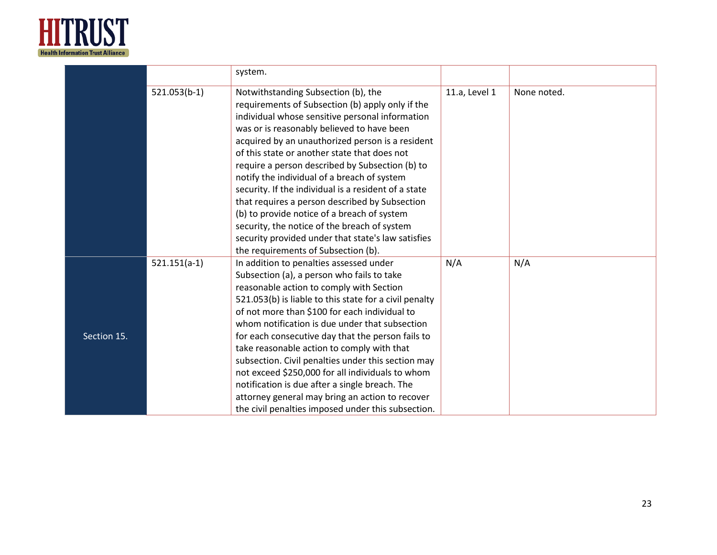

|             |                | system.                                                                                                                                                                                                                                                                                                                                                                                                                                                                                                                                                                                                                                                                                              |               |             |
|-------------|----------------|------------------------------------------------------------------------------------------------------------------------------------------------------------------------------------------------------------------------------------------------------------------------------------------------------------------------------------------------------------------------------------------------------------------------------------------------------------------------------------------------------------------------------------------------------------------------------------------------------------------------------------------------------------------------------------------------------|---------------|-------------|
|             | $521.053(b-1)$ | Notwithstanding Subsection (b), the<br>requirements of Subsection (b) apply only if the<br>individual whose sensitive personal information<br>was or is reasonably believed to have been<br>acquired by an unauthorized person is a resident<br>of this state or another state that does not<br>require a person described by Subsection (b) to<br>notify the individual of a breach of system<br>security. If the individual is a resident of a state<br>that requires a person described by Subsection<br>(b) to provide notice of a breach of system<br>security, the notice of the breach of system<br>security provided under that state's law satisfies<br>the requirements of Subsection (b). | 11.a, Level 1 | None noted. |
| Section 15. | $521.151(a-1)$ | In addition to penalties assessed under<br>Subsection (a), a person who fails to take<br>reasonable action to comply with Section<br>521.053(b) is liable to this state for a civil penalty<br>of not more than \$100 for each individual to<br>whom notification is due under that subsection<br>for each consecutive day that the person fails to<br>take reasonable action to comply with that<br>subsection. Civil penalties under this section may<br>not exceed \$250,000 for all individuals to whom<br>notification is due after a single breach. The<br>attorney general may bring an action to recover<br>the civil penalties imposed under this subsection.                               | N/A           | N/A         |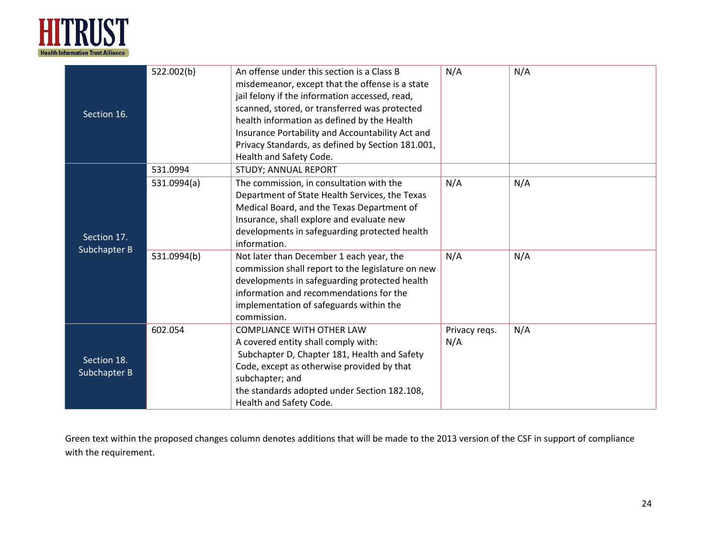

| Section 16.                 | 522.002(b)  | An offense under this section is a Class B<br>misdemeanor, except that the offense is a state<br>jail felony if the information accessed, read,<br>scanned, stored, or transferred was protected<br>health information as defined by the Health<br>Insurance Portability and Accountability Act and<br>Privacy Standards, as defined by Section 181.001,<br>Health and Safety Code. | N/A                  | N/A |
|-----------------------------|-------------|-------------------------------------------------------------------------------------------------------------------------------------------------------------------------------------------------------------------------------------------------------------------------------------------------------------------------------------------------------------------------------------|----------------------|-----|
|                             | 531.0994    | <b>STUDY; ANNUAL REPORT</b>                                                                                                                                                                                                                                                                                                                                                         |                      |     |
| Section 17.<br>Subchapter B | 531.0994(a) | The commission, in consultation with the<br>Department of State Health Services, the Texas<br>Medical Board, and the Texas Department of<br>Insurance, shall explore and evaluate new<br>developments in safeguarding protected health<br>information.                                                                                                                              | N/A                  | N/A |
|                             | 531.0994(b) | Not later than December 1 each year, the<br>commission shall report to the legislature on new<br>developments in safeguarding protected health<br>information and recommendations for the<br>implementation of safeguards within the<br>commission.                                                                                                                                 | N/A                  | N/A |
| Section 18.<br>Subchapter B | 602.054     | <b>COMPLIANCE WITH OTHER LAW</b><br>A covered entity shall comply with:<br>Subchapter D, Chapter 181, Health and Safety<br>Code, except as otherwise provided by that<br>subchapter; and<br>the standards adopted under Section 182.108,<br>Health and Safety Code.                                                                                                                 | Privacy regs.<br>N/A | N/A |

Green text within the proposed changes column denotes additions that will be made to the 2013 version of the CSF in support of compliance with the requirement.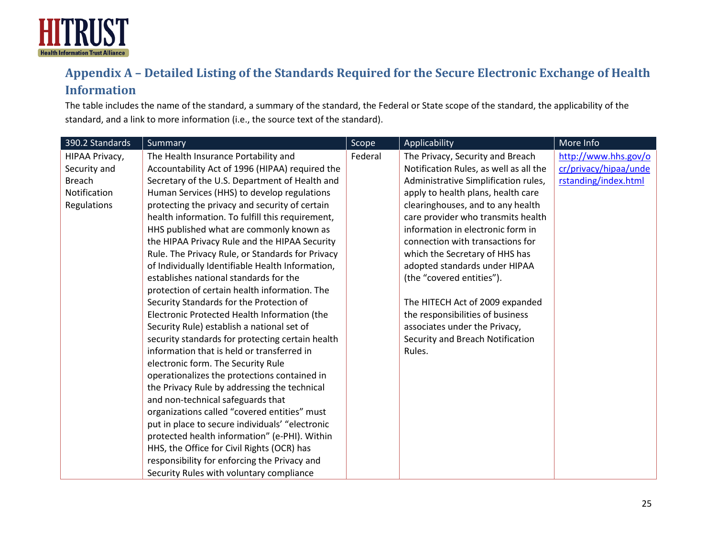

# **Appendix A – Detailed Listing of the Standards Required for the Secure Electronic Exchange of Health Information**

The table includes the name of the standard, a summary of the standard, the Federal or State scope of the standard, the applicability of the standard, and a link to more information (i.e., the source text of the standard).

<span id="page-24-0"></span>

| 390.2 Standards | <b>Summary</b>                                   | Scope   | Applicability                          | More Info             |
|-----------------|--------------------------------------------------|---------|----------------------------------------|-----------------------|
| HIPAA Privacy,  | The Health Insurance Portability and             | Federal | The Privacy, Security and Breach       | http://www.hhs.gov/o  |
| Security and    | Accountability Act of 1996 (HIPAA) required the  |         | Notification Rules, as well as all the | cr/privacy/hipaa/unde |
| <b>Breach</b>   | Secretary of the U.S. Department of Health and   |         | Administrative Simplification rules,   | rstanding/index.html  |
| Notification    | Human Services (HHS) to develop regulations      |         | apply to health plans, health care     |                       |
| Regulations     | protecting the privacy and security of certain   |         | clearinghouses, and to any health      |                       |
|                 | health information. To fulfill this requirement, |         | care provider who transmits health     |                       |
|                 | HHS published what are commonly known as         |         | information in electronic form in      |                       |
|                 | the HIPAA Privacy Rule and the HIPAA Security    |         | connection with transactions for       |                       |
|                 | Rule. The Privacy Rule, or Standards for Privacy |         | which the Secretary of HHS has         |                       |
|                 | of Individually Identifiable Health Information, |         | adopted standards under HIPAA          |                       |
|                 | establishes national standards for the           |         | (the "covered entities").              |                       |
|                 | protection of certain health information. The    |         |                                        |                       |
|                 | Security Standards for the Protection of         |         | The HITECH Act of 2009 expanded        |                       |
|                 | Electronic Protected Health Information (the     |         | the responsibilities of business       |                       |
|                 | Security Rule) establish a national set of       |         | associates under the Privacy,          |                       |
|                 | security standards for protecting certain health |         | Security and Breach Notification       |                       |
|                 | information that is held or transferred in       |         | Rules.                                 |                       |
|                 | electronic form. The Security Rule               |         |                                        |                       |
|                 | operationalizes the protections contained in     |         |                                        |                       |
|                 | the Privacy Rule by addressing the technical     |         |                                        |                       |
|                 | and non-technical safeguards that                |         |                                        |                       |
|                 | organizations called "covered entities" must     |         |                                        |                       |
|                 | put in place to secure individuals' "electronic  |         |                                        |                       |
|                 | protected health information" (e-PHI). Within    |         |                                        |                       |
|                 | HHS, the Office for Civil Rights (OCR) has       |         |                                        |                       |
|                 | responsibility for enforcing the Privacy and     |         |                                        |                       |
|                 | Security Rules with voluntary compliance         |         |                                        |                       |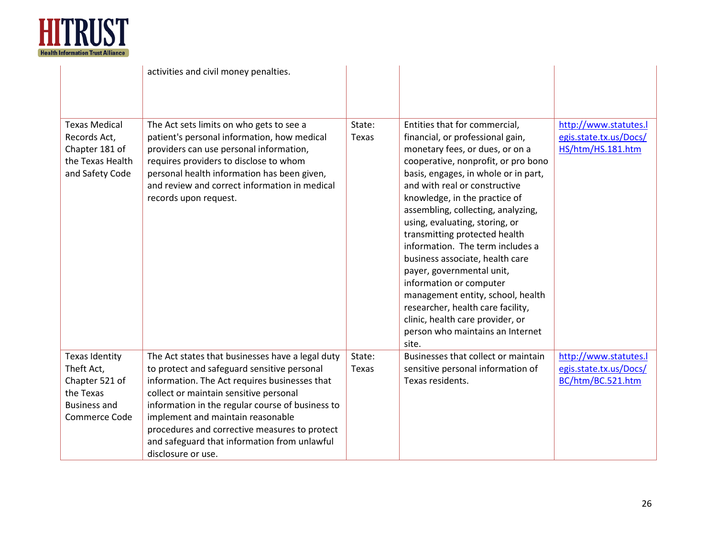

|                                                                                                            | activities and civil money penalties.                                                                                                                                                                                                                                                                                                                                                                      |                 |                                                                                                                                                                                                                                                                                                                                                                                                                                                                                                                                                                                                                                                          |                                                                      |
|------------------------------------------------------------------------------------------------------------|------------------------------------------------------------------------------------------------------------------------------------------------------------------------------------------------------------------------------------------------------------------------------------------------------------------------------------------------------------------------------------------------------------|-----------------|----------------------------------------------------------------------------------------------------------------------------------------------------------------------------------------------------------------------------------------------------------------------------------------------------------------------------------------------------------------------------------------------------------------------------------------------------------------------------------------------------------------------------------------------------------------------------------------------------------------------------------------------------------|----------------------------------------------------------------------|
| <b>Texas Medical</b><br>Records Act,<br>Chapter 181 of<br>the Texas Health<br>and Safety Code              | The Act sets limits on who gets to see a<br>patient's personal information, how medical<br>providers can use personal information,<br>requires providers to disclose to whom<br>personal health information has been given,<br>and review and correct information in medical<br>records upon request.                                                                                                      | State:<br>Texas | Entities that for commercial,<br>financial, or professional gain,<br>monetary fees, or dues, or on a<br>cooperative, nonprofit, or pro bono<br>basis, engages, in whole or in part,<br>and with real or constructive<br>knowledge, in the practice of<br>assembling, collecting, analyzing,<br>using, evaluating, storing, or<br>transmitting protected health<br>information. The term includes a<br>business associate, health care<br>payer, governmental unit,<br>information or computer<br>management entity, school, health<br>researcher, health care facility,<br>clinic, health care provider, or<br>person who maintains an Internet<br>site. | http://www.statutes.l<br>egis.state.tx.us/Docs/<br>HS/htm/HS.181.htm |
| <b>Texas Identity</b><br>Theft Act,<br>Chapter 521 of<br>the Texas<br><b>Business and</b><br>Commerce Code | The Act states that businesses have a legal duty<br>to protect and safeguard sensitive personal<br>information. The Act requires businesses that<br>collect or maintain sensitive personal<br>information in the regular course of business to<br>implement and maintain reasonable<br>procedures and corrective measures to protect<br>and safeguard that information from unlawful<br>disclosure or use. | State:<br>Texas | Businesses that collect or maintain<br>sensitive personal information of<br>Texas residents.                                                                                                                                                                                                                                                                                                                                                                                                                                                                                                                                                             | http://www.statutes.l<br>egis.state.tx.us/Docs/<br>BC/htm/BC.521.htm |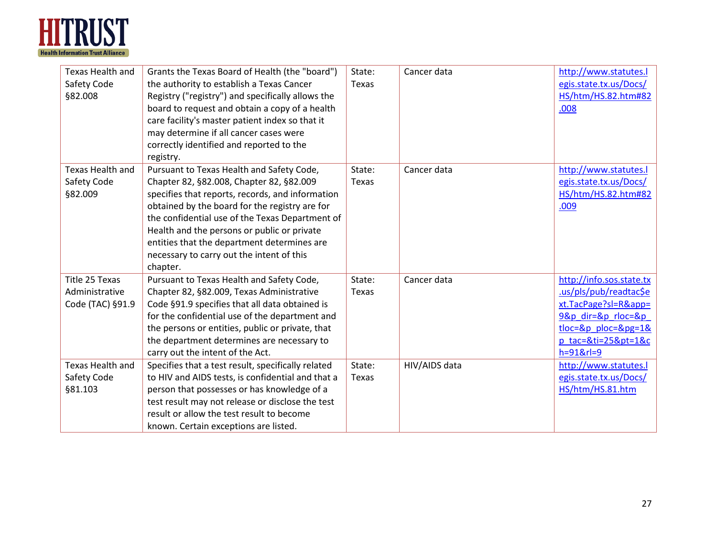

| Texas Health and        | Grants the Texas Board of Health (the "board")     | State: | Cancer data   | http://www.statutes.l    |
|-------------------------|----------------------------------------------------|--------|---------------|--------------------------|
| Safety Code             | the authority to establish a Texas Cancer          | Texas  |               | egis.state.tx.us/Docs/   |
| §82.008                 | Registry ("registry") and specifically allows the  |        |               | HS/htm/HS.82.htm#82      |
|                         | board to request and obtain a copy of a health     |        |               | .008                     |
|                         | care facility's master patient index so that it    |        |               |                          |
|                         | may determine if all cancer cases were             |        |               |                          |
|                         | correctly identified and reported to the           |        |               |                          |
|                         | registry.                                          |        |               |                          |
| <b>Texas Health and</b> | Pursuant to Texas Health and Safety Code,          | State: | Cancer data   | http://www.statutes.l    |
| Safety Code             | Chapter 82, §82.008, Chapter 82, §82.009           | Texas  |               | egis.state.tx.us/Docs/   |
| §82.009                 | specifies that reports, records, and information   |        |               | HS/htm/HS.82.htm#82      |
|                         | obtained by the board for the registry are for     |        |               | .009                     |
|                         | the confidential use of the Texas Department of    |        |               |                          |
|                         | Health and the persons or public or private        |        |               |                          |
|                         | entities that the department determines are        |        |               |                          |
|                         | necessary to carry out the intent of this          |        |               |                          |
|                         | chapter.                                           |        |               |                          |
| Title 25 Texas          | Pursuant to Texas Health and Safety Code,          | State: | Cancer data   | http://info.sos.state.tx |
| Administrative          | Chapter 82, §82.009, Texas Administrative          | Texas  |               | .us/pls/pub/readtac\$e   |
| Code (TAC) §91.9        | Code §91.9 specifies that all data obtained is     |        |               | xt.TacPage?sl=R&app=     |
|                         | for the confidential use of the department and     |        |               | 9&p dir=&p rloc=&p       |
|                         | the persons or entities, public or private, that   |        |               | tloc=&p_ploc=&pg=1&      |
|                         | the department determines are necessary to         |        |               | p tac=&ti=25&pt=1&c      |
|                         | carry out the intent of the Act.                   |        |               | $h = 918r = 9$           |
| Texas Health and        | Specifies that a test result, specifically related | State: | HIV/AIDS data | http://www.statutes.l    |
| Safety Code             | to HIV and AIDS tests, is confidential and that a  | Texas  |               | egis.state.tx.us/Docs/   |
| §81.103                 | person that possesses or has knowledge of a        |        |               | HS/htm/HS.81.htm         |
|                         | test result may not release or disclose the test   |        |               |                          |
|                         | result or allow the test result to become          |        |               |                          |
|                         | known. Certain exceptions are listed.              |        |               |                          |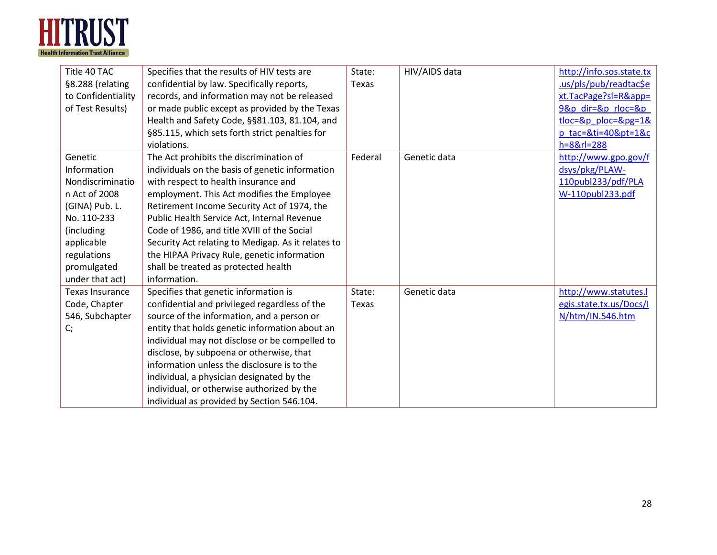

| Title 40 TAC           | Specifies that the results of HIV tests are        | State:  | HIV/AIDS data | http://info.sos.state.tx |
|------------------------|----------------------------------------------------|---------|---------------|--------------------------|
| §8.288 (relating       | confidential by law. Specifically reports,         | Texas   |               | .us/pls/pub/readtac\$e   |
| to Confidentiality     | records, and information may not be released       |         |               | xt.TacPage?sl=R&app=     |
| of Test Results)       | or made public except as provided by the Texas     |         |               | 9&p dir=&p rloc=&p       |
|                        | Health and Safety Code, §§81.103, 81.104, and      |         |               | $tloc=8p$ ploc= $8pg=18$ |
|                        | §85.115, which sets forth strict penalties for     |         |               | p tac=&ti=40&pt=1&c      |
|                        | violations.                                        |         |               | $h = 8 & r = 288$        |
| Genetic                | The Act prohibits the discrimination of            | Federal | Genetic data  | http://www.gpo.gov/f     |
| Information            | individuals on the basis of genetic information    |         |               | dsys/pkg/PLAW-           |
| Nondiscriminatio       | with respect to health insurance and               |         |               | 110publ233/pdf/PLA       |
| n Act of 2008          | employment. This Act modifies the Employee         |         |               | W-110publ233.pdf         |
| (GINA) Pub. L.         | Retirement Income Security Act of 1974, the        |         |               |                          |
| No. 110-233            | Public Health Service Act, Internal Revenue        |         |               |                          |
| (including             | Code of 1986, and title XVIII of the Social        |         |               |                          |
| applicable             | Security Act relating to Medigap. As it relates to |         |               |                          |
| regulations            | the HIPAA Privacy Rule, genetic information        |         |               |                          |
| promulgated            | shall be treated as protected health               |         |               |                          |
| under that act)        | information.                                       |         |               |                          |
| <b>Texas Insurance</b> | Specifies that genetic information is              | State:  | Genetic data  | http://www.statutes.l    |
| Code, Chapter          | confidential and privileged regardless of the      | Texas   |               | egis.state.tx.us/Docs/I  |
| 546, Subchapter        | source of the information, and a person or         |         |               | N/htm/IN.546.htm         |
| $C_{i}$                | entity that holds genetic information about an     |         |               |                          |
|                        | individual may not disclose or be compelled to     |         |               |                          |
|                        | disclose, by subpoena or otherwise, that           |         |               |                          |
|                        | information unless the disclosure is to the        |         |               |                          |
|                        | individual, a physician designated by the          |         |               |                          |
|                        | individual, or otherwise authorized by the         |         |               |                          |
|                        | individual as provided by Section 546.104.         |         |               |                          |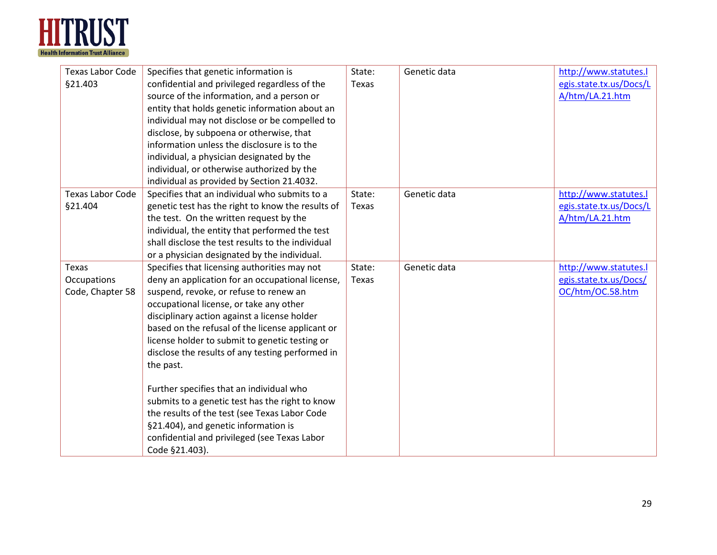

| <b>Texas Labor Code</b><br>§21.403              | Specifies that genetic information is<br>confidential and privileged regardless of the<br>source of the information, and a person or<br>entity that holds genetic information about an<br>individual may not disclose or be compelled to<br>disclose, by subpoena or otherwise, that<br>information unless the disclosure is to the<br>individual, a physician designated by the<br>individual, or otherwise authorized by the<br>individual as provided by Section 21.4032.                                                                                                                                                                                           | State:<br>Texas        | Genetic data | http://www.statutes.l<br>egis.state.tx.us/Docs/L<br>A/htm/LA.21.htm |
|-------------------------------------------------|------------------------------------------------------------------------------------------------------------------------------------------------------------------------------------------------------------------------------------------------------------------------------------------------------------------------------------------------------------------------------------------------------------------------------------------------------------------------------------------------------------------------------------------------------------------------------------------------------------------------------------------------------------------------|------------------------|--------------|---------------------------------------------------------------------|
| <b>Texas Labor Code</b><br>§21.404              | Specifies that an individual who submits to a<br>genetic test has the right to know the results of<br>the test. On the written request by the<br>individual, the entity that performed the test<br>shall disclose the test results to the individual<br>or a physician designated by the individual.                                                                                                                                                                                                                                                                                                                                                                   | State:<br><b>Texas</b> | Genetic data | http://www.statutes.l<br>egis.state.tx.us/Docs/L<br>A/htm/LA.21.htm |
| <b>Texas</b><br>Occupations<br>Code, Chapter 58 | Specifies that licensing authorities may not<br>deny an application for an occupational license,<br>suspend, revoke, or refuse to renew an<br>occupational license, or take any other<br>disciplinary action against a license holder<br>based on the refusal of the license applicant or<br>license holder to submit to genetic testing or<br>disclose the results of any testing performed in<br>the past.<br>Further specifies that an individual who<br>submits to a genetic test has the right to know<br>the results of the test (see Texas Labor Code<br>§21.404), and genetic information is<br>confidential and privileged (see Texas Labor<br>Code §21.403). | State:<br>Texas        | Genetic data | http://www.statutes.l<br>egis.state.tx.us/Docs/<br>OC/htm/OC.58.htm |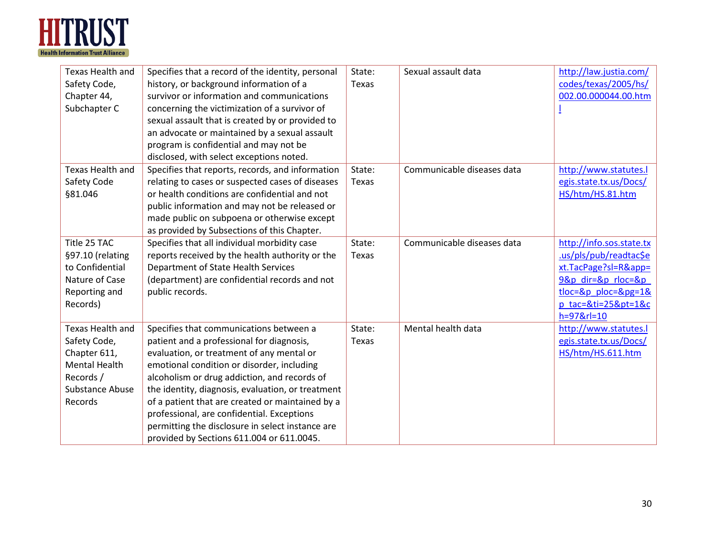

| Texas Health and<br>Safety Code,<br>Chapter 44,<br>Subchapter C                                                            | Specifies that a record of the identity, personal<br>history, or background information of a<br>survivor or information and communications<br>concerning the victimization of a survivor of<br>sexual assault that is created by or provided to<br>an advocate or maintained by a sexual assault<br>program is confidential and may not be<br>disclosed, with select exceptions noted.                                                                                                  | State:<br>Texas | Sexual assault data        | http://law.justia.com/<br>codes/texas/2005/hs/<br>002.00.000044.00.htm                                                                                                |
|----------------------------------------------------------------------------------------------------------------------------|-----------------------------------------------------------------------------------------------------------------------------------------------------------------------------------------------------------------------------------------------------------------------------------------------------------------------------------------------------------------------------------------------------------------------------------------------------------------------------------------|-----------------|----------------------------|-----------------------------------------------------------------------------------------------------------------------------------------------------------------------|
| Texas Health and<br>Safety Code<br>§81.046                                                                                 | Specifies that reports, records, and information<br>relating to cases or suspected cases of diseases<br>or health conditions are confidential and not<br>public information and may not be released or<br>made public on subpoena or otherwise except<br>as provided by Subsections of this Chapter.                                                                                                                                                                                    | State:<br>Texas | Communicable diseases data | http://www.statutes.l<br>egis.state.tx.us/Docs/<br>HS/htm/HS.81.htm                                                                                                   |
| Title 25 TAC<br>§97.10 (relating<br>to Confidential<br>Nature of Case<br>Reporting and<br>Records)                         | Specifies that all individual morbidity case<br>reports received by the health authority or the<br>Department of State Health Services<br>(department) are confidential records and not<br>public records.                                                                                                                                                                                                                                                                              | State:<br>Texas | Communicable diseases data | http://info.sos.state.tx<br>.us/pls/pub/readtac\$e<br>xt.TacPage?sl=R&app=<br>9&p dir=&p rloc=&p<br>$tloc = 8p$ ploc= $8pq = 18$<br>p tac=&ti=25&pt=1&c<br>h=97&rl=10 |
| Texas Health and<br>Safety Code,<br>Chapter 611,<br><b>Mental Health</b><br>Records /<br><b>Substance Abuse</b><br>Records | Specifies that communications between a<br>patient and a professional for diagnosis,<br>evaluation, or treatment of any mental or<br>emotional condition or disorder, including<br>alcoholism or drug addiction, and records of<br>the identity, diagnosis, evaluation, or treatment<br>of a patient that are created or maintained by a<br>professional, are confidential. Exceptions<br>permitting the disclosure in select instance are<br>provided by Sections 611.004 or 611.0045. | State:<br>Texas | Mental health data         | http://www.statutes.l<br>egis.state.tx.us/Docs/<br>HS/htm/HS.611.htm                                                                                                  |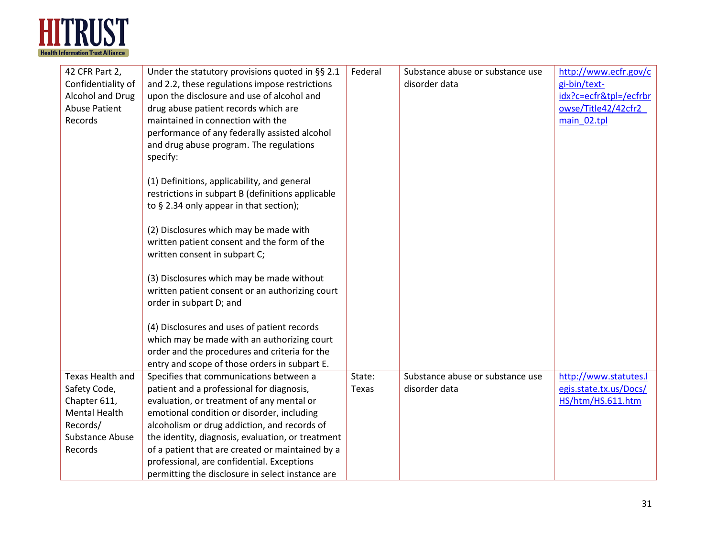

| 42 CFR Part 2,<br>Confidentiality of<br>Alcohol and Drug<br><b>Abuse Patient</b><br>Records | Under the statutory provisions quoted in §§ 2.1<br>and 2.2, these regulations impose restrictions<br>upon the disclosure and use of alcohol and<br>drug abuse patient records which are<br>maintained in connection with the<br>performance of any federally assisted alcohol<br>and drug abuse program. The regulations<br>specify:<br>(1) Definitions, applicability, and general<br>restrictions in subpart B (definitions applicable<br>to § 2.34 only appear in that section);<br>(2) Disclosures which may be made with<br>written patient consent and the form of the<br>written consent in subpart C;<br>(3) Disclosures which may be made without<br>written patient consent or an authorizing court<br>order in subpart D; and<br>(4) Disclosures and uses of patient records | Federal | Substance abuse or substance use<br>disorder data | http://www.ecfr.gov/c<br>gi-bin/text-<br>idx?c=ecfr&tpl=/ecfrbr<br>owse/Title42/42cfr2<br>main 02.tpl |
|---------------------------------------------------------------------------------------------|-----------------------------------------------------------------------------------------------------------------------------------------------------------------------------------------------------------------------------------------------------------------------------------------------------------------------------------------------------------------------------------------------------------------------------------------------------------------------------------------------------------------------------------------------------------------------------------------------------------------------------------------------------------------------------------------------------------------------------------------------------------------------------------------|---------|---------------------------------------------------|-------------------------------------------------------------------------------------------------------|
|                                                                                             | which may be made with an authorizing court<br>order and the procedures and criteria for the                                                                                                                                                                                                                                                                                                                                                                                                                                                                                                                                                                                                                                                                                            |         |                                                   |                                                                                                       |
|                                                                                             | entry and scope of those orders in subpart E.                                                                                                                                                                                                                                                                                                                                                                                                                                                                                                                                                                                                                                                                                                                                           |         |                                                   |                                                                                                       |
| <b>Texas Health and</b>                                                                     | Specifies that communications between a                                                                                                                                                                                                                                                                                                                                                                                                                                                                                                                                                                                                                                                                                                                                                 | State:  | Substance abuse or substance use                  | http://www.statutes.l                                                                                 |
| Safety Code,                                                                                | patient and a professional for diagnosis,                                                                                                                                                                                                                                                                                                                                                                                                                                                                                                                                                                                                                                                                                                                                               | Texas   | disorder data                                     | egis.state.tx.us/Docs/                                                                                |
| Chapter 611,                                                                                | evaluation, or treatment of any mental or                                                                                                                                                                                                                                                                                                                                                                                                                                                                                                                                                                                                                                                                                                                                               |         |                                                   | HS/htm/HS.611.htm                                                                                     |
| <b>Mental Health</b>                                                                        | emotional condition or disorder, including                                                                                                                                                                                                                                                                                                                                                                                                                                                                                                                                                                                                                                                                                                                                              |         |                                                   |                                                                                                       |
| Records/                                                                                    | alcoholism or drug addiction, and records of                                                                                                                                                                                                                                                                                                                                                                                                                                                                                                                                                                                                                                                                                                                                            |         |                                                   |                                                                                                       |
| <b>Substance Abuse</b>                                                                      | the identity, diagnosis, evaluation, or treatment                                                                                                                                                                                                                                                                                                                                                                                                                                                                                                                                                                                                                                                                                                                                       |         |                                                   |                                                                                                       |
| Records                                                                                     | of a patient that are created or maintained by a                                                                                                                                                                                                                                                                                                                                                                                                                                                                                                                                                                                                                                                                                                                                        |         |                                                   |                                                                                                       |
|                                                                                             | professional, are confidential. Exceptions                                                                                                                                                                                                                                                                                                                                                                                                                                                                                                                                                                                                                                                                                                                                              |         |                                                   |                                                                                                       |
|                                                                                             | permitting the disclosure in select instance are                                                                                                                                                                                                                                                                                                                                                                                                                                                                                                                                                                                                                                                                                                                                        |         |                                                   |                                                                                                       |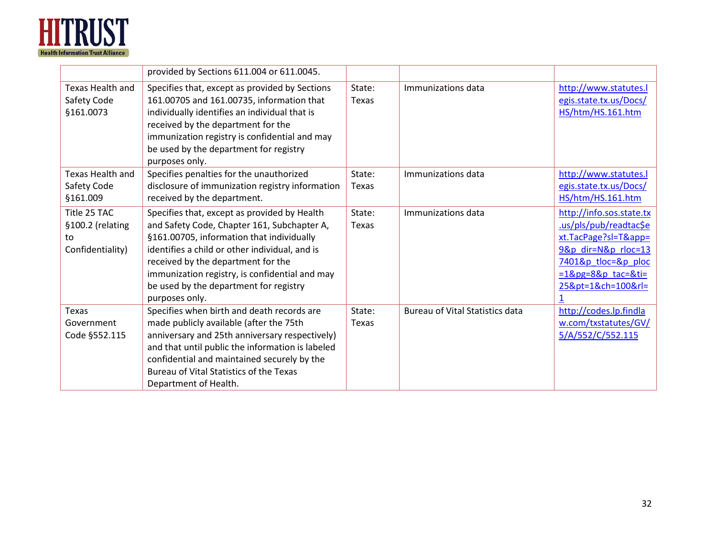

|                                                            | provided by Sections 611.004 or 611.0045.                                                                                                                                                                                                                                                                                                      |                        |                                        |                                                                                                                                                                       |
|------------------------------------------------------------|------------------------------------------------------------------------------------------------------------------------------------------------------------------------------------------------------------------------------------------------------------------------------------------------------------------------------------------------|------------------------|----------------------------------------|-----------------------------------------------------------------------------------------------------------------------------------------------------------------------|
| Texas Health and<br>Safety Code<br>§161.0073               | Specifies that, except as provided by Sections<br>161.00705 and 161.00735, information that<br>individually identifies an individual that is<br>received by the department for the<br>immunization registry is confidential and may<br>be used by the department for registry<br>purposes only.                                                | State:<br>Texas        | Immunizations data                     | http://www.statutes.l<br>egis.state.tx.us/Docs/<br>HS/htm/HS.161.htm                                                                                                  |
| Texas Health and<br>Safety Code<br>§161.009                | Specifies penalties for the unauthorized<br>disclosure of immunization registry information<br>received by the department.                                                                                                                                                                                                                     | State:<br>Texas        | Immunizations data                     | http://www.statutes.l<br>egis.state.tx.us/Docs/<br>HS/htm/HS.161.htm                                                                                                  |
| Title 25 TAC<br>§100.2 (relating<br>to<br>Confidentiality) | Specifies that, except as provided by Health<br>and Safety Code, Chapter 161, Subchapter A,<br>§161.00705, information that individually<br>identifies a child or other individual, and is<br>received by the department for the<br>immunization registry, is confidential and may<br>be used by the department for registry<br>purposes only. | State:<br><b>Texas</b> | Immunizations data                     | http://info.sos.state.tx<br>us/pls/pub/readtac\$e<br>xt.TacPage?sl=T&app=<br>9&p dir=N&p rloc=13<br>7401&p tloc=&p ploc<br>$=18pg=88p$ tac=&ti=<br>25&pt=1&ch=100&rl= |
| Texas<br>Government<br>Code §552.115                       | Specifies when birth and death records are<br>made publicly available (after the 75th<br>anniversary and 25th anniversary respectively)<br>and that until public the information is labeled<br>confidential and maintained securely by the<br>Bureau of Vital Statistics of the Texas<br>Department of Health.                                 | State:<br>Texas        | <b>Bureau of Vital Statistics data</b> | http://codes.lp.findla<br>w.com/txstatutes/GV/<br>5/A/552/C/552.115                                                                                                   |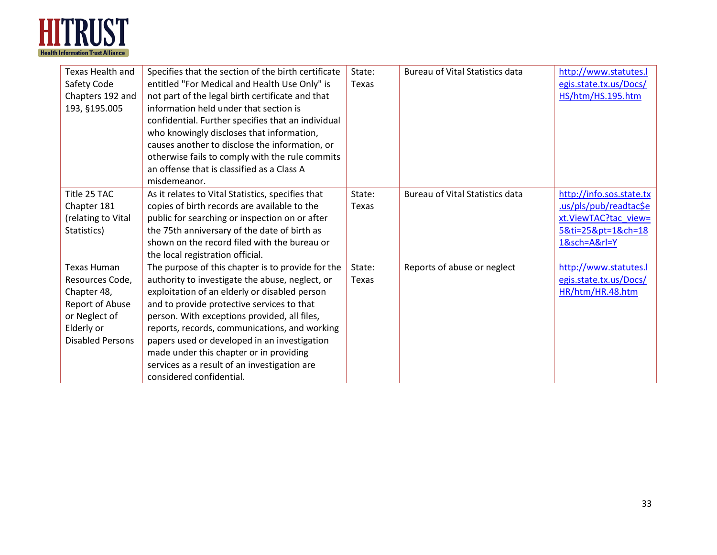

| Texas Health and        | Specifies that the section of the birth certificate | State: | <b>Bureau of Vital Statistics data</b> | http://www.statutes.l    |
|-------------------------|-----------------------------------------------------|--------|----------------------------------------|--------------------------|
| Safety Code             | entitled "For Medical and Health Use Only" is       | Texas  |                                        | egis.state.tx.us/Docs/   |
| Chapters 192 and        | not part of the legal birth certificate and that    |        |                                        | HS/htm/HS.195.htm        |
| 193, §195.005           | information held under that section is              |        |                                        |                          |
|                         | confidential. Further specifies that an individual  |        |                                        |                          |
|                         | who knowingly discloses that information,           |        |                                        |                          |
|                         | causes another to disclose the information, or      |        |                                        |                          |
|                         | otherwise fails to comply with the rule commits     |        |                                        |                          |
|                         | an offense that is classified as a Class A          |        |                                        |                          |
|                         | misdemeanor.                                        |        |                                        |                          |
| Title 25 TAC            | As it relates to Vital Statistics, specifies that   | State: | <b>Bureau of Vital Statistics data</b> | http://info.sos.state.tx |
| Chapter 181             | copies of birth records are available to the        | Texas  |                                        | us/pls/pub/readtac\$e    |
| (relating to Vital      | public for searching or inspection on or after      |        |                                        | xt.ViewTAC?tac view=     |
| Statistics)             | the 75th anniversary of the date of birth as        |        |                                        | 5&ti=25&pt=1&ch=18       |
|                         | shown on the record filed with the bureau or        |        |                                        | 1&sch=A&rl=Y             |
|                         | the local registration official.                    |        |                                        |                          |
| <b>Texas Human</b>      | The purpose of this chapter is to provide for the   | State: | Reports of abuse or neglect            | http://www.statutes.l    |
| Resources Code,         | authority to investigate the abuse, neglect, or     | Texas  |                                        | egis.state.tx.us/Docs/   |
| Chapter 48,             | exploitation of an elderly or disabled person       |        |                                        | HR/htm/HR.48.htm         |
| Report of Abuse         | and to provide protective services to that          |        |                                        |                          |
| or Neglect of           | person. With exceptions provided, all files,        |        |                                        |                          |
| Elderly or              | reports, records, communications, and working       |        |                                        |                          |
| <b>Disabled Persons</b> | papers used or developed in an investigation        |        |                                        |                          |
|                         | made under this chapter or in providing             |        |                                        |                          |
|                         | services as a result of an investigation are        |        |                                        |                          |
|                         | considered confidential.                            |        |                                        |                          |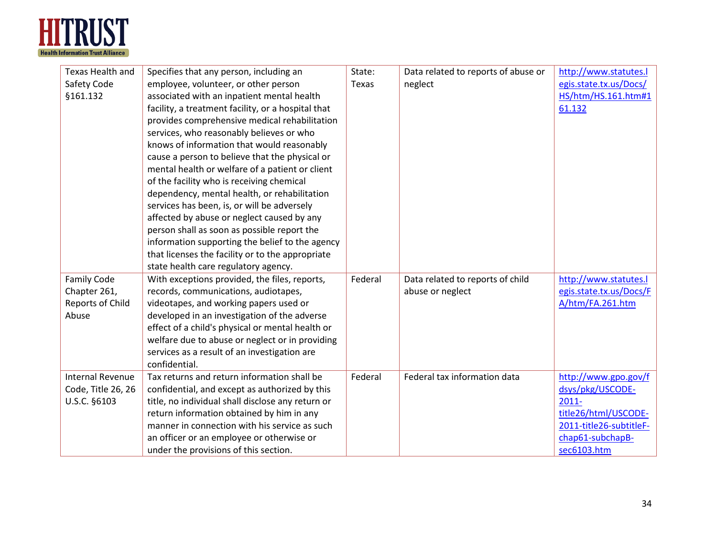

| <b>Texas Health and</b><br>Safety Code<br>§161.132              | Specifies that any person, including an<br>employee, volunteer, or other person<br>associated with an inpatient mental health<br>facility, a treatment facility, or a hospital that<br>provides comprehensive medical rehabilitation<br>services, who reasonably believes or who<br>knows of information that would reasonably<br>cause a person to believe that the physical or<br>mental health or welfare of a patient or client<br>of the facility who is receiving chemical<br>dependency, mental health, or rehabilitation<br>services has been, is, or will be adversely<br>affected by abuse or neglect caused by any<br>person shall as soon as possible report the<br>information supporting the belief to the agency | State:<br>Texas | Data related to reports of abuse or<br>neglect       | http://www.statutes.l<br>egis.state.tx.us/Docs/<br>HS/htm/HS.161.htm#1<br>61.132                                                           |
|-----------------------------------------------------------------|---------------------------------------------------------------------------------------------------------------------------------------------------------------------------------------------------------------------------------------------------------------------------------------------------------------------------------------------------------------------------------------------------------------------------------------------------------------------------------------------------------------------------------------------------------------------------------------------------------------------------------------------------------------------------------------------------------------------------------|-----------------|------------------------------------------------------|--------------------------------------------------------------------------------------------------------------------------------------------|
|                                                                 | that licenses the facility or to the appropriate<br>state health care regulatory agency.                                                                                                                                                                                                                                                                                                                                                                                                                                                                                                                                                                                                                                        |                 |                                                      |                                                                                                                                            |
| <b>Family Code</b><br>Chapter 261,<br>Reports of Child<br>Abuse | With exceptions provided, the files, reports,<br>records, communications, audiotapes,<br>videotapes, and working papers used or<br>developed in an investigation of the adverse<br>effect of a child's physical or mental health or<br>welfare due to abuse or neglect or in providing<br>services as a result of an investigation are<br>confidential.                                                                                                                                                                                                                                                                                                                                                                         | Federal         | Data related to reports of child<br>abuse or neglect | http://www.statutes.l<br>egis.state.tx.us/Docs/F<br>A/htm/FA.261.htm                                                                       |
| <b>Internal Revenue</b><br>Code, Title 26, 26<br>U.S.C. §6103   | Tax returns and return information shall be<br>confidential, and except as authorized by this<br>title, no individual shall disclose any return or<br>return information obtained by him in any<br>manner in connection with his service as such<br>an officer or an employee or otherwise or<br>under the provisions of this section.                                                                                                                                                                                                                                                                                                                                                                                          | Federal         | Federal tax information data                         | http://www.gpo.gov/f<br>dsys/pkg/USCODE-<br>$2011 -$<br>title26/html/USCODE-<br>2011-title26-subtitleF-<br>chap61-subchapB-<br>sec6103.htm |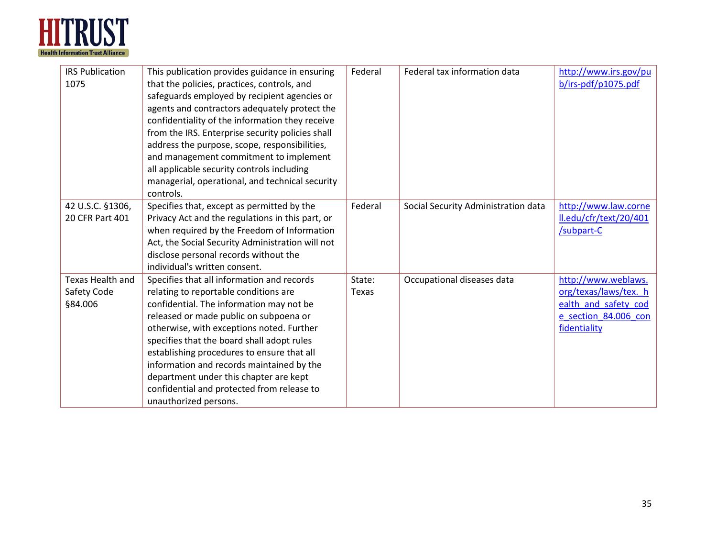

| <b>IRS Publication</b><br>1075                    | This publication provides guidance in ensuring<br>that the policies, practices, controls, and<br>safeguards employed by recipient agencies or<br>agents and contractors adequately protect the<br>confidentiality of the information they receive<br>from the IRS. Enterprise security policies shall<br>address the purpose, scope, responsibilities,<br>and management commitment to implement<br>all applicable security controls including<br>managerial, operational, and technical security<br>controls. | Federal         | Federal tax information data        | http://www.irs.gov/pu<br>b/irs-pdf/p1075.pdf                                                                 |
|---------------------------------------------------|----------------------------------------------------------------------------------------------------------------------------------------------------------------------------------------------------------------------------------------------------------------------------------------------------------------------------------------------------------------------------------------------------------------------------------------------------------------------------------------------------------------|-----------------|-------------------------------------|--------------------------------------------------------------------------------------------------------------|
| 42 U.S.C. §1306,<br>20 CFR Part 401               | Specifies that, except as permitted by the<br>Privacy Act and the regulations in this part, or<br>when required by the Freedom of Information<br>Act, the Social Security Administration will not<br>disclose personal records without the<br>individual's written consent.                                                                                                                                                                                                                                    | Federal         | Social Security Administration data | http://www.law.corne<br>ll.edu/cfr/text/20/401<br>/subpart-C                                                 |
| <b>Texas Health and</b><br>Safety Code<br>§84.006 | Specifies that all information and records<br>relating to reportable conditions are<br>confidential. The information may not be<br>released or made public on subpoena or<br>otherwise, with exceptions noted. Further<br>specifies that the board shall adopt rules<br>establishing procedures to ensure that all<br>information and records maintained by the<br>department under this chapter are kept<br>confidential and protected from release to<br>unauthorized persons.                               | State:<br>Texas | Occupational diseases data          | http://www.weblaws.<br>org/texas/laws/tex. h<br>ealth and safety cod<br>e section 84.006 con<br>fidentiality |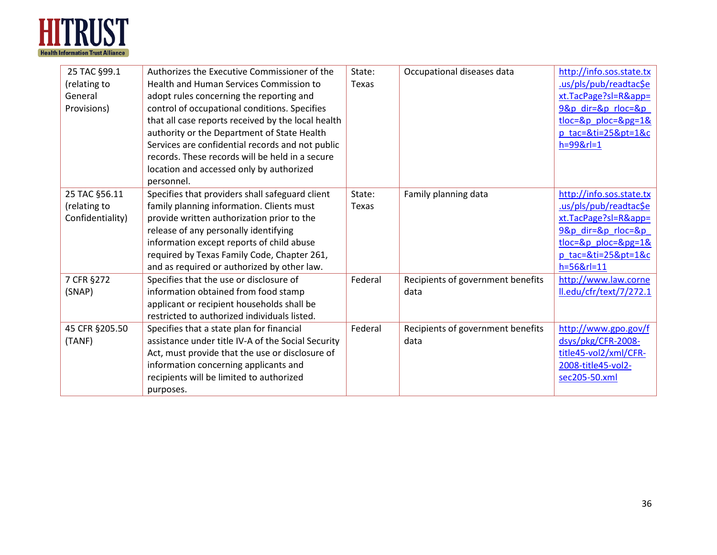

| 25 TAC §99.1     | Authorizes the Executive Commissioner of the       | State:  | Occupational diseases data        | http://info.sos.state.tx |
|------------------|----------------------------------------------------|---------|-----------------------------------|--------------------------|
| (relating to     | Health and Human Services Commission to            | Texas   |                                   | .us/pls/pub/readtac\$e   |
| General          | adopt rules concerning the reporting and           |         |                                   | xt.TacPage?sl=R&app=     |
| Provisions)      | control of occupational conditions. Specifies      |         |                                   | 9&p dir=&p rloc=&p       |
|                  | that all case reports received by the local health |         |                                   | $tloc=8p$ ploc= $8pg=18$ |
|                  | authority or the Department of State Health        |         |                                   | p tac=&ti=25&pt=1&c      |
|                  | Services are confidential records and not public   |         |                                   | $h = 998r = 1$           |
|                  | records. These records will be held in a secure    |         |                                   |                          |
|                  | location and accessed only by authorized           |         |                                   |                          |
|                  | personnel.                                         |         |                                   |                          |
| 25 TAC §56.11    | Specifies that providers shall safeguard client    | State:  | Family planning data              | http://info.sos.state.tx |
| (relating to     | family planning information. Clients must          | Texas   |                                   | us/pls/pub/readtac\$e    |
| Confidentiality) | provide written authorization prior to the         |         |                                   | xt.TacPage?sl=R&app=     |
|                  | release of any personally identifying              |         |                                   | 9&p dir=&p rloc=&p       |
|                  | information except reports of child abuse          |         |                                   | $tloc=8p$ ploc= $8pg=18$ |
|                  | required by Texas Family Code, Chapter 261,        |         |                                   | p tac=&ti=25&pt=1&c      |
|                  | and as required or authorized by other law.        |         |                                   | h=56&rl=11               |
| 7 CFR §272       | Specifies that the use or disclosure of            | Federal | Recipients of government benefits | http://www.law.corne     |
| (SNAP)           | information obtained from food stamp               |         | data                              | ll.edu/cfr/text/7/272.1  |
|                  | applicant or recipient households shall be         |         |                                   |                          |
|                  | restricted to authorized individuals listed.       |         |                                   |                          |
| 45 CFR §205.50   | Specifies that a state plan for financial          | Federal | Recipients of government benefits | http://www.gpo.gov/f     |
| (TANF)           | assistance under title IV-A of the Social Security |         | data                              | dsys/pkg/CFR-2008-       |
|                  | Act, must provide that the use or disclosure of    |         |                                   | title45-vol2/xml/CFR-    |
|                  | information concerning applicants and              |         |                                   | 2008-title45-vol2-       |
|                  | recipients will be limited to authorized           |         |                                   | sec205-50.xml            |
|                  | purposes.                                          |         |                                   |                          |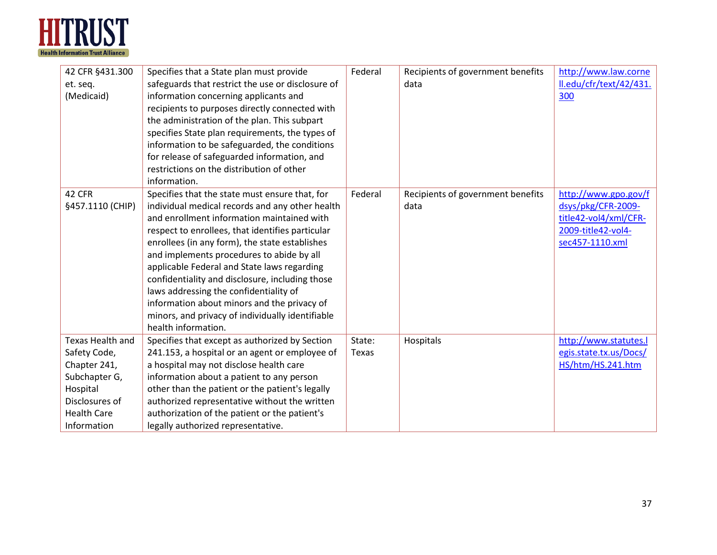

| 42 CFR §431.300<br>et. seq.<br>(Medicaid)<br>42 CFR | Specifies that a State plan must provide<br>safeguards that restrict the use or disclosure of<br>information concerning applicants and<br>recipients to purposes directly connected with<br>the administration of the plan. This subpart<br>specifies State plan requirements, the types of<br>information to be safeguarded, the conditions<br>for release of safeguarded information, and<br>restrictions on the distribution of other<br>information.<br>Specifies that the state must ensure that, for | Federal<br>Federal | Recipients of government benefits<br>data<br>Recipients of government benefits | http://www.law.corne<br>ll.edu/cfr/text/42/431.<br>300<br>http://www.gpo.gov/f |
|-----------------------------------------------------|------------------------------------------------------------------------------------------------------------------------------------------------------------------------------------------------------------------------------------------------------------------------------------------------------------------------------------------------------------------------------------------------------------------------------------------------------------------------------------------------------------|--------------------|--------------------------------------------------------------------------------|--------------------------------------------------------------------------------|
| §457.1110 (CHIP)                                    | individual medical records and any other health                                                                                                                                                                                                                                                                                                                                                                                                                                                            |                    | data                                                                           | dsys/pkg/CFR-2009-                                                             |
|                                                     | and enrollment information maintained with                                                                                                                                                                                                                                                                                                                                                                                                                                                                 |                    |                                                                                | title42-vol4/xml/CFR-                                                          |
|                                                     | respect to enrollees, that identifies particular                                                                                                                                                                                                                                                                                                                                                                                                                                                           |                    |                                                                                | 2009-title42-vol4-                                                             |
|                                                     | enrollees (in any form), the state establishes                                                                                                                                                                                                                                                                                                                                                                                                                                                             |                    |                                                                                | sec457-1110.xml                                                                |
|                                                     | and implements procedures to abide by all                                                                                                                                                                                                                                                                                                                                                                                                                                                                  |                    |                                                                                |                                                                                |
|                                                     | applicable Federal and State laws regarding                                                                                                                                                                                                                                                                                                                                                                                                                                                                |                    |                                                                                |                                                                                |
|                                                     | confidentiality and disclosure, including those                                                                                                                                                                                                                                                                                                                                                                                                                                                            |                    |                                                                                |                                                                                |
|                                                     | laws addressing the confidentiality of                                                                                                                                                                                                                                                                                                                                                                                                                                                                     |                    |                                                                                |                                                                                |
|                                                     | information about minors and the privacy of                                                                                                                                                                                                                                                                                                                                                                                                                                                                |                    |                                                                                |                                                                                |
|                                                     | minors, and privacy of individually identifiable                                                                                                                                                                                                                                                                                                                                                                                                                                                           |                    |                                                                                |                                                                                |
|                                                     | health information.                                                                                                                                                                                                                                                                                                                                                                                                                                                                                        |                    |                                                                                |                                                                                |
| Texas Health and                                    | Specifies that except as authorized by Section                                                                                                                                                                                                                                                                                                                                                                                                                                                             | State:             | Hospitals                                                                      | http://www.statutes.l                                                          |
| Safety Code,                                        | 241.153, a hospital or an agent or employee of                                                                                                                                                                                                                                                                                                                                                                                                                                                             | Texas              |                                                                                | egis.state.tx.us/Docs/                                                         |
| Chapter 241,                                        | a hospital may not disclose health care                                                                                                                                                                                                                                                                                                                                                                                                                                                                    |                    |                                                                                | HS/htm/HS.241.htm                                                              |
| Subchapter G,                                       | information about a patient to any person                                                                                                                                                                                                                                                                                                                                                                                                                                                                  |                    |                                                                                |                                                                                |
| Hospital                                            | other than the patient or the patient's legally                                                                                                                                                                                                                                                                                                                                                                                                                                                            |                    |                                                                                |                                                                                |
| Disclosures of                                      | authorized representative without the written                                                                                                                                                                                                                                                                                                                                                                                                                                                              |                    |                                                                                |                                                                                |
| <b>Health Care</b>                                  | authorization of the patient or the patient's                                                                                                                                                                                                                                                                                                                                                                                                                                                              |                    |                                                                                |                                                                                |
| Information                                         | legally authorized representative.                                                                                                                                                                                                                                                                                                                                                                                                                                                                         |                    |                                                                                |                                                                                |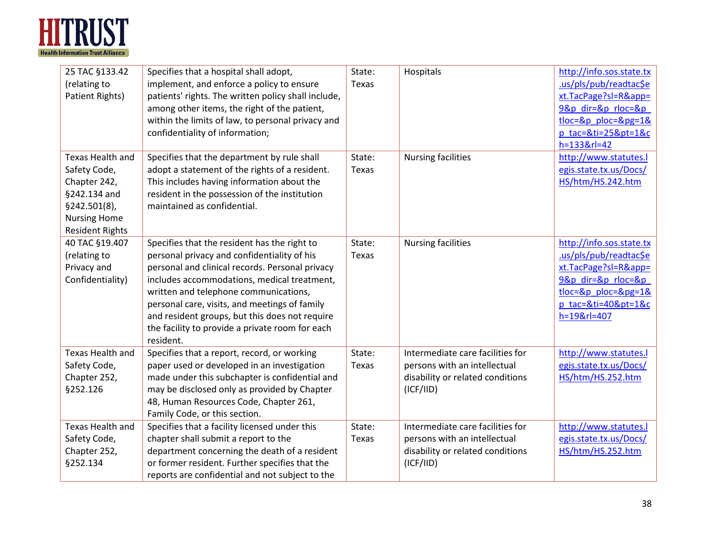

| 25 TAC §133.42<br>(relating to<br>Patient Rights)                                                                                 | Specifies that a hospital shall adopt,<br>implement, and enforce a policy to ensure<br>patients' rights. The written policy shall include,<br>among other items, the right of the patient,<br>within the limits of law, to personal privacy and<br>confidentiality of information;                                                                                                                        | State:<br>Texas | Hospitals                                                                                                         | http://info.sos.state.tx<br>.us/pls/pub/readtac\$e<br>xt.TacPage?sl=R&app=<br>9&p dir=&p rloc=&p<br>$tloc = 8p$ ploc= $8pq = 18$<br>p tac=&ti=25&pt=1&c<br>h=133&rl=42 |
|-----------------------------------------------------------------------------------------------------------------------------------|-----------------------------------------------------------------------------------------------------------------------------------------------------------------------------------------------------------------------------------------------------------------------------------------------------------------------------------------------------------------------------------------------------------|-----------------|-------------------------------------------------------------------------------------------------------------------|------------------------------------------------------------------------------------------------------------------------------------------------------------------------|
| Texas Health and<br>Safety Code,<br>Chapter 242,<br>§242.134 and<br>§242.501(8),<br><b>Nursing Home</b><br><b>Resident Rights</b> | Specifies that the department by rule shall<br>adopt a statement of the rights of a resident.<br>This includes having information about the<br>resident in the possession of the institution<br>maintained as confidential.                                                                                                                                                                               | State:<br>Texas | <b>Nursing facilities</b>                                                                                         | http://www.statutes.l<br>egis.state.tx.us/Docs/<br>HS/htm/HS.242.htm                                                                                                   |
| 40 TAC §19.407<br>(relating to<br>Privacy and<br>Confidentiality)                                                                 | Specifies that the resident has the right to<br>personal privacy and confidentiality of his<br>personal and clinical records. Personal privacy<br>includes accommodations, medical treatment,<br>written and telephone communications,<br>personal care, visits, and meetings of family<br>and resident groups, but this does not require<br>the facility to provide a private room for each<br>resident. | State:<br>Texas | <b>Nursing facilities</b>                                                                                         | http://info.sos.state.tx<br>.us/pls/pub/readtac\$e<br>xt.TacPage?sl=R&app=<br>9&p dir=&p rloc=&p<br>$tloc = 8p$ ploc= $8pq = 18$<br>p tac=&ti=40&pt=1&c<br>h=19&rl=407 |
| Texas Health and<br>Safety Code,<br>Chapter 252,<br>§252.126                                                                      | Specifies that a report, record, or working<br>paper used or developed in an investigation<br>made under this subchapter is confidential and<br>may be disclosed only as provided by Chapter<br>48, Human Resources Code, Chapter 261,<br>Family Code, or this section.                                                                                                                                   | State:<br>Texas | Intermediate care facilities for<br>persons with an intellectual<br>disability or related conditions<br>(ICF/IID) | http://www.statutes.l<br>egis.state.tx.us/Docs/<br>HS/htm/HS.252.htm                                                                                                   |
| Texas Health and<br>Safety Code,<br>Chapter 252,<br>§252.134                                                                      | Specifies that a facility licensed under this<br>chapter shall submit a report to the<br>department concerning the death of a resident<br>or former resident. Further specifies that the<br>reports are confidential and not subject to the                                                                                                                                                               | State:<br>Texas | Intermediate care facilities for<br>persons with an intellectual<br>disability or related conditions<br>(ICF/IID) | http://www.statutes.l<br>egis.state.tx.us/Docs/<br>HS/htm/HS.252.htm                                                                                                   |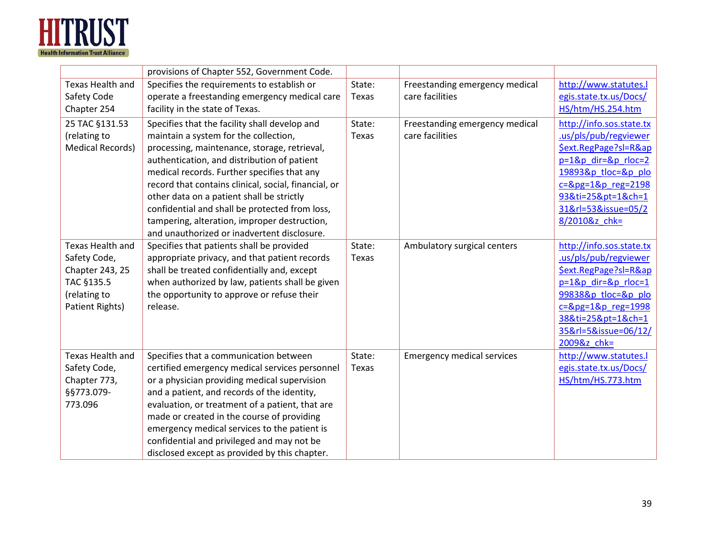

|                         | provisions of Chapter 552, Government Code.          |        |                                   |                          |
|-------------------------|------------------------------------------------------|--------|-----------------------------------|--------------------------|
| <b>Texas Health and</b> | Specifies the requirements to establish or           | State: | Freestanding emergency medical    | http://www.statutes.l    |
| Safety Code             | operate a freestanding emergency medical care        | Texas  | care facilities                   | egis.state.tx.us/Docs/   |
| Chapter 254             | facility in the state of Texas.                      |        |                                   | HS/htm/HS.254.htm        |
| 25 TAC §131.53          | Specifies that the facility shall develop and        | State: | Freestanding emergency medical    | http://info.sos.state.tx |
| (relating to            | maintain a system for the collection,                | Texas  | care facilities                   | .us/pls/pub/regviewer    |
| <b>Medical Records)</b> | processing, maintenance, storage, retrieval,         |        |                                   | \$ext.RegPage?sl=R≈      |
|                         | authentication, and distribution of patient          |        |                                   | $p=18p$ dir= $8p$ rloc=2 |
|                         | medical records. Further specifies that any          |        |                                   | 19893&p_tloc=&p_plo      |
|                         | record that contains clinical, social, financial, or |        |                                   | $c = 8pg = 18p$ reg=2198 |
|                         | other data on a patient shall be strictly            |        |                                   | 93&ti=25&pt=1&ch=1       |
|                         | confidential and shall be protected from loss,       |        |                                   | 31&rl=53&issue=05/2      |
|                         | tampering, alteration, improper destruction,         |        |                                   | 8/2010&z chk=            |
|                         | and unauthorized or inadvertent disclosure.          |        |                                   |                          |
| Texas Health and        | Specifies that patients shall be provided            | State: | Ambulatory surgical centers       | http://info.sos.state.tx |
| Safety Code,            | appropriate privacy, and that patient records        | Texas  |                                   | .us/pls/pub/regviewer    |
| Chapter 243, 25         | shall be treated confidentially and, except          |        |                                   | \$ext.RegPage?sl=R≈      |
| TAC §135.5              | when authorized by law, patients shall be given      |        |                                   | p=1&p dir=&p rloc=1      |
| (relating to            | the opportunity to approve or refuse their           |        |                                   | 99838&p tloc=&p plo      |
| Patient Rights)         | release.                                             |        |                                   | $c = 8pg = 18p$ reg=1998 |
|                         |                                                      |        |                                   | 38&ti=25&pt=1&ch=1       |
|                         |                                                      |        |                                   | 35&rl=5&issue=06/12/     |
|                         |                                                      |        |                                   | 2009&z chk=              |
| Texas Health and        | Specifies that a communication between               | State: | <b>Emergency medical services</b> | http://www.statutes.l    |
| Safety Code,            | certified emergency medical services personnel       | Texas  |                                   | egis.state.tx.us/Docs/   |
| Chapter 773,            | or a physician providing medical supervision         |        |                                   | HS/htm/HS.773.htm        |
| §§773.079-              | and a patient, and records of the identity,          |        |                                   |                          |
| 773.096                 | evaluation, or treatment of a patient, that are      |        |                                   |                          |
|                         | made or created in the course of providing           |        |                                   |                          |
|                         | emergency medical services to the patient is         |        |                                   |                          |
|                         | confidential and privileged and may not be           |        |                                   |                          |
|                         | disclosed except as provided by this chapter.        |        |                                   |                          |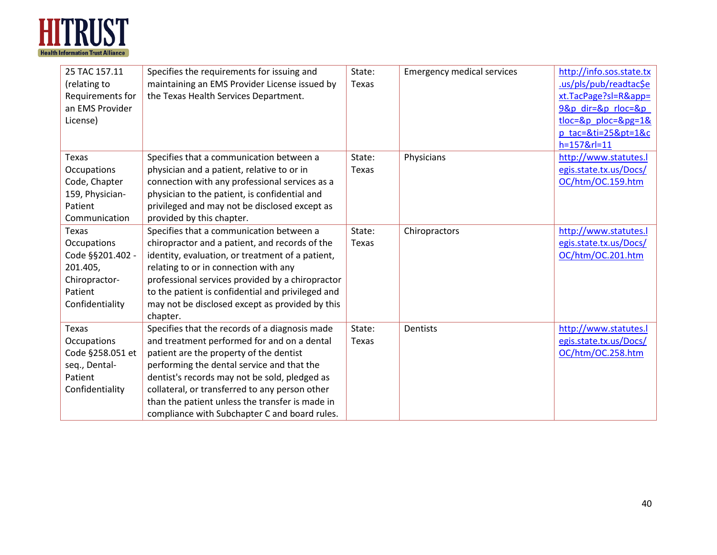

| 25 TAC 157.11<br>(relating to<br>Requirements for<br>an EMS Provider<br>License)                    | Specifies the requirements for issuing and<br>maintaining an EMS Provider License issued by<br>the Texas Health Services Department.                                                                                                                                                                                                                                                          | State:<br>Texas | <b>Emergency medical services</b> | http://info.sos.state.tx<br>.us/pls/pub/readtac\$e<br>xt.TacPage?sl=R&app=<br>9&p dir=&p rloc=&p<br>$tloc=8p$ ploc= $8pg=18$<br>$p$ tac=&ti=25&pt=1&c<br>h=157&rl=11 |
|-----------------------------------------------------------------------------------------------------|-----------------------------------------------------------------------------------------------------------------------------------------------------------------------------------------------------------------------------------------------------------------------------------------------------------------------------------------------------------------------------------------------|-----------------|-----------------------------------|----------------------------------------------------------------------------------------------------------------------------------------------------------------------|
| Texas<br>Occupations<br>Code, Chapter<br>159, Physician-<br>Patient<br>Communication                | Specifies that a communication between a<br>physician and a patient, relative to or in<br>connection with any professional services as a<br>physician to the patient, is confidential and<br>privileged and may not be disclosed except as<br>provided by this chapter.                                                                                                                       | State:<br>Texas | Physicians                        | http://www.statutes.l<br>egis.state.tx.us/Docs/<br>OC/htm/OC.159.htm                                                                                                 |
| Texas<br>Occupations<br>Code §§201.402 -<br>201.405,<br>Chiropractor-<br>Patient<br>Confidentiality | Specifies that a communication between a<br>chiropractor and a patient, and records of the<br>identity, evaluation, or treatment of a patient,<br>relating to or in connection with any<br>professional services provided by a chiropractor<br>to the patient is confidential and privileged and<br>may not be disclosed except as provided by this<br>chapter.                               | State:<br>Texas | Chiropractors                     | http://www.statutes.l<br>egis.state.tx.us/Docs/<br>OC/htm/OC.201.htm                                                                                                 |
| Texas<br>Occupations<br>Code §258.051 et<br>seq., Dental-<br>Patient<br>Confidentiality             | Specifies that the records of a diagnosis made<br>and treatment performed for and on a dental<br>patient are the property of the dentist<br>performing the dental service and that the<br>dentist's records may not be sold, pledged as<br>collateral, or transferred to any person other<br>than the patient unless the transfer is made in<br>compliance with Subchapter C and board rules. | State:<br>Texas | Dentists                          | http://www.statutes.l<br>egis.state.tx.us/Docs/<br>OC/htm/OC.258.htm                                                                                                 |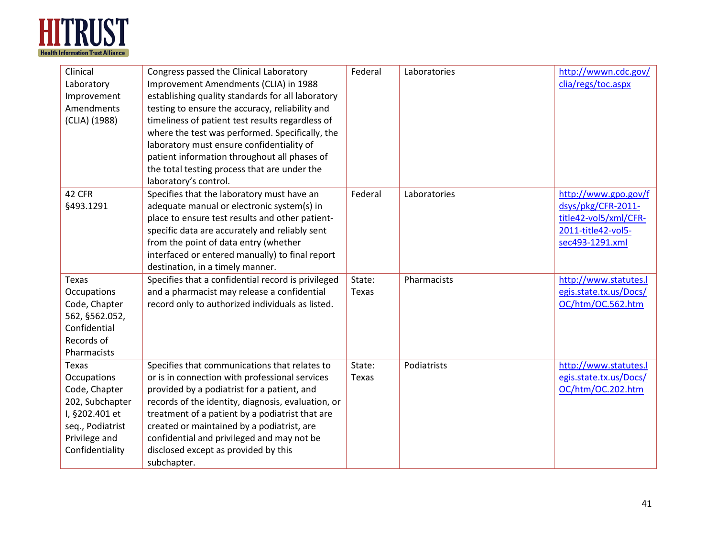

| Clinical<br>Laboratory<br>Improvement<br>Amendments<br>(CLIA) (1988)                                                               | Congress passed the Clinical Laboratory<br>Improvement Amendments (CLIA) in 1988<br>establishing quality standards for all laboratory<br>testing to ensure the accuracy, reliability and<br>timeliness of patient test results regardless of<br>where the test was performed. Specifically, the<br>laboratory must ensure confidentiality of<br>patient information throughout all phases of<br>the total testing process that are under the<br>laboratory's control. | Federal         | Laboratories | http://wwwn.cdc.gov/<br>clia/regs/toc.aspx                                                                   |
|------------------------------------------------------------------------------------------------------------------------------------|-----------------------------------------------------------------------------------------------------------------------------------------------------------------------------------------------------------------------------------------------------------------------------------------------------------------------------------------------------------------------------------------------------------------------------------------------------------------------|-----------------|--------------|--------------------------------------------------------------------------------------------------------------|
| 42 CFR<br>§493.1291                                                                                                                | Specifies that the laboratory must have an<br>adequate manual or electronic system(s) in<br>place to ensure test results and other patient-<br>specific data are accurately and reliably sent<br>from the point of data entry (whether<br>interfaced or entered manually) to final report<br>destination, in a timely manner.                                                                                                                                         | Federal         | Laboratories | http://www.gpo.gov/f<br>dsys/pkg/CFR-2011-<br>title42-vol5/xml/CFR-<br>2011-title42-vol5-<br>sec493-1291.xml |
| Texas<br>Occupations<br>Code, Chapter<br>562, §562.052,<br>Confidential<br>Records of<br>Pharmacists                               | Specifies that a confidential record is privileged<br>and a pharmacist may release a confidential<br>record only to authorized individuals as listed.                                                                                                                                                                                                                                                                                                                 | State:<br>Texas | Pharmacists  | http://www.statutes.l<br>egis.state.tx.us/Docs/<br>OC/htm/OC.562.htm                                         |
| Texas<br>Occupations<br>Code, Chapter<br>202, Subchapter<br>I, §202.401 et<br>seq., Podiatrist<br>Privilege and<br>Confidentiality | Specifies that communications that relates to<br>or is in connection with professional services<br>provided by a podiatrist for a patient, and<br>records of the identity, diagnosis, evaluation, or<br>treatment of a patient by a podiatrist that are<br>created or maintained by a podiatrist, are<br>confidential and privileged and may not be<br>disclosed except as provided by this<br>subchapter.                                                            | State:<br>Texas | Podiatrists  | http://www.statutes.l<br>egis.state.tx.us/Docs/<br>OC/htm/OC.202.htm                                         |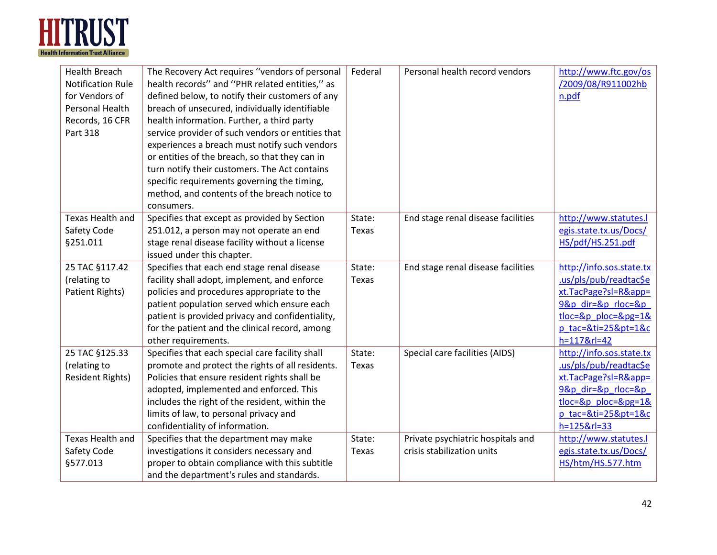

| <b>Health Breach</b><br><b>Notification Rule</b><br>for Vendors of<br>Personal Health<br>Records, 16 CFR<br>Part 318 | The Recovery Act requires "vendors of personal<br>health records" and "PHR related entities," as<br>defined below, to notify their customers of any<br>breach of unsecured, individually identifiable<br>health information. Further, a third party<br>service provider of such vendors or entities that<br>experiences a breach must notify such vendors<br>or entities of the breach, so that they can in<br>turn notify their customers. The Act contains<br>specific requirements governing the timing,<br>method, and contents of the breach notice to<br>consumers. | Federal      | Personal health record vendors     | http://www.ftc.gov/os<br>/2009/08/R911002hb<br>n.pdf |
|----------------------------------------------------------------------------------------------------------------------|---------------------------------------------------------------------------------------------------------------------------------------------------------------------------------------------------------------------------------------------------------------------------------------------------------------------------------------------------------------------------------------------------------------------------------------------------------------------------------------------------------------------------------------------------------------------------|--------------|------------------------------------|------------------------------------------------------|
| <b>Texas Health and</b>                                                                                              | Specifies that except as provided by Section                                                                                                                                                                                                                                                                                                                                                                                                                                                                                                                              | State:       | End stage renal disease facilities | http://www.statutes.l                                |
| Safety Code                                                                                                          | 251.012, a person may not operate an end                                                                                                                                                                                                                                                                                                                                                                                                                                                                                                                                  | Texas        |                                    | egis.state.tx.us/Docs/                               |
| §251.011                                                                                                             | stage renal disease facility without a license                                                                                                                                                                                                                                                                                                                                                                                                                                                                                                                            |              |                                    | HS/pdf/HS.251.pdf                                    |
|                                                                                                                      | issued under this chapter.                                                                                                                                                                                                                                                                                                                                                                                                                                                                                                                                                |              |                                    |                                                      |
| 25 TAC §117.42                                                                                                       | Specifies that each end stage renal disease                                                                                                                                                                                                                                                                                                                                                                                                                                                                                                                               | State:       | End stage renal disease facilities | http://info.sos.state.tx                             |
| (relating to                                                                                                         | facility shall adopt, implement, and enforce                                                                                                                                                                                                                                                                                                                                                                                                                                                                                                                              | <b>Texas</b> |                                    | .us/pls/pub/readtac\$e                               |
| Patient Rights)                                                                                                      | policies and procedures appropriate to the                                                                                                                                                                                                                                                                                                                                                                                                                                                                                                                                |              |                                    | xt.TacPage?sl=R&app=                                 |
|                                                                                                                      | patient population served which ensure each                                                                                                                                                                                                                                                                                                                                                                                                                                                                                                                               |              |                                    | 9&p dir=&p rloc=&p                                   |
|                                                                                                                      | patient is provided privacy and confidentiality,                                                                                                                                                                                                                                                                                                                                                                                                                                                                                                                          |              |                                    | $tloc=8p$ ploc= $8pq=18$                             |
|                                                                                                                      | for the patient and the clinical record, among                                                                                                                                                                                                                                                                                                                                                                                                                                                                                                                            |              |                                    | p_tac=&ti=25&pt=1&c                                  |
|                                                                                                                      | other requirements.                                                                                                                                                                                                                                                                                                                                                                                                                                                                                                                                                       |              |                                    | h=117&rl=42                                          |
| 25 TAC §125.33                                                                                                       | Specifies that each special care facility shall                                                                                                                                                                                                                                                                                                                                                                                                                                                                                                                           | State:       | Special care facilities (AIDS)     | http://info.sos.state.tx                             |
| (relating to                                                                                                         | promote and protect the rights of all residents.                                                                                                                                                                                                                                                                                                                                                                                                                                                                                                                          | Texas        |                                    | us/pls/pub/readtac\$e                                |
| <b>Resident Rights)</b>                                                                                              | Policies that ensure resident rights shall be                                                                                                                                                                                                                                                                                                                                                                                                                                                                                                                             |              |                                    | xt.TacPage?sl=R&app=                                 |
|                                                                                                                      | adopted, implemented and enforced. This                                                                                                                                                                                                                                                                                                                                                                                                                                                                                                                                   |              |                                    | 9&p dir=&p rloc=&p                                   |
|                                                                                                                      | includes the right of the resident, within the                                                                                                                                                                                                                                                                                                                                                                                                                                                                                                                            |              |                                    | $tloc = 8p$ ploc= $8pg = 18$                         |
|                                                                                                                      | limits of law, to personal privacy and                                                                                                                                                                                                                                                                                                                                                                                                                                                                                                                                    |              |                                    | p tac=&ti=25&pt=1&c                                  |
|                                                                                                                      | confidentiality of information.                                                                                                                                                                                                                                                                                                                                                                                                                                                                                                                                           |              |                                    | h=125&rl=33                                          |
| Texas Health and                                                                                                     | Specifies that the department may make                                                                                                                                                                                                                                                                                                                                                                                                                                                                                                                                    | State:       | Private psychiatric hospitals and  | http://www.statutes.l                                |
| Safety Code                                                                                                          | investigations it considers necessary and                                                                                                                                                                                                                                                                                                                                                                                                                                                                                                                                 | Texas        | crisis stabilization units         | egis.state.tx.us/Docs/                               |
| §577.013                                                                                                             | proper to obtain compliance with this subtitle                                                                                                                                                                                                                                                                                                                                                                                                                                                                                                                            |              |                                    | HS/htm/HS.577.htm                                    |
|                                                                                                                      | and the department's rules and standards.                                                                                                                                                                                                                                                                                                                                                                                                                                                                                                                                 |              |                                    |                                                      |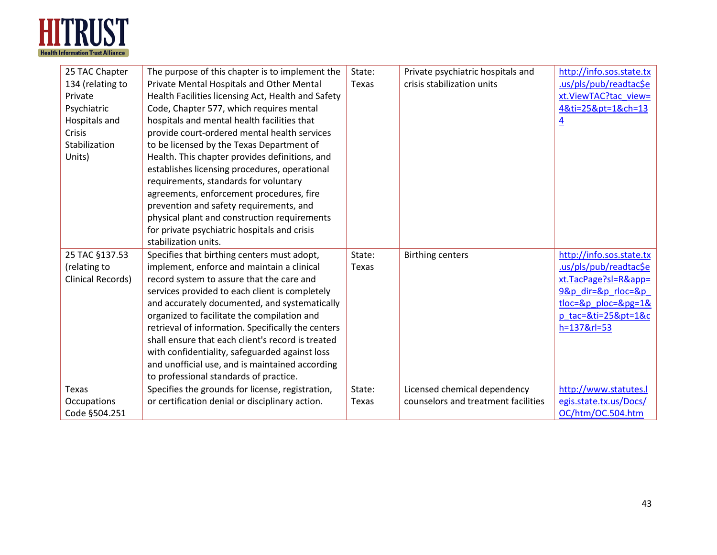

| 25 TAC Chapter    | The purpose of this chapter is to implement the    | State: | Private psychiatric hospitals and   | http://info.sos.state.tx    |
|-------------------|----------------------------------------------------|--------|-------------------------------------|-----------------------------|
| 134 (relating to  | Private Mental Hospitals and Other Mental          | Texas  | crisis stabilization units          | .us/pls/pub/readtac\$e      |
| Private           | Health Facilities licensing Act, Health and Safety |        |                                     | xt.ViewTAC?tac view=        |
| Psychiatric       | Code, Chapter 577, which requires mental           |        |                                     | 4&ti=25&pt=1&ch=13          |
| Hospitals and     | hospitals and mental health facilities that        |        |                                     | $\overline{4}$              |
| Crisis            | provide court-ordered mental health services       |        |                                     |                             |
| Stabilization     | to be licensed by the Texas Department of          |        |                                     |                             |
| Units)            | Health. This chapter provides definitions, and     |        |                                     |                             |
|                   | establishes licensing procedures, operational      |        |                                     |                             |
|                   | requirements, standards for voluntary              |        |                                     |                             |
|                   | agreements, enforcement procedures, fire           |        |                                     |                             |
|                   | prevention and safety requirements, and            |        |                                     |                             |
|                   | physical plant and construction requirements       |        |                                     |                             |
|                   | for private psychiatric hospitals and crisis       |        |                                     |                             |
|                   | stabilization units.                               |        |                                     |                             |
| 25 TAC §137.53    | Specifies that birthing centers must adopt,        | State: | <b>Birthing centers</b>             | http://info.sos.state.tx    |
| (relating to      | implement, enforce and maintain a clinical         | Texas  |                                     | .us/pls/pub/readtac\$e      |
| Clinical Records) | record system to assure that the care and          |        |                                     | xt.TacPage?sl=R&app=        |
|                   | services provided to each client is completely     |        |                                     | 9&p dir=&p rloc=&p          |
|                   | and accurately documented, and systematically      |        |                                     | $tloc = 8p_ploc = 8pg = 18$ |
|                   | organized to facilitate the compilation and        |        |                                     | p tac=&ti=25&pt=1&c         |
|                   | retrieval of information. Specifically the centers |        |                                     | h=137&rl=53                 |
|                   | shall ensure that each client's record is treated  |        |                                     |                             |
|                   | with confidentiality, safeguarded against loss     |        |                                     |                             |
|                   | and unofficial use, and is maintained according    |        |                                     |                             |
|                   | to professional standards of practice.             |        |                                     |                             |
| Texas             | Specifies the grounds for license, registration,   | State: | Licensed chemical dependency        | http://www.statutes.l       |
| Occupations       | or certification denial or disciplinary action.    | Texas  | counselors and treatment facilities | egis.state.tx.us/Docs/      |
| Code §504.251     |                                                    |        |                                     | OC/htm/OC.504.htm           |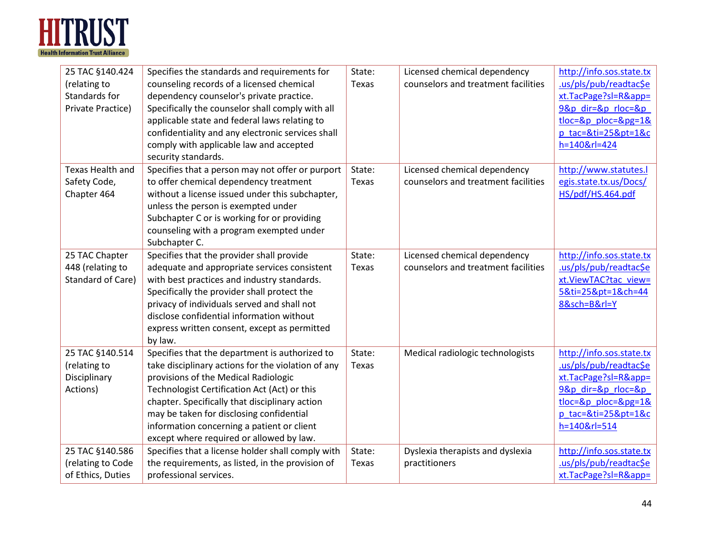

| 25 TAC §140.424<br>(relating to<br>Standards for<br>Private Practice) | Specifies the standards and requirements for<br>counseling records of a licensed chemical<br>dependency counselor's private practice.<br>Specifically the counselor shall comply with all<br>applicable state and federal laws relating to<br>confidentiality and any electronic services shall<br>comply with applicable law and accepted<br>security standards.                    | State:<br>Texas | Licensed chemical dependency<br>counselors and treatment facilities | http://info.sos.state.tx<br>.us/pls/pub/readtac\$e<br>xt.TacPage?sl=R&app=<br>9&p dir=&p rloc=&p<br>$tloc=8p$ ploc= $8pg=18$<br>p tac=&ti=25&pt=1&c<br>h=140&rl=424 |
|-----------------------------------------------------------------------|--------------------------------------------------------------------------------------------------------------------------------------------------------------------------------------------------------------------------------------------------------------------------------------------------------------------------------------------------------------------------------------|-----------------|---------------------------------------------------------------------|---------------------------------------------------------------------------------------------------------------------------------------------------------------------|
| Texas Health and<br>Safety Code,<br>Chapter 464                       | Specifies that a person may not offer or purport<br>to offer chemical dependency treatment<br>without a license issued under this subchapter,<br>unless the person is exempted under<br>Subchapter C or is working for or providing<br>counseling with a program exempted under<br>Subchapter C.                                                                                     | State:<br>Texas | Licensed chemical dependency<br>counselors and treatment facilities | http://www.statutes.l<br>egis.state.tx.us/Docs/<br>HS/pdf/HS.464.pdf                                                                                                |
| 25 TAC Chapter<br>448 (relating to<br>Standard of Care)               | Specifies that the provider shall provide<br>adequate and appropriate services consistent<br>with best practices and industry standards.<br>Specifically the provider shall protect the<br>privacy of individuals served and shall not<br>disclose confidential information without<br>express written consent, except as permitted<br>by law.                                       | State:<br>Texas | Licensed chemical dependency<br>counselors and treatment facilities | http://info.sos.state.tx<br>.us/pls/pub/readtac\$e<br>xt.ViewTAC?tac view=<br>5&ti=25&pt=1&ch=44<br>8&sch=B&rl=Y                                                    |
| 25 TAC §140.514<br>(relating to<br>Disciplinary<br>Actions)           | Specifies that the department is authorized to<br>take disciplinary actions for the violation of any<br>provisions of the Medical Radiologic<br>Technologist Certification Act (Act) or this<br>chapter. Specifically that disciplinary action<br>may be taken for disclosing confidential<br>information concerning a patient or client<br>except where required or allowed by law. | State:<br>Texas | Medical radiologic technologists                                    | http://info.sos.state.tx<br>.us/pls/pub/readtac\$e<br>xt.TacPage?sl=R&app=<br>9&p dir=&p rloc=&p<br>$tloc=8p$ ploc= $8pg=18$<br>p tac=&ti=25&pt=1&c<br>h=140&rl=514 |
| 25 TAC §140.586<br>(relating to Code<br>of Ethics, Duties             | Specifies that a license holder shall comply with<br>the requirements, as listed, in the provision of<br>professional services.                                                                                                                                                                                                                                                      | State:<br>Texas | Dyslexia therapists and dyslexia<br>practitioners                   | http://info.sos.state.tx<br>.us/pls/pub/readtac\$e<br>xt.TacPage?sl=R&app=                                                                                          |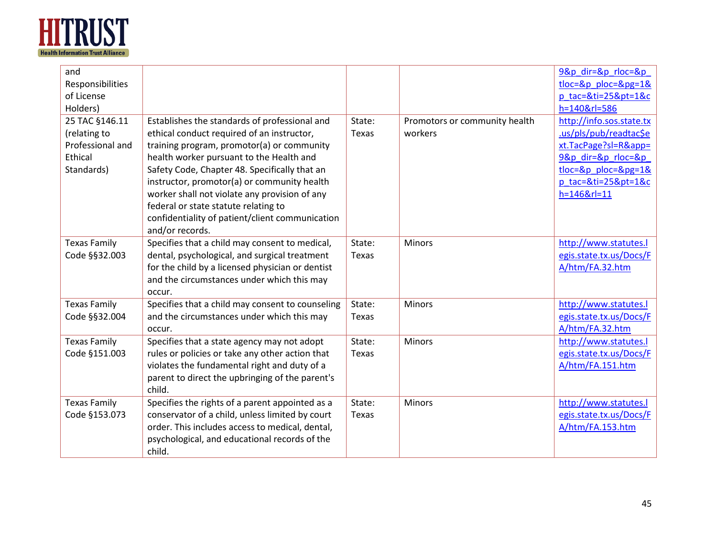

| and                 |                                                  |        |                               | 9&p dir=&p rloc=&p       |
|---------------------|--------------------------------------------------|--------|-------------------------------|--------------------------|
| Responsibilities    |                                                  |        |                               | $tloc=8p$ ploc= $8pg=18$ |
| of License          |                                                  |        |                               | p_tac=&ti=25&pt=1&c      |
| Holders)            |                                                  |        |                               | h=140&rl=586             |
| 25 TAC §146.11      | Establishes the standards of professional and    | State: | Promotors or community health | http://info.sos.state.tx |
| (relating to        | ethical conduct required of an instructor,       | Texas  | workers                       | .us/pls/pub/readtac\$e   |
| Professional and    | training program, promotor(a) or community       |        |                               | xt.TacPage?sl=R&app=     |
| Ethical             | health worker pursuant to the Health and         |        |                               | 9&p dir=&p rloc=&p       |
| Standards)          | Safety Code, Chapter 48. Specifically that an    |        |                               | $tloc=8p$ ploc= $8pg=18$ |
|                     | instructor, promotor(a) or community health      |        |                               | p tac=&ti=25&pt=1&c      |
|                     | worker shall not violate any provision of any    |        |                               | h=146&rl=11              |
|                     | federal or state statute relating to             |        |                               |                          |
|                     | confidentiality of patient/client communication  |        |                               |                          |
|                     | and/or records.                                  |        |                               |                          |
| <b>Texas Family</b> | Specifies that a child may consent to medical,   | State: | <b>Minors</b>                 | http://www.statutes.l    |
| Code §§32.003       | dental, psychological, and surgical treatment    | Texas  |                               | egis.state.tx.us/Docs/F  |
|                     | for the child by a licensed physician or dentist |        |                               | A/htm/FA.32.htm          |
|                     | and the circumstances under which this may       |        |                               |                          |
|                     | occur.                                           |        |                               |                          |
| <b>Texas Family</b> | Specifies that a child may consent to counseling | State: | Minors                        | http://www.statutes.l    |
| Code §§32.004       | and the circumstances under which this may       | Texas  |                               | egis.state.tx.us/Docs/F  |
|                     | occur.                                           |        |                               | A/htm/FA.32.htm          |
| <b>Texas Family</b> | Specifies that a state agency may not adopt      | State: | Minors                        | http://www.statutes.l    |
| Code §151.003       | rules or policies or take any other action that  | Texas  |                               | egis.state.tx.us/Docs/F  |
|                     | violates the fundamental right and duty of a     |        |                               | A/htm/FA.151.htm         |
|                     | parent to direct the upbringing of the parent's  |        |                               |                          |
|                     | child.                                           |        |                               |                          |
| <b>Texas Family</b> | Specifies the rights of a parent appointed as a  | State: | Minors                        | http://www.statutes.l    |
| Code §153.073       | conservator of a child, unless limited by court  | Texas  |                               | egis.state.tx.us/Docs/F  |
|                     | order. This includes access to medical, dental,  |        |                               | A/htm/FA.153.htm         |
|                     | psychological, and educational records of the    |        |                               |                          |
|                     | child.                                           |        |                               |                          |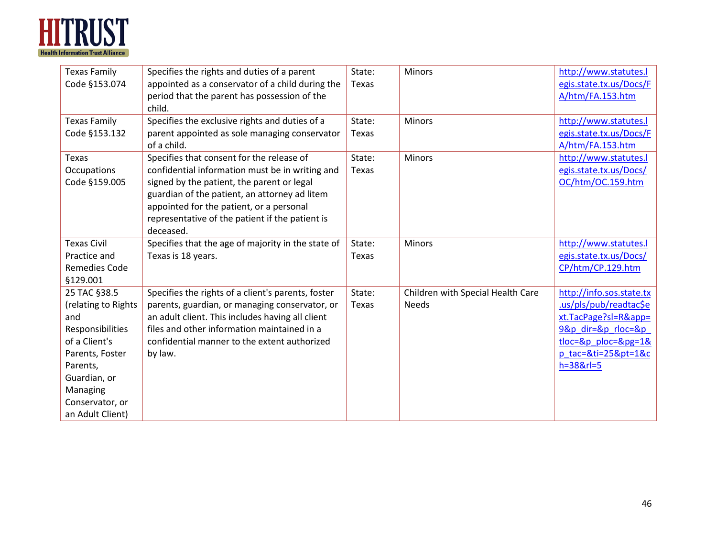

| <b>Texas Family</b>  | Specifies the rights and duties of a parent        | State: | Minors                            | http://www.statutes.l    |
|----------------------|----------------------------------------------------|--------|-----------------------------------|--------------------------|
| Code §153.074        | appointed as a conservator of a child during the   | Texas  |                                   | egis.state.tx.us/Docs/F  |
|                      | period that the parent has possession of the       |        |                                   | A/htm/FA.153.htm         |
|                      | child.                                             |        |                                   |                          |
| <b>Texas Family</b>  | Specifies the exclusive rights and duties of a     | State: | Minors                            | http://www.statutes.l    |
| Code §153.132        | parent appointed as sole managing conservator      | Texas  |                                   | egis.state.tx.us/Docs/F  |
|                      | of a child.                                        |        |                                   | A/htm/FA.153.htm         |
| <b>Texas</b>         | Specifies that consent for the release of          | State: | <b>Minors</b>                     | http://www.statutes.l    |
| Occupations          | confidential information must be in writing and    | Texas  |                                   | egis.state.tx.us/Docs/   |
| Code §159.005        | signed by the patient, the parent or legal         |        |                                   | OC/htm/OC.159.htm        |
|                      | guardian of the patient, an attorney ad litem      |        |                                   |                          |
|                      | appointed for the patient, or a personal           |        |                                   |                          |
|                      | representative of the patient if the patient is    |        |                                   |                          |
|                      | deceased.                                          |        |                                   |                          |
| <b>Texas Civil</b>   | Specifies that the age of majority in the state of | State: | <b>Minors</b>                     | http://www.statutes.l    |
| Practice and         | Texas is 18 years.                                 | Texas  |                                   | egis.state.tx.us/Docs/   |
| <b>Remedies Code</b> |                                                    |        |                                   | CP/htm/CP.129.htm        |
| §129.001             |                                                    |        |                                   |                          |
| 25 TAC §38.5         | Specifies the rights of a client's parents, foster | State: | Children with Special Health Care | http://info.sos.state.tx |
| (relating to Rights  | parents, guardian, or managing conservator, or     | Texas  | <b>Needs</b>                      | .us/pls/pub/readtac\$e   |
| and                  | an adult client. This includes having all client   |        |                                   | xt.TacPage?sl=R&app=     |
| Responsibilities     | files and other information maintained in a        |        |                                   | 9&p dir=&p rloc=&p       |
| of a Client's        | confidential manner to the extent authorized       |        |                                   | $tloc=8p$ ploc= $8pg=18$ |
| Parents, Foster      | by law.                                            |        |                                   | p tac=&ti=25&pt=1&c      |
| Parents,             |                                                    |        |                                   | $h = 388$ rl=5           |
| Guardian, or         |                                                    |        |                                   |                          |
| Managing             |                                                    |        |                                   |                          |
| Conservator, or      |                                                    |        |                                   |                          |
| an Adult Client)     |                                                    |        |                                   |                          |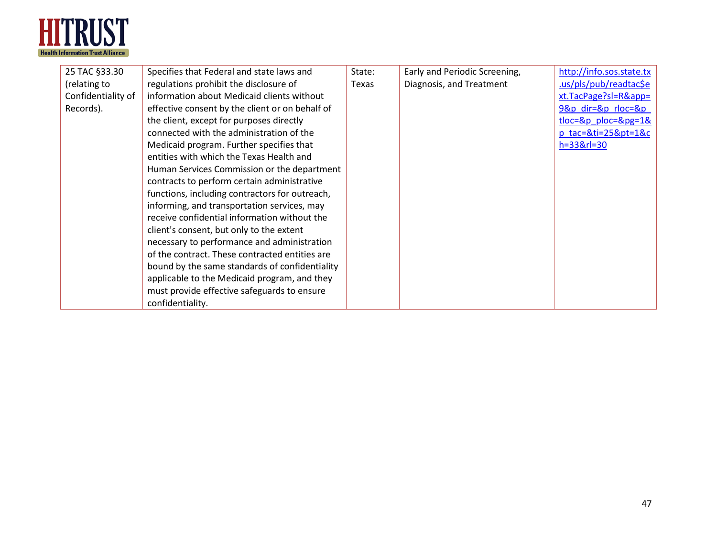

| Specifies that Federal and state laws and       | State:                                      | Early and Periodic Screening, | http://info.sos.state.tx   |
|-------------------------------------------------|---------------------------------------------|-------------------------------|----------------------------|
| regulations prohibit the disclosure of          | Texas                                       | Diagnosis, and Treatment      | .us/pls/pub/readtac\$e     |
| information about Medicaid clients without      |                                             |                               | xt.TacPage?sl=R&app=       |
| effective consent by the client or on behalf of |                                             |                               | $98p$ dir= $8p$ rloc= $8p$ |
| the client, except for purposes directly        |                                             |                               | $tloc=8p$ ploc= $8pg=18$   |
| connected with the administration of the        |                                             |                               | $p$ tac=&ti=25&pt=1&c      |
| Medicaid program. Further specifies that        |                                             |                               | $h = 33 & r = 30$          |
| entities with which the Texas Health and        |                                             |                               |                            |
| Human Services Commission or the department     |                                             |                               |                            |
| contracts to perform certain administrative     |                                             |                               |                            |
| functions, including contractors for outreach,  |                                             |                               |                            |
| informing, and transportation services, may     |                                             |                               |                            |
| receive confidential information without the    |                                             |                               |                            |
| client's consent, but only to the extent        |                                             |                               |                            |
| necessary to performance and administration     |                                             |                               |                            |
| of the contract. These contracted entities are  |                                             |                               |                            |
| bound by the same standards of confidentiality  |                                             |                               |                            |
| applicable to the Medicaid program, and they    |                                             |                               |                            |
|                                                 |                                             |                               |                            |
| confidentiality.                                |                                             |                               |                            |
|                                                 | must provide effective safeguards to ensure |                               |                            |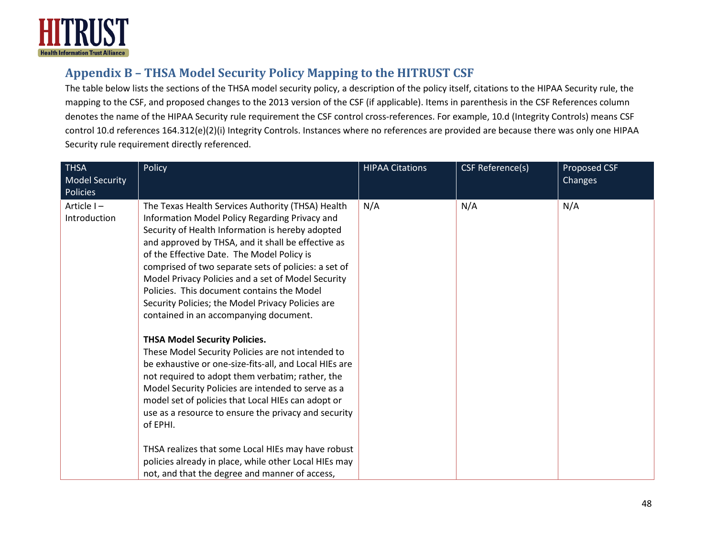

## **Appendix B – THSA Model Security Policy Mapping to the HITRUST CSF**

The table below lists the sections of the THSA model security policy, a description of the policy itself, citations to the HIPAA Security rule, the mapping to the CSF, and proposed changes to the 2013 version of the CSF (if applicable). Items in parenthesis in the CSF References column denotes the name of the HIPAA Security rule requirement the CSF control cross-references. For example, 10.d (Integrity Controls) means CSF control 10.d references 164.312(e)(2)(i) Integrity Controls. Instances where no references are provided are because there was only one HIPAA Security rule requirement directly referenced.

<span id="page-47-0"></span>

| <b>THSA</b><br><b>Model Security</b><br>Policies | Policy                                                                                                                                                                                                                                                                                                                                                                                                                                                                                                                                                                                                                                                                                                                                                                                                                                                                                                                                                                                                                           | <b>HIPAA Citations</b> | CSF Reference(s) | Proposed CSF<br><b>Changes</b> |
|--------------------------------------------------|----------------------------------------------------------------------------------------------------------------------------------------------------------------------------------------------------------------------------------------------------------------------------------------------------------------------------------------------------------------------------------------------------------------------------------------------------------------------------------------------------------------------------------------------------------------------------------------------------------------------------------------------------------------------------------------------------------------------------------------------------------------------------------------------------------------------------------------------------------------------------------------------------------------------------------------------------------------------------------------------------------------------------------|------------------------|------------------|--------------------------------|
| Article I-<br>Introduction                       | The Texas Health Services Authority (THSA) Health<br>Information Model Policy Regarding Privacy and<br>Security of Health Information is hereby adopted<br>and approved by THSA, and it shall be effective as<br>of the Effective Date. The Model Policy is<br>comprised of two separate sets of policies: a set of<br>Model Privacy Policies and a set of Model Security<br>Policies. This document contains the Model<br>Security Policies; the Model Privacy Policies are<br>contained in an accompanying document.<br><b>THSA Model Security Policies.</b><br>These Model Security Policies are not intended to<br>be exhaustive or one-size-fits-all, and Local HIEs are<br>not required to adopt them verbatim; rather, the<br>Model Security Policies are intended to serve as a<br>model set of policies that Local HIEs can adopt or<br>use as a resource to ensure the privacy and security<br>of EPHI.<br>THSA realizes that some Local HIEs may have robust<br>policies already in place, while other Local HIEs may | N/A                    | N/A              | N/A                            |
|                                                  | not, and that the degree and manner of access,                                                                                                                                                                                                                                                                                                                                                                                                                                                                                                                                                                                                                                                                                                                                                                                                                                                                                                                                                                                   |                        |                  |                                |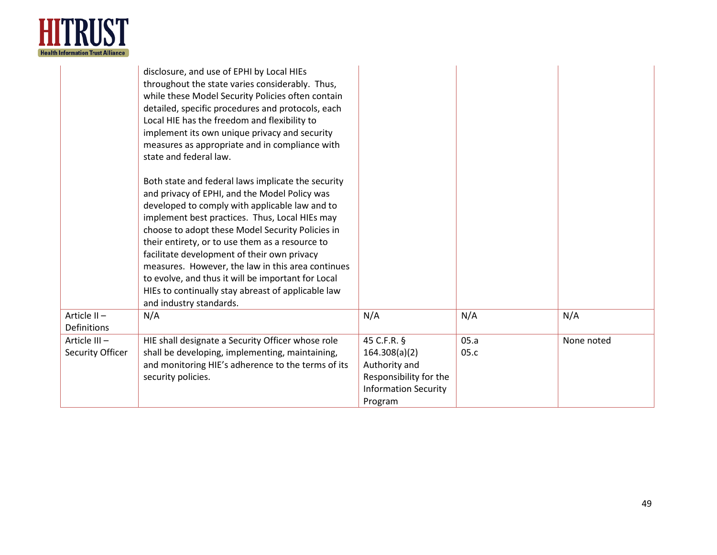

|                                  | disclosure, and use of EPHI by Local HIEs<br>throughout the state varies considerably. Thus,<br>while these Model Security Policies often contain<br>detailed, specific procedures and protocols, each<br>Local HIE has the freedom and flexibility to<br>implement its own unique privacy and security<br>measures as appropriate and in compliance with<br>state and federal law.                                                                                                                                            |                                                                                                                   |              |            |
|----------------------------------|--------------------------------------------------------------------------------------------------------------------------------------------------------------------------------------------------------------------------------------------------------------------------------------------------------------------------------------------------------------------------------------------------------------------------------------------------------------------------------------------------------------------------------|-------------------------------------------------------------------------------------------------------------------|--------------|------------|
|                                  | Both state and federal laws implicate the security<br>and privacy of EPHI, and the Model Policy was<br>developed to comply with applicable law and to<br>implement best practices. Thus, Local HIEs may<br>choose to adopt these Model Security Policies in<br>their entirety, or to use them as a resource to<br>facilitate development of their own privacy<br>measures. However, the law in this area continues<br>to evolve, and thus it will be important for Local<br>HIEs to continually stay abreast of applicable law |                                                                                                                   |              |            |
| Article II-<br>Definitions       | and industry standards.<br>N/A                                                                                                                                                                                                                                                                                                                                                                                                                                                                                                 | N/A                                                                                                               | N/A          | N/A        |
| Article III-<br>Security Officer | HIE shall designate a Security Officer whose role<br>shall be developing, implementing, maintaining,<br>and monitoring HIE's adherence to the terms of its<br>security policies.                                                                                                                                                                                                                                                                                                                                               | 45 C.F.R. §<br>164.308(a)(2)<br>Authority and<br>Responsibility for the<br><b>Information Security</b><br>Program | 05.a<br>05.c | None noted |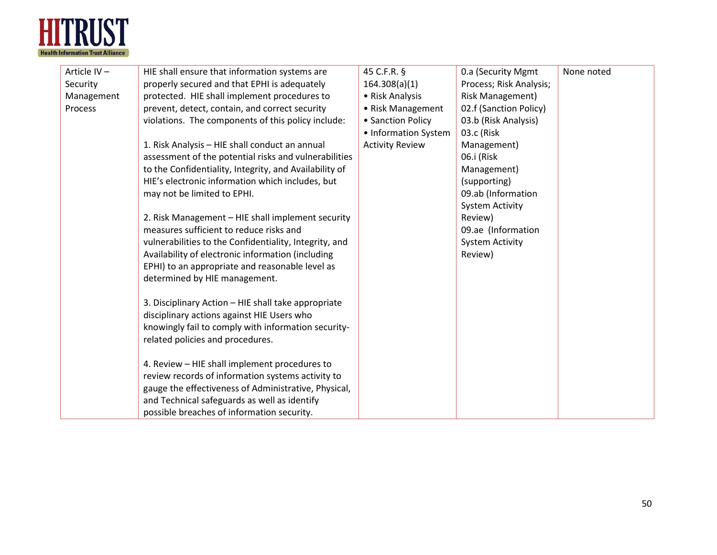

| Article IV- | HIE shall ensure that information systems are          | 45 C.F.R. §            | 0.a (Security Mgmt      | None noted |
|-------------|--------------------------------------------------------|------------------------|-------------------------|------------|
| Security    | properly secured and that EPHI is adequately           | 164.308(a)(1)          | Process; Risk Analysis; |            |
| Management  | protected. HIE shall implement procedures to           | • Risk Analysis        | <b>Risk Management)</b> |            |
| Process     | prevent, detect, contain, and correct security         | • Risk Management      | 02.f (Sanction Policy)  |            |
|             | violations. The components of this policy include:     | • Sanction Policy      | 03.b (Risk Analysis)    |            |
|             |                                                        | • Information System   | 03.c (Risk              |            |
|             | 1. Risk Analysis - HIE shall conduct an annual         | <b>Activity Review</b> | Management)             |            |
|             | assessment of the potential risks and vulnerabilities  |                        | 06.i (Risk              |            |
|             | to the Confidentiality, Integrity, and Availability of |                        | Management)             |            |
|             | HIE's electronic information which includes, but       |                        | (supporting)            |            |
|             | may not be limited to EPHI.                            |                        | 09.ab (Information      |            |
|             |                                                        |                        | <b>System Activity</b>  |            |
|             | 2. Risk Management - HIE shall implement security      |                        | Review)                 |            |
|             | measures sufficient to reduce risks and                |                        | 09.ae (Information      |            |
|             | vulnerabilities to the Confidentiality, Integrity, and |                        | <b>System Activity</b>  |            |
|             | Availability of electronic information (including      |                        | Review)                 |            |
|             | EPHI) to an appropriate and reasonable level as        |                        |                         |            |
|             | determined by HIE management.                          |                        |                         |            |
|             |                                                        |                        |                         |            |
|             | 3. Disciplinary Action - HIE shall take appropriate    |                        |                         |            |
|             | disciplinary actions against HIE Users who             |                        |                         |            |
|             | knowingly fail to comply with information security-    |                        |                         |            |
|             | related policies and procedures.                       |                        |                         |            |
|             |                                                        |                        |                         |            |
|             | 4. Review - HIE shall implement procedures to          |                        |                         |            |
|             | review records of information systems activity to      |                        |                         |            |
|             | gauge the effectiveness of Administrative, Physical,   |                        |                         |            |
|             | and Technical safeguards as well as identify           |                        |                         |            |
|             | possible breaches of information security.             |                        |                         |            |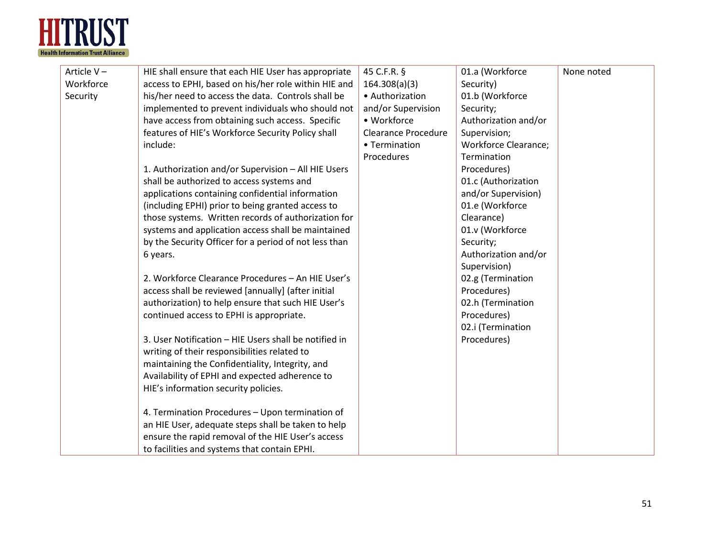

| Article V- | HIE shall ensure that each HIE User has appropriate   | 45 C.F.R. §                | 01.a (Workforce             | None noted |
|------------|-------------------------------------------------------|----------------------------|-----------------------------|------------|
| Workforce  | access to EPHI, based on his/her role within HIE and  | 164.308(a)(3)              | Security)                   |            |
| Security   | his/her need to access the data. Controls shall be    | • Authorization            | 01.b (Workforce             |            |
|            | implemented to prevent individuals who should not     | and/or Supervision         | Security;                   |            |
|            | have access from obtaining such access. Specific      | • Workforce                | Authorization and/or        |            |
|            | features of HIE's Workforce Security Policy shall     | <b>Clearance Procedure</b> | Supervision;                |            |
|            | include:                                              | • Termination              | <b>Workforce Clearance;</b> |            |
|            |                                                       | Procedures                 | Termination                 |            |
|            | 1. Authorization and/or Supervision - All HIE Users   |                            | Procedures)                 |            |
|            | shall be authorized to access systems and             |                            | 01.c (Authorization         |            |
|            | applications containing confidential information      |                            | and/or Supervision)         |            |
|            | (including EPHI) prior to being granted access to     |                            | 01.e (Workforce             |            |
|            | those systems. Written records of authorization for   |                            | Clearance)                  |            |
|            | systems and application access shall be maintained    |                            | 01.v (Workforce             |            |
|            | by the Security Officer for a period of not less than |                            | Security;                   |            |
|            | 6 years.                                              |                            | Authorization and/or        |            |
|            |                                                       |                            | Supervision)                |            |
|            | 2. Workforce Clearance Procedures - An HIE User's     |                            | 02.g (Termination           |            |
|            | access shall be reviewed [annually] (after initial    |                            | Procedures)                 |            |
|            | authorization) to help ensure that such HIE User's    |                            | 02.h (Termination           |            |
|            | continued access to EPHI is appropriate.              |                            | Procedures)                 |            |
|            |                                                       |                            | 02.i (Termination           |            |
|            | 3. User Notification - HIE Users shall be notified in |                            | Procedures)                 |            |
|            | writing of their responsibilities related to          |                            |                             |            |
|            | maintaining the Confidentiality, Integrity, and       |                            |                             |            |
|            | Availability of EPHI and expected adherence to        |                            |                             |            |
|            | HIE's information security policies.                  |                            |                             |            |
|            |                                                       |                            |                             |            |
|            | 4. Termination Procedures - Upon termination of       |                            |                             |            |
|            | an HIE User, adequate steps shall be taken to help    |                            |                             |            |
|            | ensure the rapid removal of the HIE User's access     |                            |                             |            |
|            | to facilities and systems that contain EPHI.          |                            |                             |            |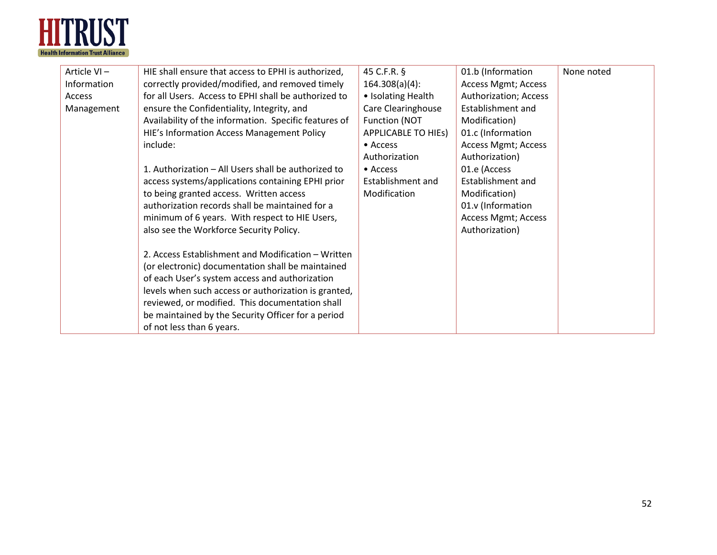

| Article VI- | HIE shall ensure that access to EPHI is authorized,   | 45 C.F.R. §                | 01.b (Information          | None noted |
|-------------|-------------------------------------------------------|----------------------------|----------------------------|------------|
| Information | correctly provided/modified, and removed timely       | $164.308(a)(4)$ :          | <b>Access Mgmt; Access</b> |            |
| Access      | for all Users. Access to EPHI shall be authorized to  | • Isolating Health         | Authorization; Access      |            |
| Management  | ensure the Confidentiality, Integrity, and            | Care Clearinghouse         | Establishment and          |            |
|             | Availability of the information. Specific features of | Function (NOT              | Modification)              |            |
|             | HIE's Information Access Management Policy            | <b>APPLICABLE TO HIES)</b> | 01.c (Information          |            |
|             | include:                                              | • Access                   | <b>Access Mgmt; Access</b> |            |
|             |                                                       | Authorization              | Authorization)             |            |
|             | 1. Authorization – All Users shall be authorized to   | $\bullet$ Access           | 01.e (Access               |            |
|             | access systems/applications containing EPHI prior     | Establishment and          | Establishment and          |            |
|             | to being granted access. Written access               | Modification               | Modification)              |            |
|             | authorization records shall be maintained for a       |                            | 01.v (Information          |            |
|             | minimum of 6 years. With respect to HIE Users,        |                            | <b>Access Mgmt; Access</b> |            |
|             | also see the Workforce Security Policy.               |                            | Authorization)             |            |
|             |                                                       |                            |                            |            |
|             | 2. Access Establishment and Modification - Written    |                            |                            |            |
|             | (or electronic) documentation shall be maintained     |                            |                            |            |
|             | of each User's system access and authorization        |                            |                            |            |
|             | levels when such access or authorization is granted,  |                            |                            |            |
|             | reviewed, or modified. This documentation shall       |                            |                            |            |
|             | be maintained by the Security Officer for a period    |                            |                            |            |
|             | of not less than 6 years.                             |                            |                            |            |
|             |                                                       |                            |                            |            |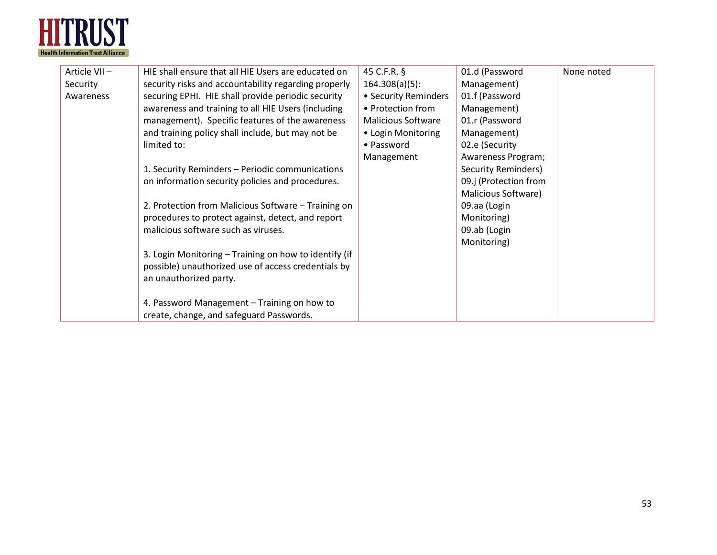

| Article VII- | HIE shall ensure that all HIE Users are educated on   | 45 C.F.R. §               | 01.d (Password        | None noted |
|--------------|-------------------------------------------------------|---------------------------|-----------------------|------------|
| Security     | security risks and accountability regarding properly  | $164.308(a)(5)$ :         | Management)           |            |
| Awareness    | securing EPHI. HIE shall provide periodic security    | • Security Reminders      | 01.f (Password        |            |
|              | awareness and training to all HIE Users (including    | • Protection from         | Management)           |            |
|              | management). Specific features of the awareness       | <b>Malicious Software</b> | 01.r (Password        |            |
|              | and training policy shall include, but may not be     | • Login Monitoring        | Management)           |            |
|              | limited to:                                           | • Password                | 02.e (Security        |            |
|              |                                                       | Management                | Awareness Program;    |            |
|              | 1. Security Reminders - Periodic communications       |                           | Security Reminders)   |            |
|              | on information security policies and procedures.      |                           | 09.j (Protection from |            |
|              |                                                       |                           | Malicious Software)   |            |
|              | 2. Protection from Malicious Software - Training on   |                           | 09.aa (Login          |            |
|              | procedures to protect against, detect, and report     |                           | Monitoring)           |            |
|              | malicious software such as viruses.                   |                           | 09.ab (Login          |            |
|              |                                                       |                           | Monitoring)           |            |
|              | 3. Login Monitoring - Training on how to identify (if |                           |                       |            |
|              | possible) unauthorized use of access credentials by   |                           |                       |            |
|              | an unauthorized party.                                |                           |                       |            |
|              |                                                       |                           |                       |            |
|              | 4. Password Management - Training on how to           |                           |                       |            |
|              | create, change, and safeguard Passwords.              |                           |                       |            |
|              |                                                       |                           |                       |            |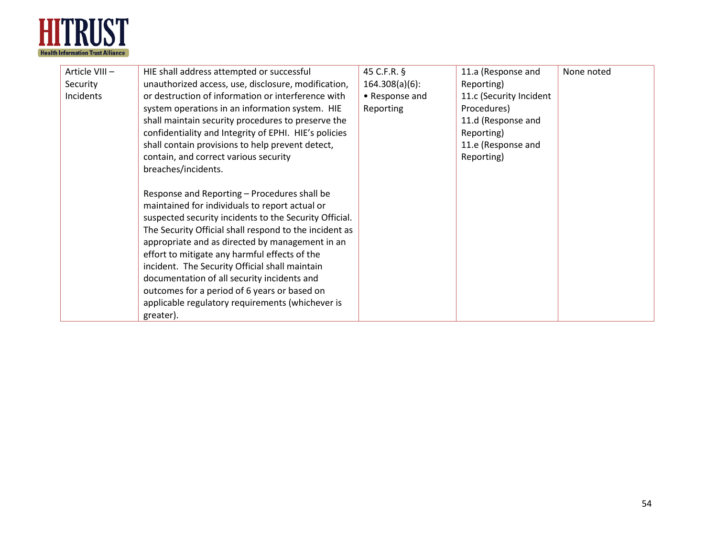

| Article VIII- | HIE shall address attempted or successful              | 45 C.F.R. §       | 11.a (Response and      | None noted |
|---------------|--------------------------------------------------------|-------------------|-------------------------|------------|
| Security      | unauthorized access, use, disclosure, modification,    | $164.308(a)(6)$ : | Reporting)              |            |
| Incidents     | or destruction of information or interference with     | • Response and    | 11.c (Security Incident |            |
|               | system operations in an information system. HIE        | Reporting         | Procedures)             |            |
|               | shall maintain security procedures to preserve the     |                   | 11.d (Response and      |            |
|               | confidentiality and Integrity of EPHI. HIE's policies  |                   | Reporting)              |            |
|               | shall contain provisions to help prevent detect,       |                   | 11.e (Response and      |            |
|               | contain, and correct various security                  |                   | Reporting)              |            |
|               | breaches/incidents.                                    |                   |                         |            |
|               |                                                        |                   |                         |            |
|               | Response and Reporting - Procedures shall be           |                   |                         |            |
|               | maintained for individuals to report actual or         |                   |                         |            |
|               | suspected security incidents to the Security Official. |                   |                         |            |
|               | The Security Official shall respond to the incident as |                   |                         |            |
|               | appropriate and as directed by management in an        |                   |                         |            |
|               | effort to mitigate any harmful effects of the          |                   |                         |            |
|               | incident. The Security Official shall maintain         |                   |                         |            |
|               | documentation of all security incidents and            |                   |                         |            |
|               | outcomes for a period of 6 years or based on           |                   |                         |            |
|               | applicable regulatory requirements (whichever is       |                   |                         |            |
|               | greater).                                              |                   |                         |            |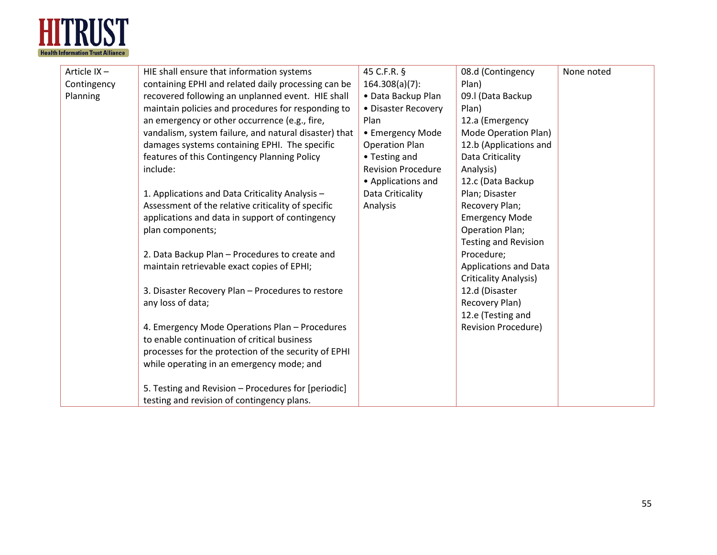

| Article IX- | HIE shall ensure that information systems             | 45 C.F.R. §               | 08.d (Contingency            | None noted |
|-------------|-------------------------------------------------------|---------------------------|------------------------------|------------|
| Contingency | containing EPHI and related daily processing can be   | $164.308(a)(7)$ :         | Plan)                        |            |
| Planning    | recovered following an unplanned event. HIE shall     | • Data Backup Plan        | 09.I (Data Backup            |            |
|             | maintain policies and procedures for responding to    | • Disaster Recovery       | Plan)                        |            |
|             | an emergency or other occurrence (e.g., fire,         | Plan                      | 12.a (Emergency              |            |
|             | vandalism, system failure, and natural disaster) that | • Emergency Mode          | Mode Operation Plan)         |            |
|             | damages systems containing EPHI. The specific         | <b>Operation Plan</b>     | 12.b (Applications and       |            |
|             | features of this Contingency Planning Policy          | • Testing and             | Data Criticality             |            |
|             | include:                                              | <b>Revision Procedure</b> | Analysis)                    |            |
|             |                                                       | • Applications and        | 12.c (Data Backup            |            |
|             | 1. Applications and Data Criticality Analysis -       | Data Criticality          | Plan; Disaster               |            |
|             | Assessment of the relative criticality of specific    | Analysis                  | Recovery Plan;               |            |
|             | applications and data in support of contingency       |                           | <b>Emergency Mode</b>        |            |
|             | plan components;                                      |                           | <b>Operation Plan;</b>       |            |
|             |                                                       |                           | <b>Testing and Revision</b>  |            |
|             | 2. Data Backup Plan - Procedures to create and        |                           | Procedure;                   |            |
|             | maintain retrievable exact copies of EPHI;            |                           | <b>Applications and Data</b> |            |
|             |                                                       |                           | <b>Criticality Analysis)</b> |            |
|             | 3. Disaster Recovery Plan - Procedures to restore     |                           | 12.d (Disaster               |            |
|             | any loss of data;                                     |                           | Recovery Plan)               |            |
|             |                                                       |                           | 12.e (Testing and            |            |
|             | 4. Emergency Mode Operations Plan - Procedures        |                           | <b>Revision Procedure)</b>   |            |
|             | to enable continuation of critical business           |                           |                              |            |
|             | processes for the protection of the security of EPHI  |                           |                              |            |
|             | while operating in an emergency mode; and             |                           |                              |            |
|             |                                                       |                           |                              |            |
|             | 5. Testing and Revision - Procedures for [periodic]   |                           |                              |            |
|             | testing and revision of contingency plans.            |                           |                              |            |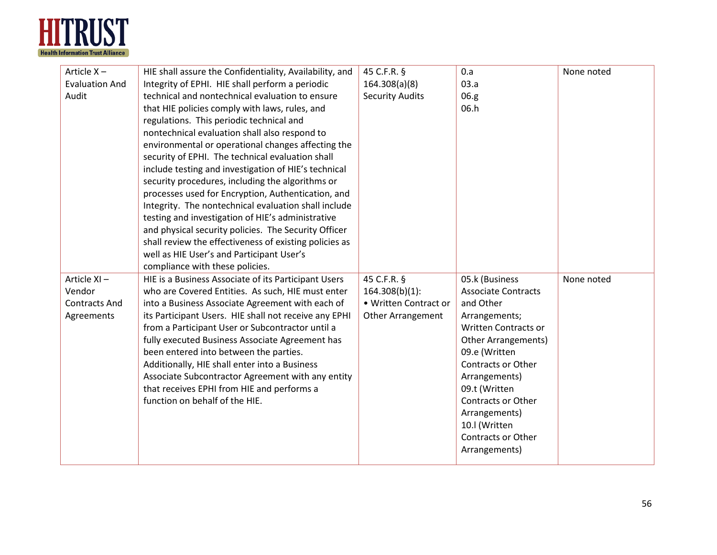

| Article X-            | HIE shall assure the Confidentiality, Availability, and                      | 45 C.F.R. §              | 0.a                                        | None noted |
|-----------------------|------------------------------------------------------------------------------|--------------------------|--------------------------------------------|------------|
| <b>Evaluation And</b> | Integrity of EPHI. HIE shall perform a periodic                              | 164.308(a)(8)            | 03.a                                       |            |
| Audit                 | technical and nontechnical evaluation to ensure                              | <b>Security Audits</b>   | 06.g                                       |            |
|                       | that HIE policies comply with laws, rules, and                               |                          | 06.h                                       |            |
|                       | regulations. This periodic technical and                                     |                          |                                            |            |
|                       | nontechnical evaluation shall also respond to                                |                          |                                            |            |
|                       | environmental or operational changes affecting the                           |                          |                                            |            |
|                       | security of EPHI. The technical evaluation shall                             |                          |                                            |            |
|                       | include testing and investigation of HIE's technical                         |                          |                                            |            |
|                       | security procedures, including the algorithms or                             |                          |                                            |            |
|                       | processes used for Encryption, Authentication, and                           |                          |                                            |            |
|                       | Integrity. The nontechnical evaluation shall include                         |                          |                                            |            |
|                       | testing and investigation of HIE's administrative                            |                          |                                            |            |
|                       | and physical security policies. The Security Officer                         |                          |                                            |            |
|                       | shall review the effectiveness of existing policies as                       |                          |                                            |            |
|                       | well as HIE User's and Participant User's                                    |                          |                                            |            |
|                       | compliance with these policies.                                              |                          |                                            |            |
| Article XI-           | HIE is a Business Associate of its Participant Users                         | 45 C.F.R. §              | 05.k (Business                             | None noted |
| Vendor                | who are Covered Entities. As such, HIE must enter                            | $164.308(b)(1)$ :        | <b>Associate Contracts</b>                 |            |
| <b>Contracts And</b>  | into a Business Associate Agreement with each of                             | • Written Contract or    | and Other                                  |            |
| Agreements            | its Participant Users. HIE shall not receive any EPHI                        | <b>Other Arrangement</b> | Arrangements;                              |            |
|                       | from a Participant User or Subcontractor until a                             |                          | <b>Written Contracts or</b>                |            |
|                       | fully executed Business Associate Agreement has                              |                          | Other Arrangements)                        |            |
|                       | been entered into between the parties.                                       |                          | 09.e (Written                              |            |
|                       | Additionally, HIE shall enter into a Business                                |                          | Contracts or Other                         |            |
|                       | Associate Subcontractor Agreement with any entity                            |                          | Arrangements)                              |            |
|                       | that receives EPHI from HIE and performs a<br>function on behalf of the HIE. |                          | 09.t (Written<br><b>Contracts or Other</b> |            |
|                       |                                                                              |                          | Arrangements)                              |            |
|                       |                                                                              |                          | 10.I (Written                              |            |
|                       |                                                                              |                          | Contracts or Other                         |            |
|                       |                                                                              |                          | Arrangements)                              |            |
|                       |                                                                              |                          |                                            |            |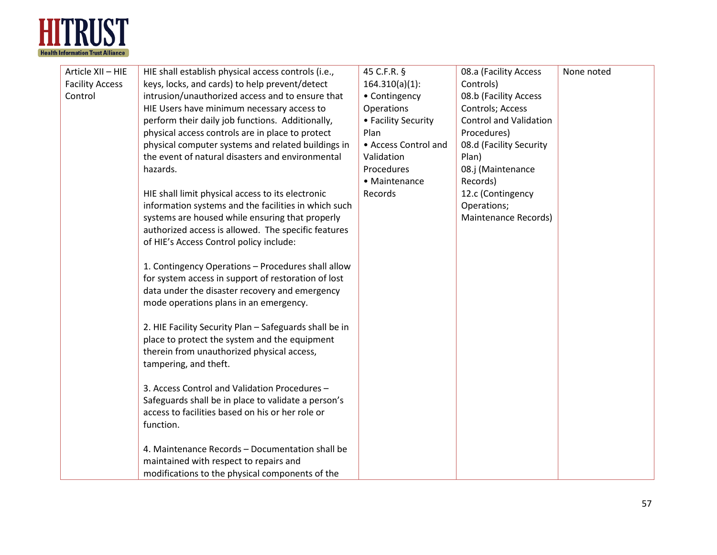

| Article XII - HIE      | HIE shall establish physical access controls (i.e.,    | 45 C.F.R. §          | 08.a (Facility Access         | None noted |
|------------------------|--------------------------------------------------------|----------------------|-------------------------------|------------|
| <b>Facility Access</b> | keys, locks, and cards) to help prevent/detect         | $164.310(a)(1)$ :    | Controls)                     |            |
| Control                | intrusion/unauthorized access and to ensure that       | • Contingency        | 08.b (Facility Access         |            |
|                        | HIE Users have minimum necessary access to             | Operations           | Controls; Access              |            |
|                        | perform their daily job functions. Additionally,       | • Facility Security  | <b>Control and Validation</b> |            |
|                        | physical access controls are in place to protect       | Plan                 | Procedures)                   |            |
|                        | physical computer systems and related buildings in     | • Access Control and | 08.d (Facility Security       |            |
|                        | the event of natural disasters and environmental       | Validation           | Plan)                         |            |
|                        | hazards.                                               | Procedures           | 08.j (Maintenance             |            |
|                        |                                                        | • Maintenance        | Records)                      |            |
|                        | HIE shall limit physical access to its electronic      | Records              | 12.c (Contingency             |            |
|                        | information systems and the facilities in which such   |                      | Operations;                   |            |
|                        | systems are housed while ensuring that properly        |                      | Maintenance Records)          |            |
|                        | authorized access is allowed. The specific features    |                      |                               |            |
|                        | of HIE's Access Control policy include:                |                      |                               |            |
|                        |                                                        |                      |                               |            |
|                        | 1. Contingency Operations - Procedures shall allow     |                      |                               |            |
|                        | for system access in support of restoration of lost    |                      |                               |            |
|                        | data under the disaster recovery and emergency         |                      |                               |            |
|                        | mode operations plans in an emergency.                 |                      |                               |            |
|                        |                                                        |                      |                               |            |
|                        | 2. HIE Facility Security Plan - Safeguards shall be in |                      |                               |            |
|                        | place to protect the system and the equipment          |                      |                               |            |
|                        | therein from unauthorized physical access,             |                      |                               |            |
|                        | tampering, and theft.                                  |                      |                               |            |
|                        | 3. Access Control and Validation Procedures -          |                      |                               |            |
|                        | Safeguards shall be in place to validate a person's    |                      |                               |            |
|                        | access to facilities based on his or her role or       |                      |                               |            |
|                        | function.                                              |                      |                               |            |
|                        |                                                        |                      |                               |            |
|                        | 4. Maintenance Records - Documentation shall be        |                      |                               |            |
|                        | maintained with respect to repairs and                 |                      |                               |            |
|                        | modifications to the physical components of the        |                      |                               |            |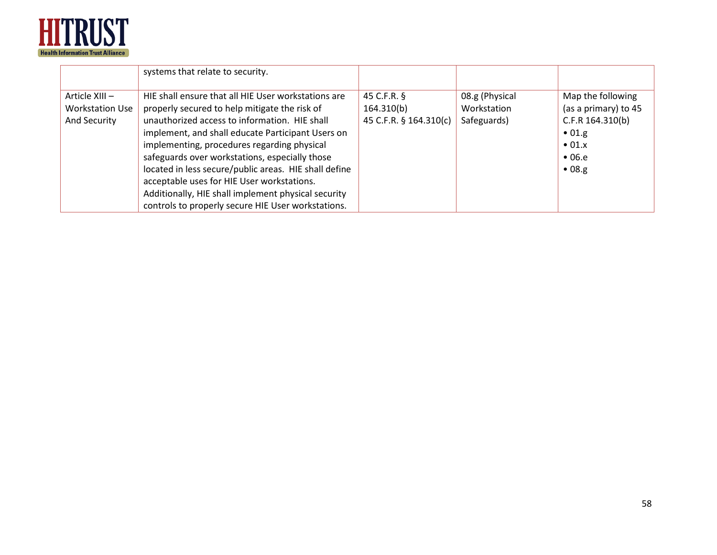

|                        | systems that relate to security.                      |                        |                |                      |
|------------------------|-------------------------------------------------------|------------------------|----------------|----------------------|
| Article XIII -         | HIE shall ensure that all HIE User workstations are   | 45 C.F.R. §            | 08.g (Physical | Map the following    |
| <b>Workstation Use</b> | properly secured to help mitigate the risk of         | 164.310(b)             | Workstation    | (as a primary) to 45 |
| And Security           | unauthorized access to information. HIE shall         | 45 C.F.R. § 164.310(c) | Safeguards)    | C.F.R 164.310(b)     |
|                        | implement, and shall educate Participant Users on     |                        |                | $\bullet$ 01.g       |
|                        | implementing, procedures regarding physical           |                        |                | $\bullet$ 01. $x$    |
|                        | safeguards over workstations, especially those        |                        |                | $\bullet$ 06.e       |
|                        | located in less secure/public areas. HIE shall define |                        |                | •08.g.               |
|                        | acceptable uses for HIE User workstations.            |                        |                |                      |
|                        | Additionally, HIE shall implement physical security   |                        |                |                      |
|                        | controls to properly secure HIE User workstations.    |                        |                |                      |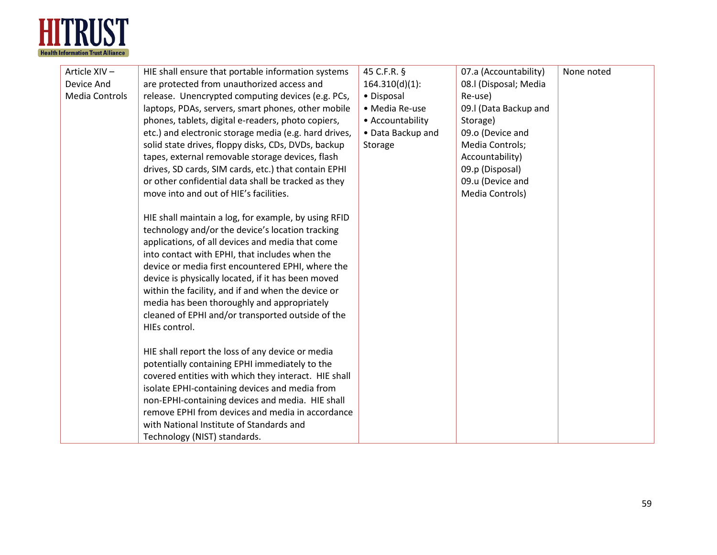

| Article XIV-<br>Device And<br><b>Media Controls</b> | HIE shall ensure that portable information systems<br>are protected from unauthorized access and<br>release. Unencrypted computing devices (e.g. PCs,<br>laptops, PDAs, servers, smart phones, other mobile<br>phones, tablets, digital e-readers, photo copiers,<br>etc.) and electronic storage media (e.g. hard drives,<br>solid state drives, floppy disks, CDs, DVDs, backup<br>tapes, external removable storage devices, flash<br>drives, SD cards, SIM cards, etc.) that contain EPHI        | 45 C.F.R. §<br>$164.310(d)(1)$ :<br>• Disposal<br>• Media Re-use<br>• Accountability<br>• Data Backup and<br>Storage | 07.a (Accountability)<br>08.I (Disposal; Media<br>Re-use)<br>09.I (Data Backup and<br>Storage)<br>09.o (Device and<br>Media Controls;<br>Accountability)<br>09.p (Disposal) | None noted |
|-----------------------------------------------------|------------------------------------------------------------------------------------------------------------------------------------------------------------------------------------------------------------------------------------------------------------------------------------------------------------------------------------------------------------------------------------------------------------------------------------------------------------------------------------------------------|----------------------------------------------------------------------------------------------------------------------|-----------------------------------------------------------------------------------------------------------------------------------------------------------------------------|------------|
|                                                     | or other confidential data shall be tracked as they<br>move into and out of HIE's facilities.                                                                                                                                                                                                                                                                                                                                                                                                        |                                                                                                                      | 09.u (Device and<br>Media Controls)                                                                                                                                         |            |
|                                                     | HIE shall maintain a log, for example, by using RFID<br>technology and/or the device's location tracking<br>applications, of all devices and media that come<br>into contact with EPHI, that includes when the<br>device or media first encountered EPHI, where the<br>device is physically located, if it has been moved<br>within the facility, and if and when the device or<br>media has been thoroughly and appropriately<br>cleaned of EPHI and/or transported outside of the<br>HIEs control. |                                                                                                                      |                                                                                                                                                                             |            |
|                                                     | HIE shall report the loss of any device or media<br>potentially containing EPHI immediately to the<br>covered entities with which they interact. HIE shall<br>isolate EPHI-containing devices and media from<br>non-EPHI-containing devices and media. HIE shall<br>remove EPHI from devices and media in accordance<br>with National Institute of Standards and<br>Technology (NIST) standards.                                                                                                     |                                                                                                                      |                                                                                                                                                                             |            |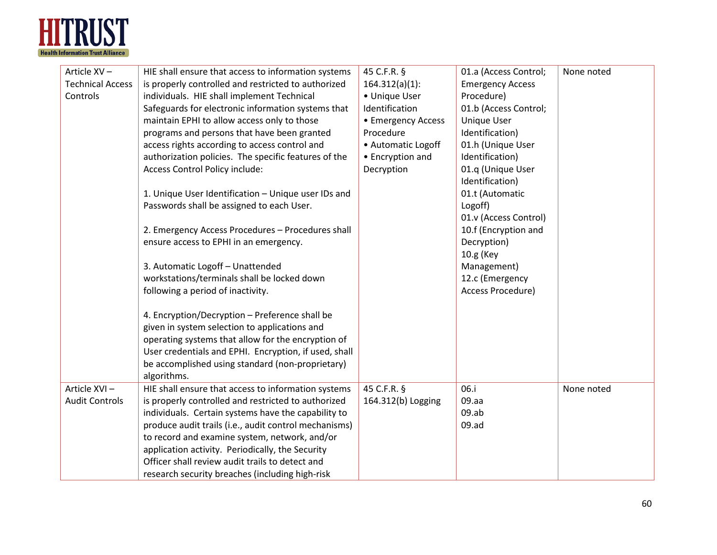

| Article XV-             | HIE shall ensure that access to information systems   | 45 C.F.R. §        | 01.a (Access Control;   | None noted |
|-------------------------|-------------------------------------------------------|--------------------|-------------------------|------------|
| <b>Technical Access</b> | is properly controlled and restricted to authorized   | $164.312(a)(1)$ :  | <b>Emergency Access</b> |            |
| Controls                | individuals. HIE shall implement Technical            | • Unique User      | Procedure)              |            |
|                         | Safeguards for electronic information systems that    | Identification     | 01.b (Access Control;   |            |
|                         | maintain EPHI to allow access only to those           | • Emergency Access | <b>Unique User</b>      |            |
|                         | programs and persons that have been granted           | Procedure          | Identification)         |            |
|                         | access rights according to access control and         | • Automatic Logoff | 01.h (Unique User       |            |
|                         | authorization policies. The specific features of the  | • Encryption and   | Identification)         |            |
|                         | Access Control Policy include:                        | Decryption         | 01.q (Unique User       |            |
|                         |                                                       |                    | Identification)         |            |
|                         | 1. Unique User Identification - Unique user IDs and   |                    | 01.t (Automatic         |            |
|                         | Passwords shall be assigned to each User.             |                    | Logoff)                 |            |
|                         |                                                       |                    | 01.v (Access Control)   |            |
|                         | 2. Emergency Access Procedures - Procedures shall     |                    | 10.f (Encryption and    |            |
|                         | ensure access to EPHI in an emergency.                |                    | Decryption)             |            |
|                         |                                                       |                    | 10.g (Key               |            |
|                         | 3. Automatic Logoff - Unattended                      |                    | Management)             |            |
|                         | workstations/terminals shall be locked down           |                    | 12.c (Emergency         |            |
|                         | following a period of inactivity.                     |                    | Access Procedure)       |            |
|                         |                                                       |                    |                         |            |
|                         | 4. Encryption/Decryption - Preference shall be        |                    |                         |            |
|                         | given in system selection to applications and         |                    |                         |            |
|                         | operating systems that allow for the encryption of    |                    |                         |            |
|                         | User credentials and EPHI. Encryption, if used, shall |                    |                         |            |
|                         | be accomplished using standard (non-proprietary)      |                    |                         |            |
|                         | algorithms.                                           |                    |                         |            |
| Article XVI-            | HIE shall ensure that access to information systems   | 45 C.F.R. §        | 06.i                    | None noted |
| <b>Audit Controls</b>   | is properly controlled and restricted to authorized   | 164.312(b) Logging | 09.aa                   |            |
|                         | individuals. Certain systems have the capability to   |                    | 09.ab                   |            |
|                         | produce audit trails (i.e., audit control mechanisms) |                    | 09.ad                   |            |
|                         | to record and examine system, network, and/or         |                    |                         |            |
|                         | application activity. Periodically, the Security      |                    |                         |            |
|                         | Officer shall review audit trails to detect and       |                    |                         |            |
|                         | research security breaches (including high-risk       |                    |                         |            |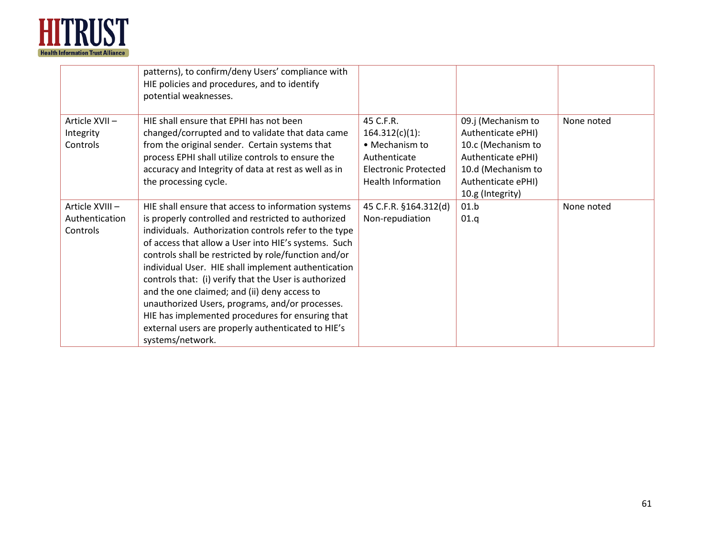

|                                               | patterns), to confirm/deny Users' compliance with<br>HIE policies and procedures, and to identify<br>potential weaknesses.                                                                                                                                                                                                                                                                                                                                                                                                                                                                                                           |                                                                                                                              |                                                                                                                                                      |            |
|-----------------------------------------------|--------------------------------------------------------------------------------------------------------------------------------------------------------------------------------------------------------------------------------------------------------------------------------------------------------------------------------------------------------------------------------------------------------------------------------------------------------------------------------------------------------------------------------------------------------------------------------------------------------------------------------------|------------------------------------------------------------------------------------------------------------------------------|------------------------------------------------------------------------------------------------------------------------------------------------------|------------|
| Article XVII-<br>Integrity<br>Controls        | HIE shall ensure that EPHI has not been<br>changed/corrupted and to validate that data came<br>from the original sender. Certain systems that<br>process EPHI shall utilize controls to ensure the<br>accuracy and Integrity of data at rest as well as in<br>the processing cycle.                                                                                                                                                                                                                                                                                                                                                  | 45 C.F.R.<br>$164.312(c)(1)$ :<br>• Mechanism to<br>Authenticate<br><b>Electronic Protected</b><br><b>Health Information</b> | 09.j (Mechanism to<br>Authenticate ePHI)<br>10.c (Mechanism to<br>Authenticate ePHI)<br>10.d (Mechanism to<br>Authenticate ePHI)<br>10.g (Integrity) | None noted |
| Article XVIII -<br>Authentication<br>Controls | HIE shall ensure that access to information systems<br>is properly controlled and restricted to authorized<br>individuals. Authorization controls refer to the type<br>of access that allow a User into HIE's systems. Such<br>controls shall be restricted by role/function and/or<br>individual User. HIE shall implement authentication<br>controls that: (i) verify that the User is authorized<br>and the one claimed; and (ii) deny access to<br>unauthorized Users, programs, and/or processes.<br>HIE has implemented procedures for ensuring that<br>external users are properly authenticated to HIE's<br>systems/network. | 45 C.F.R. §164.312(d)<br>Non-repudiation                                                                                     | 01.b<br>01.q                                                                                                                                         | None noted |